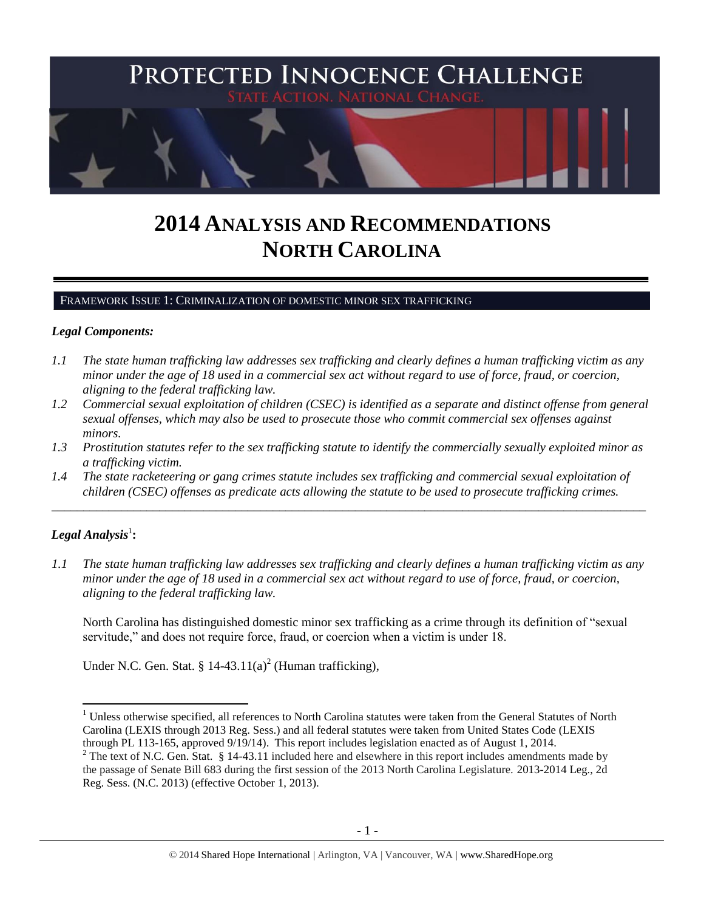

# **2014 ANALYSIS AND RECOMMENDATIONS NORTH CAROLINA**

#### FRAMEWORK ISSUE 1: CRIMINALIZATION OF DOMESTIC MINOR SEX TRAFFICKING

## *Legal Components:*

- *1.1 The state human trafficking law addresses sex trafficking and clearly defines a human trafficking victim as any minor under the age of 18 used in a commercial sex act without regard to use of force, fraud, or coercion, aligning to the federal trafficking law.*
- *1.2 Commercial sexual exploitation of children (CSEC) is identified as a separate and distinct offense from general sexual offenses, which may also be used to prosecute those who commit commercial sex offenses against minors.*
- *1.3 Prostitution statutes refer to the sex trafficking statute to identify the commercially sexually exploited minor as a trafficking victim.*

\_\_\_\_\_\_\_\_\_\_\_\_\_\_\_\_\_\_\_\_\_\_\_\_\_\_\_\_\_\_\_\_\_\_\_\_\_\_\_\_\_\_\_\_\_\_\_\_\_\_\_\_\_\_\_\_\_\_\_\_\_\_\_\_\_\_\_\_\_\_\_\_\_\_\_\_\_\_\_\_\_\_\_\_\_\_\_\_\_\_\_\_\_\_

*1.4 The state racketeering or gang crimes statute includes sex trafficking and commercial sexual exploitation of children (CSEC) offenses as predicate acts allowing the statute to be used to prosecute trafficking crimes.* 

# $\boldsymbol{Legal}$  Analysis<sup>1</sup>:

l

*1.1 The state human trafficking law addresses sex trafficking and clearly defines a human trafficking victim as any minor under the age of 18 used in a commercial sex act without regard to use of force, fraud, or coercion, aligning to the federal trafficking law.*

North Carolina has distinguished domestic minor sex trafficking as a crime through its definition of "sexual servitude," and does not require force, fraud, or coercion when a victim is under 18.

<span id="page-0-0"></span>Under N.C. Gen. Stat. §  $14-43.11(a)^2$  (Human trafficking),

 $1$  Unless otherwise specified, all references to North Carolina statutes were taken from the General Statutes of North Carolina (LEXIS through 2013 Reg. Sess.) and all federal statutes were taken from United States Code (LEXIS through PL 113-165, approved 9/19/14). This report includes legislation enacted as of August 1, 2014.

 $2$  The text of N.C. Gen. Stat. § 14-43.11 included here and elsewhere in this report includes amendments made by the passage of Senate Bill 683 during the first session of the 2013 North Carolina Legislature. 2013-2014 Leg., 2d Reg. Sess. (N.C. 2013) (effective October 1, 2013).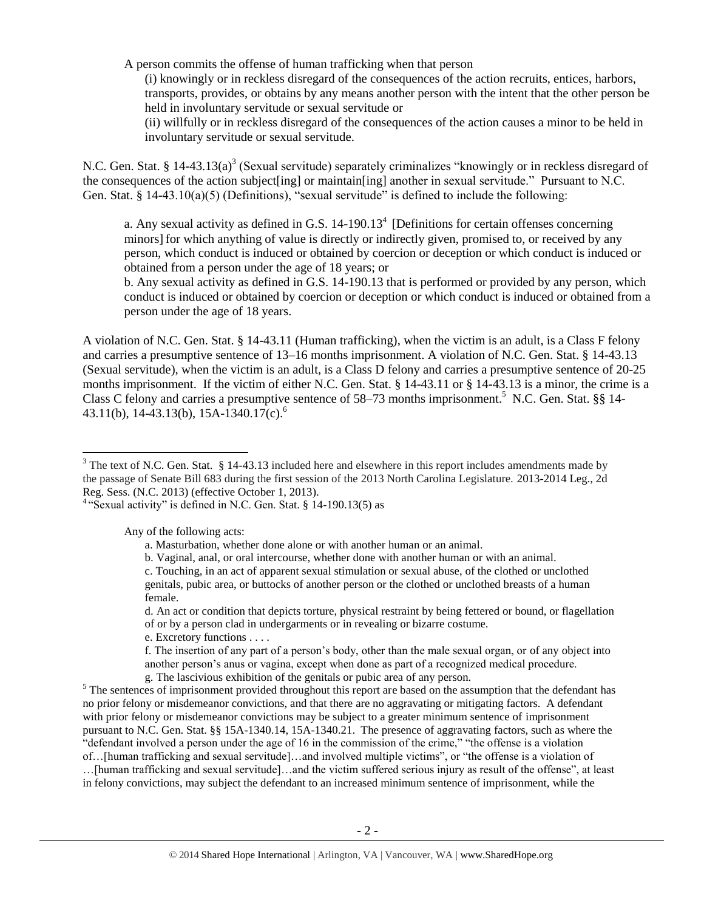A person commits the offense of human trafficking when that person

(i) knowingly or in reckless disregard of the consequences of the action recruits, entices, harbors, transports, provides, or obtains by any means another person with the intent that the other person be held in involuntary servitude or sexual servitude or

<span id="page-1-0"></span>(ii) willfully or in reckless disregard of the consequences of the action causes a minor to be held in involuntary servitude or sexual servitude.

N.C. Gen. Stat. § 14-43.13(a)<sup>3</sup> (Sexual servitude) separately criminalizes "knowingly or in reckless disregard of the consequences of the action subject[ing] or maintain[ing] another in sexual servitude." Pursuant to N.C. Gen. Stat. § 14-43.10(a)(5) (Definitions), "sexual servitude" is defined to include the following:

<span id="page-1-1"></span>a. Any sexual activity as defined in G.S.  $14-190.13<sup>4</sup>$  [Definitions for certain offenses concerning minors] for which anything of value is directly or indirectly given, promised to, or received by any person, which conduct is induced or obtained by coercion or deception or which conduct is induced or obtained from a person under the age of 18 years; or

b. Any sexual activity as defined in G.S. 14-190.13 that is performed or provided by any person, which conduct is induced or obtained by coercion or deception or which conduct is induced or obtained from a person under the age of 18 years.

A violation of N.C. Gen. Stat. § 14-43.11 (Human trafficking), when the victim is an adult, is a Class F felony and carries a presumptive sentence of 13–16 months imprisonment. A violation of N.C. Gen. Stat. § 14-43.13 (Sexual servitude), when the victim is an adult, is a Class D felony and carries a presumptive sentence of 20-25 months imprisonment. If the victim of either N.C. Gen. Stat. § 14-43.11 or § 14-43.13 is a minor, the crime is a Class C felony and carries a presumptive sentence of 58–73 months imprisonment.<sup>5</sup> N.C. Gen. Stat. §§ 14-43.11(b), 14-43.13(b), 15A-1340.17(c).<sup>6</sup>

Any of the following acts:

 $\overline{\phantom{a}}$ 

c. Touching, in an act of apparent sexual stimulation or sexual abuse, of the clothed or unclothed genitals, pubic area, or buttocks of another person or the clothed or unclothed breasts of a human female.

d. An act or condition that depicts torture, physical restraint by being fettered or bound, or flagellation of or by a person clad in undergarments or in revealing or bizarre costume.

e. Excretory functions . . . .

f. The insertion of any part of a person's body, other than the male sexual organ, or of any object into another person's anus or vagina, except when done as part of a recognized medical procedure.

g. The lascivious exhibition of the genitals or pubic area of any person.

<sup>5</sup> The sentences of imprisonment provided throughout this report are based on the assumption that the defendant has no prior felony or misdemeanor convictions, and that there are no aggravating or mitigating factors. A defendant with prior felony or misdemeanor convictions may be subject to a greater minimum sentence of imprisonment pursuant to N.C. Gen. Stat. §§ 15A-1340.14, 15A-1340.21. The presence of aggravating factors, such as where the "defendant involved a person under the age of 16 in the commission of the crime," "the offense is a violation of…[human trafficking and sexual servitude]…and involved multiple victims", or "the offense is a violation of …[human trafficking and sexual servitude]…and the victim suffered serious injury as result of the offense", at least in felony convictions, may subject the defendant to an increased minimum sentence of imprisonment, while the

 $3$  The text of N.C. Gen. Stat. § 14-43.13 included here and elsewhere in this report includes amendments made by the passage of Senate Bill 683 during the first session of the 2013 North Carolina Legislature. 2013-2014 Leg., 2d Reg. Sess. (N.C. 2013) (effective October 1, 2013).

<sup>&</sup>lt;sup>4</sup> "Sexual activity" is defined in N.C. Gen. Stat. § 14-190.13(5) as

a. Masturbation, whether done alone or with another human or an animal.

b. Vaginal, anal, or oral intercourse, whether done with another human or with an animal.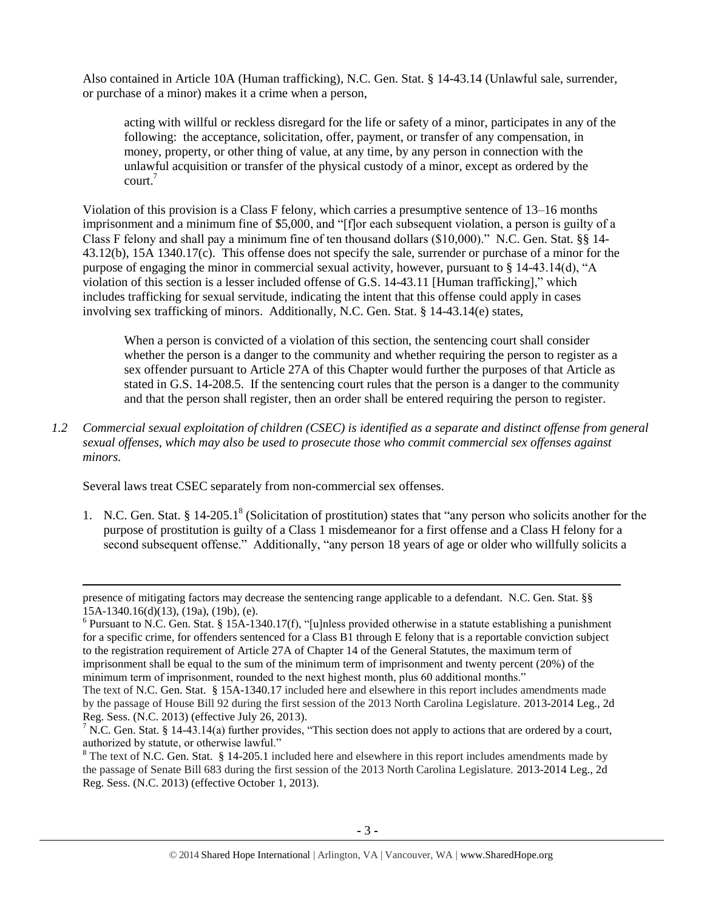Also contained in Article 10A (Human trafficking), N.C. Gen. Stat. § 14-43.14 (Unlawful sale, surrender, or purchase of a minor) makes it a crime when a person,

acting with willful or reckless disregard for the life or safety of a minor, participates in any of the following: the acceptance, solicitation, offer, payment, or transfer of any compensation, in money, property, or other thing of value, at any time, by any person in connection with the unlawful acquisition or transfer of the physical custody of a minor, except as ordered by the court.<sup>7</sup>

Violation of this provision is a Class F felony, which carries a presumptive sentence of 13–16 months imprisonment and a minimum fine of \$5,000, and "[f]or each subsequent violation, a person is guilty of a Class F felony and shall pay a minimum fine of ten thousand dollars (\$10,000)." N.C. Gen. Stat. §§ 14- 43.12(b), 15A 1340.17(c). This offense does not specify the sale, surrender or purchase of a minor for the purpose of engaging the minor in commercial sexual activity, however, pursuant to § 14-43.14(d), "A violation of this section is a lesser included offense of G.S. 14-43.11 [Human trafficking]," which includes trafficking for sexual servitude, indicating the intent that this offense could apply in cases involving sex trafficking of minors. Additionally, N.C. Gen. Stat. § 14-43.14(e) states,

When a person is convicted of a violation of this section, the sentencing court shall consider whether the person is a danger to the community and whether requiring the person to register as a sex offender pursuant to Article 27A of this Chapter would further the purposes of that Article as stated in G.S. 14-208.5. If the sentencing court rules that the person is a danger to the community and that the person shall register, then an order shall be entered requiring the person to register.

*1.2 Commercial sexual exploitation of children (CSEC) is identified as a separate and distinct offense from general sexual offenses, which may also be used to prosecute those who commit commercial sex offenses against minors.*

Several laws treat CSEC separately from non-commercial sex offenses.

 $\overline{\phantom{a}}$ 

<span id="page-2-0"></span>1. N.C. Gen. Stat. § 14-205.1<sup>8</sup> (Solicitation of prostitution) states that "any person who solicits another for the purpose of prostitution is guilty of a Class 1 misdemeanor for a first offense and a Class H felony for a second subsequent offense." Additionally, "any person 18 years of age or older who willfully solicits a

presence of mitigating factors may decrease the sentencing range applicable to a defendant. N.C. Gen. Stat. §§ 15A-1340.16(d)(13), (19a), (19b), (e).

 $6$  Pursuant to N.C. Gen. Stat. § 15A-1340.17(f), "[u]nless provided otherwise in a statute establishing a punishment for a specific crime, for offenders sentenced for a Class B1 through E felony that is a reportable conviction subject to the registration requirement of Article 27A of Chapter 14 of the General Statutes, the maximum term of imprisonment shall be equal to the sum of the minimum term of imprisonment and twenty percent (20%) of the minimum term of imprisonment, rounded to the next highest month, plus 60 additional months."

The text of N.C. Gen. Stat. § 15A-1340.17 included here and elsewhere in this report includes amendments made by the passage of House Bill 92 during the first session of the 2013 North Carolina Legislature. 2013-2014 Leg., 2d Reg. Sess. (N.C. 2013) (effective July 26, 2013).

<sup>&</sup>lt;sup>7</sup> N.C. Gen. Stat. § 14-43.14(a) further provides, "This section does not apply to actions that are ordered by a court, authorized by statute, or otherwise lawful."

<sup>&</sup>lt;sup>8</sup> The text of N.C. Gen. Stat. § 14-205.1 included here and elsewhere in this report includes amendments made by the passage of Senate Bill 683 during the first session of the 2013 North Carolina Legislature. 2013-2014 Leg., 2d Reg. Sess. (N.C. 2013) (effective October 1, 2013).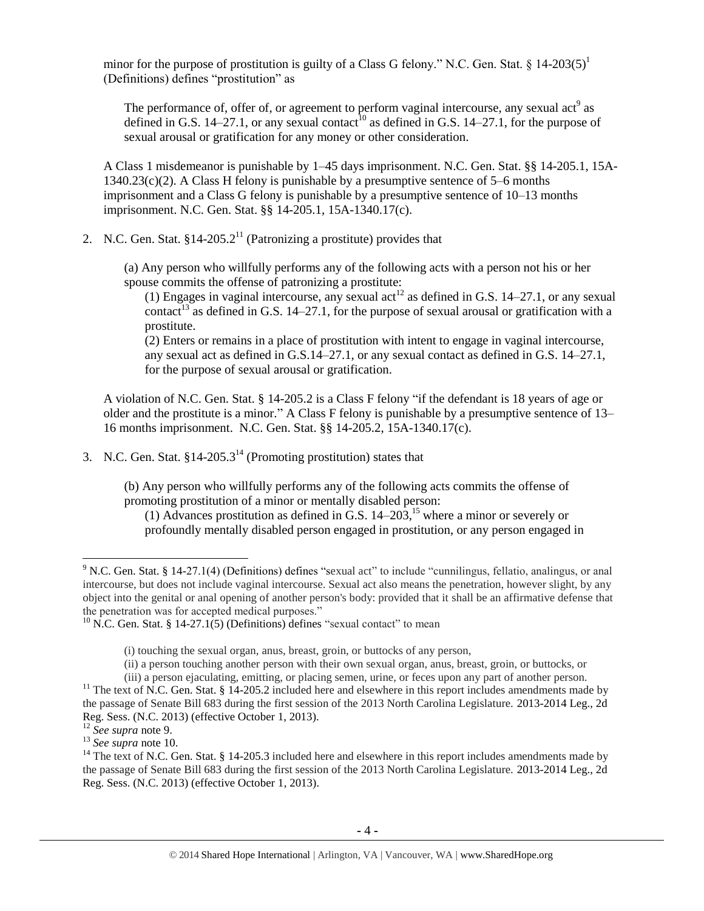minor for the purpose of prostitution is guilty of a Class G felony." N.C. Gen. Stat.  $\S$  14-203(5)<sup>1</sup> (Definitions) defines "prostitution" as

<span id="page-3-1"></span><span id="page-3-0"></span>The performance of, offer of, or agreement to perform vaginal intercourse, any sexual act<sup>9</sup> as defined in G.S. 14–27.1, or any sexual contact<sup>10</sup> as defined in G.S. 14–27.1, for the purpose of sexual arousal or gratification for any money or other consideration.

A Class 1 misdemeanor is punishable by 1–45 days imprisonment. N.C. Gen. Stat. §§ 14-205.1, 15A- $1340.23(c)(2)$ . A Class H felony is punishable by a presumptive sentence of 5–6 months imprisonment and a Class G felony is punishable by a presumptive sentence of 10–13 months imprisonment. N.C. Gen. Stat. §§ 14-205.1, 15A-1340.17(c).

2. N.C. Gen. Stat.  $§14-205.2<sup>11</sup>$  (Patronizing a prostitute) provides that

(a) Any person who willfully performs any of the following acts with a person not his or her spouse commits the offense of patronizing a prostitute:

<span id="page-3-2"></span>(1) Engages in vaginal intercourse, any sexual act<sup>12</sup> as defined in G.S. 14–27.1, or any sexual contact<sup>13</sup> as defined in G.S. 14–27.1, for the purpose of sexual arousal or gratification with a prostitute.

(2) Enters or remains in a place of prostitution with intent to engage in vaginal intercourse, any sexual act as defined in G.S.14–27.1, or any sexual contact as defined in G.S. 14–27.1, for the purpose of sexual arousal or gratification.

A violation of N.C. Gen. Stat. § 14-205.2 is a Class F felony "if the defendant is 18 years of age or older and the prostitute is a minor." A Class F felony is punishable by a presumptive sentence of 13– 16 months imprisonment. N.C. Gen. Stat. §§ 14-205.2, 15A-1340.17(c).

3. N.C. Gen. Stat.  $§14-205.3^{14}$  (Promoting prostitution) states that

(b) Any person who willfully performs any of the following acts commits the offense of promoting prostitution of a minor or mentally disabled person:

<span id="page-3-4"></span><span id="page-3-3"></span>(1) Advances prostitution as defined in G.S.  $14-203$ ,<sup>15</sup> where a minor or severely or profoundly mentally disabled person engaged in prostitution, or any person engaged in

 $\overline{a}$ 

<sup>9</sup> N.C. Gen. Stat. § 14-27.1(4) (Definitions) defines "sexual act" to include "cunnilingus, fellatio, analingus, or anal intercourse, but does not include vaginal intercourse. Sexual act also means the penetration, however slight, by any object into the genital or anal opening of another person's body: provided that it shall be an affirmative defense that the penetration was for accepted medical purposes."

 $10$  N.C. Gen. Stat. § 14-27.1(5) (Definitions) defines "sexual contact" to mean

<sup>(</sup>i) touching the sexual organ, anus, breast, groin, or buttocks of any person,

<sup>(</sup>ii) a person touching another person with their own sexual organ, anus, breast, groin, or buttocks, or

<sup>(</sup>iii) a person ejaculating, emitting, or placing semen, urine, or feces upon any part of another person. <sup>11</sup> The text of N.C. Gen. Stat. § 14-205.2 included here and elsewhere in this report includes amendments made by the passage of Senate Bill 683 during the first session of the 2013 North Carolina Legislature. 2013-2014 Leg., 2d

Reg. Sess. (N.C. 2013) (effective October 1, 2013).

<sup>12</sup> *See supra* note [9.](#page-3-0)

<sup>13</sup> *See supra* note [10.](#page-3-1)

<sup>&</sup>lt;sup>14</sup> The text of N.C. Gen. Stat. § 14-205.3 included here and elsewhere in this report includes amendments made by the passage of Senate Bill 683 during the first session of the 2013 North Carolina Legislature. 2013-2014 Leg., 2d Reg. Sess. (N.C. 2013) (effective October 1, 2013).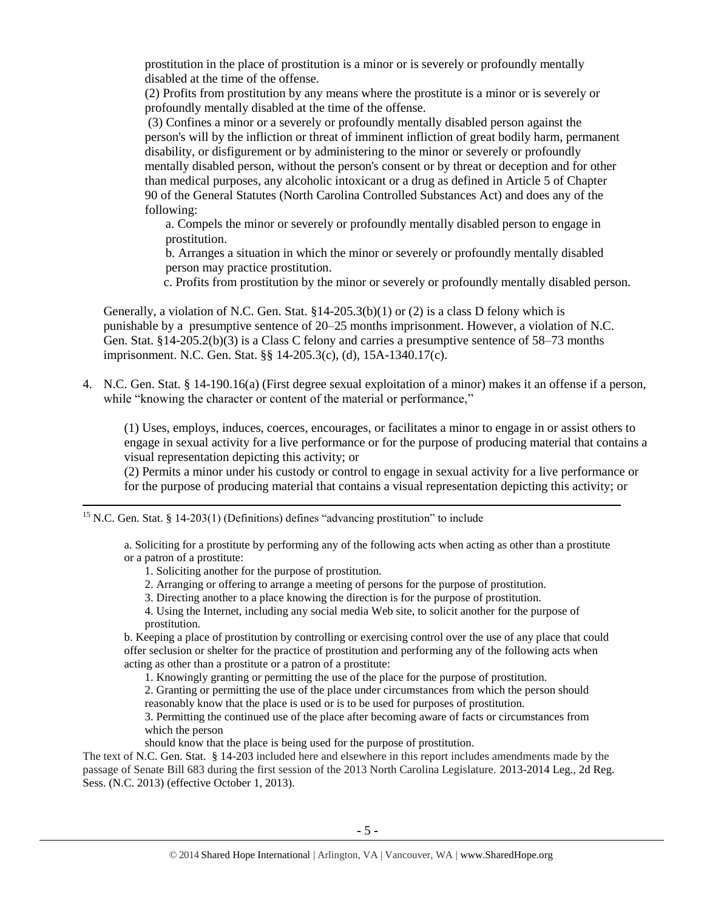prostitution in the place of prostitution is a minor or is severely or profoundly mentally disabled at the time of the offense.

(2) Profits from prostitution by any means where the prostitute is a minor or is severely or profoundly mentally disabled at the time of the offense.

(3) Confines a minor or a severely or profoundly mentally disabled person against the person's will by the infliction or threat of imminent infliction of great bodily harm, permanent disability, or disfigurement or by administering to the minor or severely or profoundly mentally disabled person, without the person's consent or by threat or deception and for other than medical purposes, any alcoholic intoxicant or a drug as defined in Article 5 of Chapter 90 of the General Statutes (North Carolina Controlled Substances Act) and does any of the following:

a. Compels the minor or severely or profoundly mentally disabled person to engage in prostitution.

b. Arranges a situation in which the minor or severely or profoundly mentally disabled person may practice prostitution.

c. Profits from prostitution by the minor or severely or profoundly mentally disabled person.

Generally, a violation of N.C. Gen. Stat.  $\S 14-205.3(b)(1)$  or (2) is a class D felony which is punishable by a presumptive sentence of 20–25 months imprisonment. However, a violation of N.C. Gen. Stat. §14-205.2(b)(3) is a Class C felony and carries a presumptive sentence of 58–73 months imprisonment. N.C. Gen. Stat. §§ 14-205.3(c), (d), 15A-1340.17(c).

4. N.C. Gen. Stat. § 14-190.16(a) (First degree sexual exploitation of a minor) makes it an offense if a person, while "knowing the character or content of the material or performance,"

(1) Uses, employs, induces, coerces, encourages, or facilitates a minor to engage in or assist others to engage in sexual activity for a live performance or for the purpose of producing material that contains a visual representation depicting this activity; or

(2) Permits a minor under his custody or control to engage in sexual activity for a live performance or for the purpose of producing material that contains a visual representation depicting this activity; or

<sup>15</sup> N.C. Gen. Stat. § 14-203(1) (Definitions) defines "advancing prostitution" to include

a. Soliciting for a prostitute by performing any of the following acts when acting as other than a prostitute or a patron of a prostitute:

1. Soliciting another for the purpose of prostitution.

 $\overline{\phantom{a}}$ 

- 2. Arranging or offering to arrange a meeting of persons for the purpose of prostitution.
- 3. Directing another to a place knowing the direction is for the purpose of prostitution.

4. Using the Internet, including any social media Web site, to solicit another for the purpose of prostitution.

b. Keeping a place of prostitution by controlling or exercising control over the use of any place that could offer seclusion or shelter for the practice of prostitution and performing any of the following acts when acting as other than a prostitute or a patron of a prostitute:

1. Knowingly granting or permitting the use of the place for the purpose of prostitution.

2. Granting or permitting the use of the place under circumstances from which the person should reasonably know that the place is used or is to be used for purposes of prostitution.

3. Permitting the continued use of the place after becoming aware of facts or circumstances from which the person

should know that the place is being used for the purpose of prostitution.

The text of N.C. Gen. Stat. § 14-203 included here and elsewhere in this report includes amendments made by the passage of Senate Bill 683 during the first session of the 2013 North Carolina Legislature. 2013-2014 Leg., 2d Reg. Sess. (N.C. 2013) (effective October 1, 2013).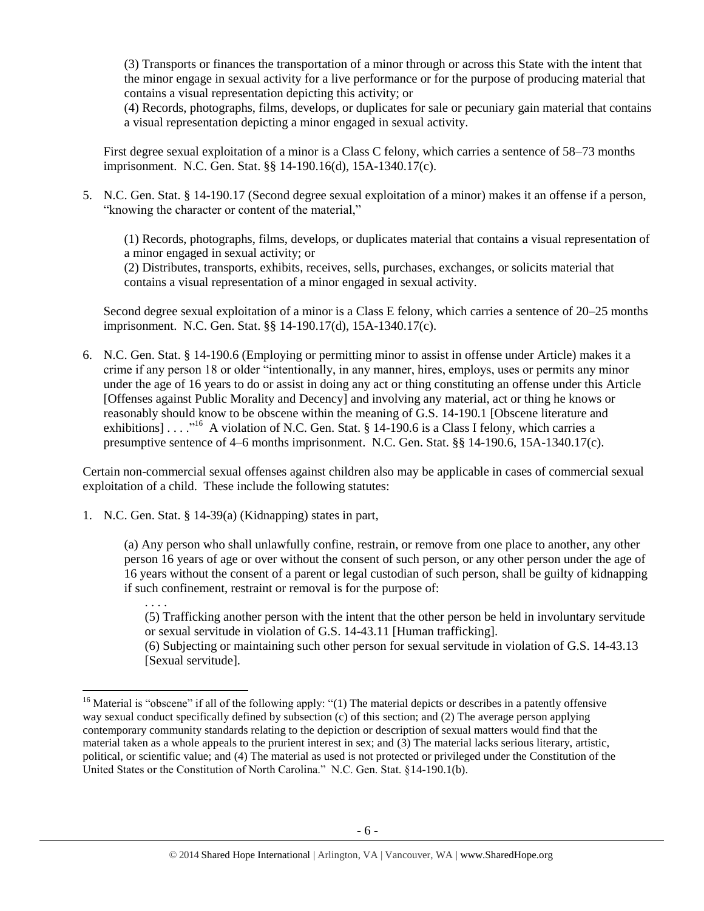(3) Transports or finances the transportation of a minor through or across this State with the intent that the minor engage in sexual activity for a live performance or for the purpose of producing material that contains a visual representation depicting this activity; or

(4) Records, photographs, films, develops, or duplicates for sale or pecuniary gain material that contains a visual representation depicting a minor engaged in sexual activity.

First degree sexual exploitation of a minor is a Class C felony, which carries a sentence of 58–73 months imprisonment. N.C. Gen. Stat. §§ 14-190.16(d), 15A-1340.17(c).

5. N.C. Gen. Stat. § 14-190.17 (Second degree sexual exploitation of a minor) makes it an offense if a person, "knowing the character or content of the material,"

(1) Records, photographs, films, develops, or duplicates material that contains a visual representation of a minor engaged in sexual activity; or

(2) Distributes, transports, exhibits, receives, sells, purchases, exchanges, or solicits material that contains a visual representation of a minor engaged in sexual activity.

Second degree sexual exploitation of a minor is a Class E felony, which carries a sentence of 20–25 months imprisonment. N.C. Gen. Stat. §§ 14-190.17(d), 15A-1340.17(c).

6. N.C. Gen. Stat. § 14-190.6 (Employing or permitting minor to assist in offense under Article) makes it a crime if any person 18 or older "intentionally, in any manner, hires, employs, uses or permits any minor under the age of 16 years to do or assist in doing any act or thing constituting an offense under this Article [Offenses against Public Morality and Decency] and involving any material, act or thing he knows or reasonably should know to be obscene within the meaning of G.S. 14-190.1 [Obscene literature and exhibitions] . . . . "<sup>16</sup> A violation of N.C. Gen. Stat. § 14-190.6 is a Class I felony, which carries a presumptive sentence of 4–6 months imprisonment. N.C. Gen. Stat. §§ 14-190.6, 15A-1340.17(c).

Certain non-commercial sexual offenses against children also may be applicable in cases of commercial sexual exploitation of a child. These include the following statutes:

1. N.C. Gen. Stat. § 14-39(a) (Kidnapping) states in part,

 $\overline{\phantom{a}}$ 

(a) Any person who shall unlawfully confine, restrain, or remove from one place to another, any other person 16 years of age or over without the consent of such person, or any other person under the age of 16 years without the consent of a parent or legal custodian of such person, shall be guilty of kidnapping if such confinement, restraint or removal is for the purpose of:

. . . . (5) Trafficking another person with the intent that the other person be held in involuntary servitude or sexual servitude in violation of G.S. 14-43.11 [Human trafficking].

(6) Subjecting or maintaining such other person for sexual servitude in violation of G.S. 14-43.13 [Sexual servitude].

<sup>&</sup>lt;sup>16</sup> Material is "obscene" if all of the following apply: "(1) The material depicts or describes in a patently offensive way sexual conduct specifically defined by subsection (c) of this section; and (2) The average person applying contemporary community standards relating to the depiction or description of sexual matters would find that the material taken as a whole appeals to the prurient interest in sex; and (3) The material lacks serious literary, artistic, political, or scientific value; and (4) The material as used is not protected or privileged under the Constitution of the United States or the Constitution of North Carolina." N.C. Gen. Stat. §14-190.1(b).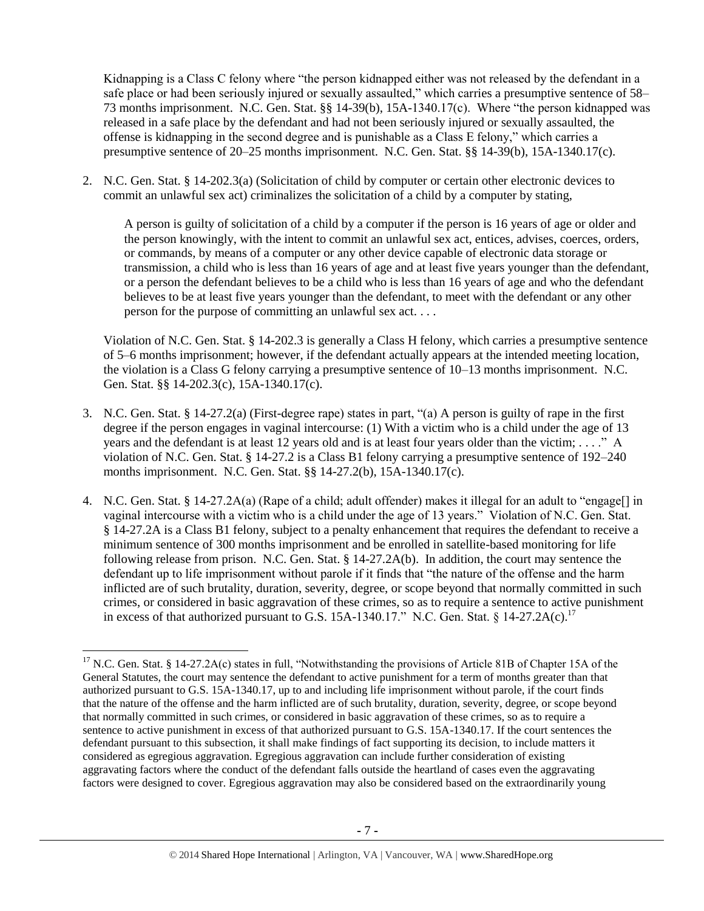Kidnapping is a Class C felony where "the person kidnapped either was not released by the defendant in a safe place or had been seriously injured or sexually assaulted," which carries a presumptive sentence of 58– 73 months imprisonment. N.C. Gen. Stat. §§ 14-39(b), 15A-1340.17(c). Where "the person kidnapped was released in a safe place by the defendant and had not been seriously injured or sexually assaulted, the offense is kidnapping in the second degree and is punishable as a Class E felony," which carries a presumptive sentence of 20–25 months imprisonment. N.C. Gen. Stat. §§ 14-39(b), 15A-1340.17(c).

2. N.C. Gen. Stat. § 14-202.3(a) (Solicitation of child by computer or certain other electronic devices to commit an unlawful sex act) criminalizes the solicitation of a child by a computer by stating,

A person is guilty of solicitation of a child by a computer if the person is 16 years of age or older and the person knowingly, with the intent to commit an unlawful sex act, entices, advises, coerces, orders, or commands, by means of a computer or any other device capable of electronic data storage or transmission, a child who is less than 16 years of age and at least five years younger than the defendant, or a person the defendant believes to be a child who is less than 16 years of age and who the defendant believes to be at least five years younger than the defendant, to meet with the defendant or any other person for the purpose of committing an unlawful sex act. . . .

Violation of N.C. Gen. Stat. § 14-202.3 is generally a Class H felony, which carries a presumptive sentence of 5–6 months imprisonment; however, if the defendant actually appears at the intended meeting location, the violation is a Class G felony carrying a presumptive sentence of 10–13 months imprisonment. N.C. Gen. Stat. §§ 14-202.3(c), 15A-1340.17(c).

- 3. N.C. Gen. Stat. § 14-27.2(a) (First-degree rape) states in part, "(a) A person is guilty of rape in the first degree if the person engages in vaginal intercourse: (1) With a victim who is a child under the age of 13 years and the defendant is at least 12 years old and is at least four years older than the victim; . . . ." A violation of N.C. Gen. Stat. § 14-27.2 is a Class B1 felony carrying a presumptive sentence of 192–240 months imprisonment. N.C. Gen. Stat. §§ 14-27.2(b), 15A-1340.17(c).
- 4. N.C. Gen. Stat. § 14-27.2A(a) (Rape of a child; adult offender) makes it illegal for an adult to "engage[] in vaginal intercourse with a victim who is a child under the age of 13 years." Violation of N.C. Gen. Stat. § 14-27.2A is a Class B1 felony, subject to a penalty enhancement that requires the defendant to receive a minimum sentence of 300 months imprisonment and be enrolled in satellite-based monitoring for life following release from prison. N.C. Gen. Stat. § 14-27.2A(b). In addition, the court may sentence the defendant up to life imprisonment without parole if it finds that "the nature of the offense and the harm inflicted are of such brutality, duration, severity, degree, or scope beyond that normally committed in such crimes, or considered in basic aggravation of these crimes, so as to require a sentence to active punishment in excess of that authorized pursuant to G.S. 15A-1340.17." N.C. Gen. Stat. § 14-27.2A(c).<sup>17</sup>

 $\overline{\phantom{a}}$ 

<sup>&</sup>lt;sup>17</sup> N.C. Gen. Stat. § 14-27.2A(c) states in full, "Notwithstanding the provisions of Article 81B of Chapter 15A of the General Statutes, the court may sentence the defendant to active punishment for a term of months greater than that authorized pursuant to G.S. 15A-1340.17, up to and including life imprisonment without parole, if the court finds that the nature of the offense and the harm inflicted are of such brutality, duration, severity, degree, or scope beyond that normally committed in such crimes, or considered in basic aggravation of these crimes, so as to require a sentence to active punishment in excess of that authorized pursuant to G.S. 15A-1340.17. If the court sentences the defendant pursuant to this subsection, it shall make findings of fact supporting its decision, to include matters it considered as egregious aggravation. Egregious aggravation can include further consideration of existing aggravating factors where the conduct of the defendant falls outside the heartland of cases even the aggravating factors were designed to cover. Egregious aggravation may also be considered based on the extraordinarily young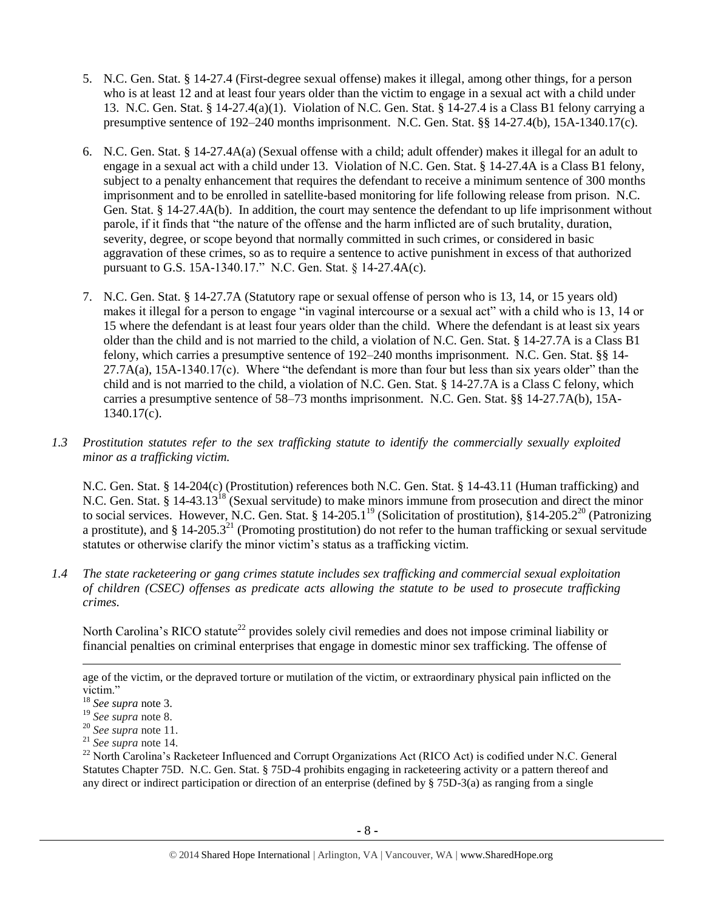- 5. N.C. Gen. Stat. § 14-27.4 (First-degree sexual offense) makes it illegal, among other things, for a person who is at least 12 and at least four years older than the victim to engage in a sexual act with a child under 13. N.C. Gen. Stat. § 14-27.4(a)(1). Violation of N.C. Gen. Stat. § 14-27.4 is a Class B1 felony carrying a presumptive sentence of 192–240 months imprisonment. N.C. Gen. Stat. §§ 14-27.4(b), 15A-1340.17(c).
- 6. N.C. Gen. Stat. § 14-27.4A(a) (Sexual offense with a child; adult offender) makes it illegal for an adult to engage in a sexual act with a child under 13. Violation of N.C. Gen. Stat. § 14-27.4A is a Class B1 felony, subject to a penalty enhancement that requires the defendant to receive a minimum sentence of 300 months imprisonment and to be enrolled in satellite-based monitoring for life following release from prison. N.C. Gen. Stat. § 14-27.4A(b). In addition, the court may sentence the defendant to up life imprisonment without parole, if it finds that "the nature of the offense and the harm inflicted are of such brutality, duration, severity, degree, or scope beyond that normally committed in such crimes, or considered in basic aggravation of these crimes, so as to require a sentence to active punishment in excess of that authorized pursuant to G.S. 15A-1340.17." N.C. Gen. Stat. § 14-27.4A(c).
- 7. N.C. Gen. Stat. § 14-27.7A (Statutory rape or sexual offense of person who is 13, 14, or 15 years old) makes it illegal for a person to engage "in vaginal intercourse or a sexual act" with a child who is 13, 14 or 15 where the defendant is at least four years older than the child. Where the defendant is at least six years older than the child and is not married to the child, a violation of N.C. Gen. Stat. § 14-27.7A is a Class B1 felony, which carries a presumptive sentence of 192–240 months imprisonment. N.C. Gen. Stat. §§ 14-  $27.7A(a)$ ,  $15A-1340.17(c)$ . Where "the defendant is more than four but less than six years older" than the child and is not married to the child, a violation of N.C. Gen. Stat. § 14-27.7A is a Class C felony, which carries a presumptive sentence of 58–73 months imprisonment. N.C. Gen. Stat. §§ 14-27.7A(b), 15A-1340.17(c).
- *1.3 Prostitution statutes refer to the sex trafficking statute to identify the commercially sexually exploited minor as a trafficking victim.*

N.C. Gen. Stat. § 14-204(c) (Prostitution) references both N.C. Gen. Stat. § 14-43.11 (Human trafficking) and N.C. Gen. Stat. § 14-43.13<sup>18</sup> (Sexual servitude) to make minors immune from prosecution and direct the minor to social services. However, N.C. Gen. Stat.  $\frac{1}{8}$  14-205.1<sup>19</sup> (Solicitation of prostitution),  $\frac{1}{8}$ 14-205.2<sup>20</sup> (Patronizing a prostitute), and  $\S 14{\text -}205.3^{21}$  (Promoting prostitution) do not refer to the human trafficking or sexual servitude statutes or otherwise clarify the minor victim's status as a trafficking victim.

*1.4 The state racketeering or gang crimes statute includes sex trafficking and commercial sexual exploitation of children (CSEC) offenses as predicate acts allowing the statute to be used to prosecute trafficking crimes.* 

North Carolina's RICO statute<sup>22</sup> provides solely civil remedies and does not impose criminal liability or financial penalties on criminal enterprises that engage in domestic minor sex trafficking. The offense of

age of the victim, or the depraved torture or mutilation of the victim, or extraordinary physical pain inflicted on the victim."

 $\overline{\phantom{a}}$ 

<sup>18</sup> *See supra* note [3.](#page-1-0)

<sup>19</sup> *See supra* note [8.](#page-2-0)

<sup>20</sup> *See supra* note [11.](#page-3-2)

<sup>21</sup> *See supra* note [14.](#page-3-3)

<sup>&</sup>lt;sup>22</sup> North Carolina's Racketeer Influenced and Corrupt Organizations Act (RICO Act) is codified under N.C. General Statutes Chapter 75D. N.C. Gen. Stat. § 75D-4 prohibits engaging in racketeering activity or a pattern thereof and any direct or indirect participation or direction of an enterprise (defined by § 75D-3(a) as ranging from a single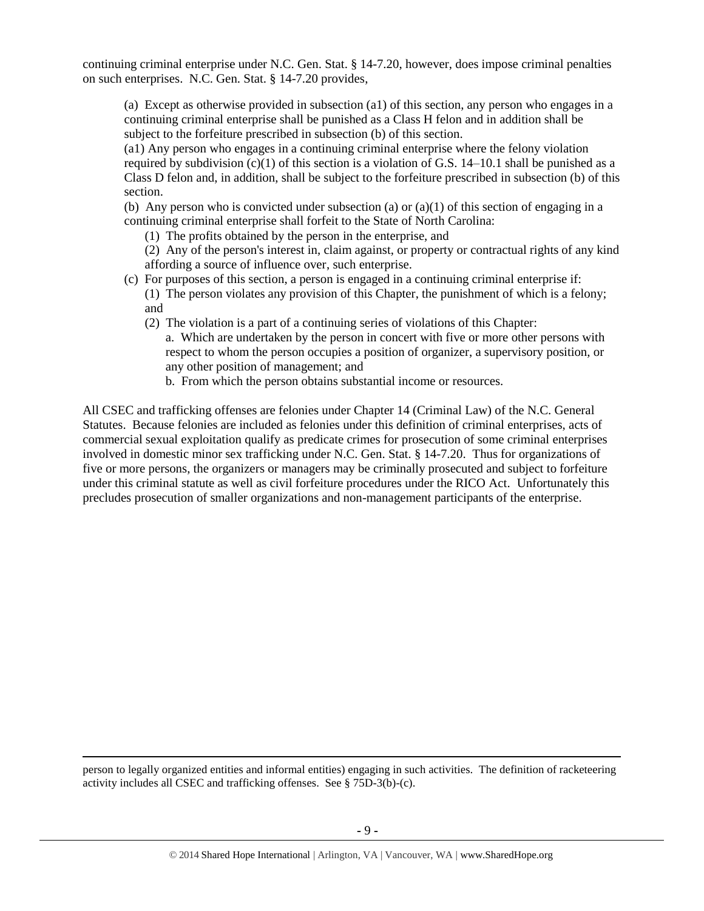continuing criminal enterprise under N.C. Gen. Stat. § 14-7.20, however, does impose criminal penalties on such enterprises. N.C. Gen. Stat. § 14-7.20 provides,

(a) Except as otherwise provided in subsection (a1) of this section, any person who engages in a continuing criminal enterprise shall be punished as a Class H felon and in addition shall be subject to the forfeiture prescribed in subsection (b) of this section.

(a1) Any person who engages in a continuing criminal enterprise where the felony violation required by subdivision  $(c)(1)$  of this section is a violation of G.S. 14–10.1 shall be punished as a Class D felon and, in addition, shall be subject to the forfeiture prescribed in subsection (b) of this section.

(b) Any person who is convicted under subsection (a) or  $(a)(1)$  of this section of engaging in a continuing criminal enterprise shall forfeit to the State of North Carolina:

(1) The profits obtained by the person in the enterprise, and

(2) Any of the person's interest in, claim against, or property or contractual rights of any kind affording a source of influence over, such enterprise.

- (c) For purposes of this section, a person is engaged in a continuing criminal enterprise if:
	- (1) The person violates any provision of this Chapter, the punishment of which is a felony; and
	- (2) The violation is a part of a continuing series of violations of this Chapter:
		- a. Which are undertaken by the person in concert with five or more other persons with respect to whom the person occupies a position of organizer, a supervisory position, or any other position of management; and
		- b. From which the person obtains substantial income or resources.

All CSEC and trafficking offenses are felonies under Chapter 14 (Criminal Law) of the N.C. General Statutes. Because felonies are included as felonies under this definition of criminal enterprises, acts of commercial sexual exploitation qualify as predicate crimes for prosecution of some criminal enterprises involved in domestic minor sex trafficking under N.C. Gen. Stat. § 14-7.20. Thus for organizations of five or more persons, the organizers or managers may be criminally prosecuted and subject to forfeiture under this criminal statute as well as civil forfeiture procedures under the RICO Act. Unfortunately this precludes prosecution of smaller organizations and non-management participants of the enterprise.

person to legally organized entities and informal entities) engaging in such activities. The definition of racketeering activity includes all CSEC and trafficking offenses. See § 75D-3(b)-(c).

l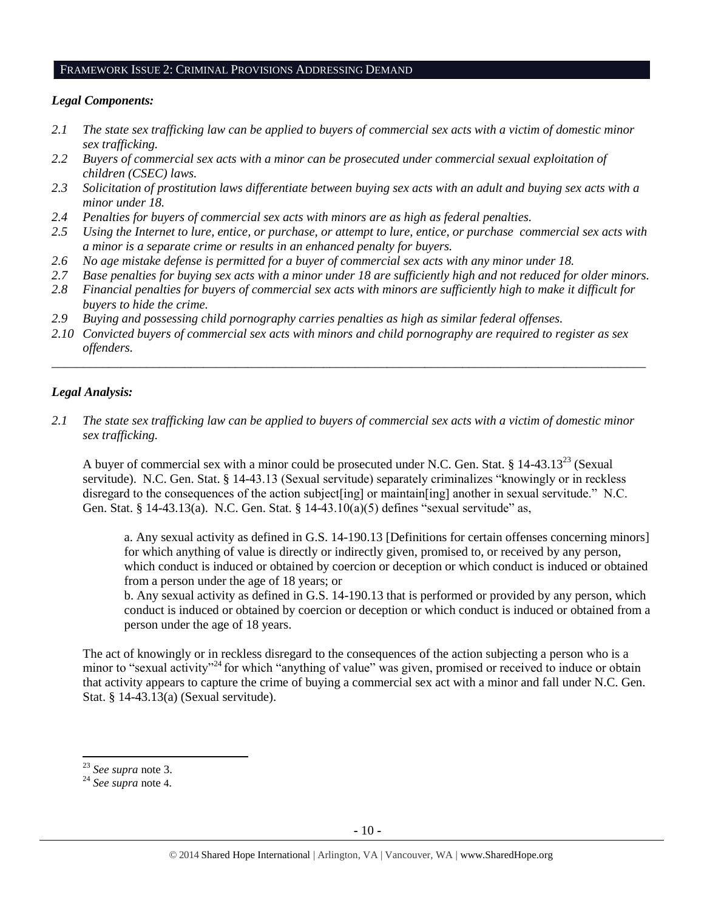#### FRAMEWORK ISSUE 2: CRIMINAL PROVISIONS ADDRESSING DEMAND

## *Legal Components:*

- *2.1 The state sex trafficking law can be applied to buyers of commercial sex acts with a victim of domestic minor sex trafficking.*
- *2.2 Buyers of commercial sex acts with a minor can be prosecuted under commercial sexual exploitation of children (CSEC) laws.*
- *2.3 Solicitation of prostitution laws differentiate between buying sex acts with an adult and buying sex acts with a minor under 18.*
- *2.4 Penalties for buyers of commercial sex acts with minors are as high as federal penalties.*
- *2.5 Using the Internet to lure, entice, or purchase, or attempt to lure, entice, or purchase commercial sex acts with a minor is a separate crime or results in an enhanced penalty for buyers.*
- *2.6 No age mistake defense is permitted for a buyer of commercial sex acts with any minor under 18.*
- *2.7 Base penalties for buying sex acts with a minor under 18 are sufficiently high and not reduced for older minors.*
- *2.8 Financial penalties for buyers of commercial sex acts with minors are sufficiently high to make it difficult for buyers to hide the crime.*
- *2.9 Buying and possessing child pornography carries penalties as high as similar federal offenses.*
- *2.10 Convicted buyers of commercial sex acts with minors and child pornography are required to register as sex offenders.*

\_\_\_\_\_\_\_\_\_\_\_\_\_\_\_\_\_\_\_\_\_\_\_\_\_\_\_\_\_\_\_\_\_\_\_\_\_\_\_\_\_\_\_\_\_\_\_\_\_\_\_\_\_\_\_\_\_\_\_\_\_\_\_\_\_\_\_\_\_\_\_\_\_\_\_\_\_\_\_\_\_\_\_\_\_\_\_\_\_\_\_\_\_\_

## *Legal Analysis:*

*2.1 The state sex trafficking law can be applied to buyers of commercial sex acts with a victim of domestic minor sex trafficking.* 

A buyer of commercial sex with a minor could be prosecuted under N.C. Gen. Stat. § 14-43.13<sup>23</sup> (Sexual servitude). N.C. Gen. Stat. § 14-43.13 (Sexual servitude) separately criminalizes "knowingly or in reckless disregard to the consequences of the action subject [ing] or maintain [ing] another in sexual servitude." N.C. Gen. Stat. § 14-43.13(a). N.C. Gen. Stat. § 14-43.10(a)(5) defines "sexual servitude" as,

a. Any sexual activity as defined in G.S. 14-190.13 [Definitions for certain offenses concerning minors] for which anything of value is directly or indirectly given, promised to, or received by any person, which conduct is induced or obtained by coercion or deception or which conduct is induced or obtained from a person under the age of 18 years; or

b. Any sexual activity as defined in G.S. 14-190.13 that is performed or provided by any person, which conduct is induced or obtained by coercion or deception or which conduct is induced or obtained from a person under the age of 18 years.

The act of knowingly or in reckless disregard to the consequences of the action subjecting a person who is a minor to "sexual activity"<sup>24</sup> for which "anything of value" was given, promised or received to induce or obtain that activity appears to capture the crime of buying a commercial sex act with a minor and fall under N.C. Gen. Stat. § 14-43.13(a) (Sexual servitude).

l

<sup>23</sup> *See supra* note [3.](#page-1-0)

<sup>24</sup> *See supra* note [4](#page-1-1).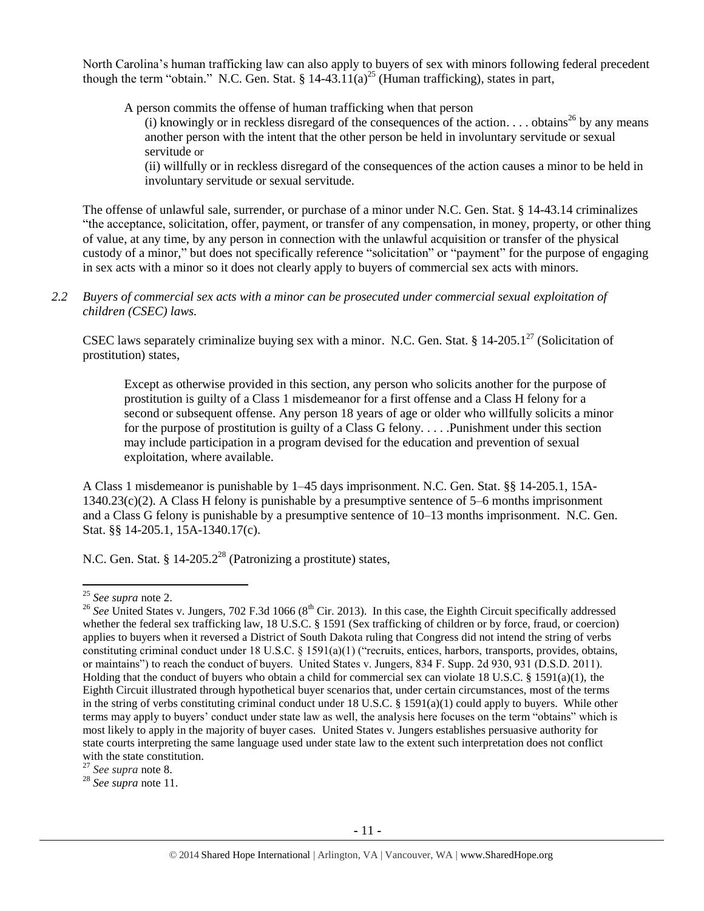North Carolina's human trafficking law can also apply to buyers of sex with minors following federal precedent though the term "obtain." N.C. Gen. Stat. § 14-43.11(a)<sup>25</sup> (Human trafficking), states in part,

A person commits the offense of human trafficking when that person

(i) knowingly or in reckless disregard of the consequences of the action. . . . obtains<sup>26</sup> by any means another person with the intent that the other person be held in involuntary servitude or sexual servitude or

(ii) willfully or in reckless disregard of the consequences of the action causes a minor to be held in involuntary servitude or sexual servitude.

The offense of unlawful sale, surrender, or purchase of a minor under N.C. Gen. Stat. § 14-43.14 criminalizes "the acceptance, solicitation, offer, payment, or transfer of any compensation, in money, property, or other thing of value, at any time, by any person in connection with the unlawful acquisition or transfer of the physical custody of a minor," but does not specifically reference "solicitation" or "payment" for the purpose of engaging in sex acts with a minor so it does not clearly apply to buyers of commercial sex acts with minors.

*2.2 Buyers of commercial sex acts with a minor can be prosecuted under commercial sexual exploitation of children (CSEC) laws.*

CSEC laws separately criminalize buying sex with a minor. N.C. Gen. Stat. § 14-205.1<sup>27</sup> (Solicitation of prostitution) states,

Except as otherwise provided in this section, any person who solicits another for the purpose of prostitution is guilty of a Class 1 misdemeanor for a first offense and a Class H felony for a second or subsequent offense. Any person 18 years of age or older who willfully solicits a minor for the purpose of prostitution is guilty of a Class G felony. . . . .Punishment under this section may include participation in a program devised for the education and prevention of sexual exploitation, where available.

A Class 1 misdemeanor is punishable by 1–45 days imprisonment. N.C. Gen. Stat. §§ 14-205.1, 15A-1340.23(c)(2). A Class H felony is punishable by a presumptive sentence of 5–6 months imprisonment and a Class G felony is punishable by a presumptive sentence of 10–13 months imprisonment. N.C. Gen. Stat. §§ 14-205.1, 15A-1340.17(c).

N.C. Gen. Stat. § 14-205.2<sup>28</sup> (Patronizing a prostitute) states,

 $\overline{\phantom{a}}$ 

<sup>27</sup> *See supra* note [8.](#page-2-0)

<sup>28</sup> *See supra* note [11.](#page-3-2)

<sup>25</sup> *See supra* note [2.](#page-0-0)

<sup>&</sup>lt;sup>26</sup> See United States v. Jungers, 702 F.3d 1066 (8<sup>th</sup> Cir. 2013). In this case, the Eighth Circuit specifically addressed whether the federal sex trafficking law, 18 U.S.C. § 1591 (Sex trafficking of children or by force, fraud, or coercion) applies to buyers when it reversed a District of South Dakota ruling that Congress did not intend the string of verbs constituting criminal conduct under 18 U.S.C. § 1591(a)(1) ("recruits, entices, harbors, transports, provides, obtains, or maintains") to reach the conduct of buyers. United States v. Jungers, 834 F. Supp. 2d 930, 931 (D.S.D. 2011). Holding that the conduct of buyers who obtain a child for commercial sex can violate 18 U.S.C. § 1591(a)(1), the Eighth Circuit illustrated through hypothetical buyer scenarios that, under certain circumstances, most of the terms in the string of verbs constituting criminal conduct under 18 U.S.C. § 1591(a)(1) could apply to buyers. While other terms may apply to buyers' conduct under state law as well, the analysis here focuses on the term "obtains" which is most likely to apply in the majority of buyer cases. United States v. Jungers establishes persuasive authority for state courts interpreting the same language used under state law to the extent such interpretation does not conflict with the state constitution.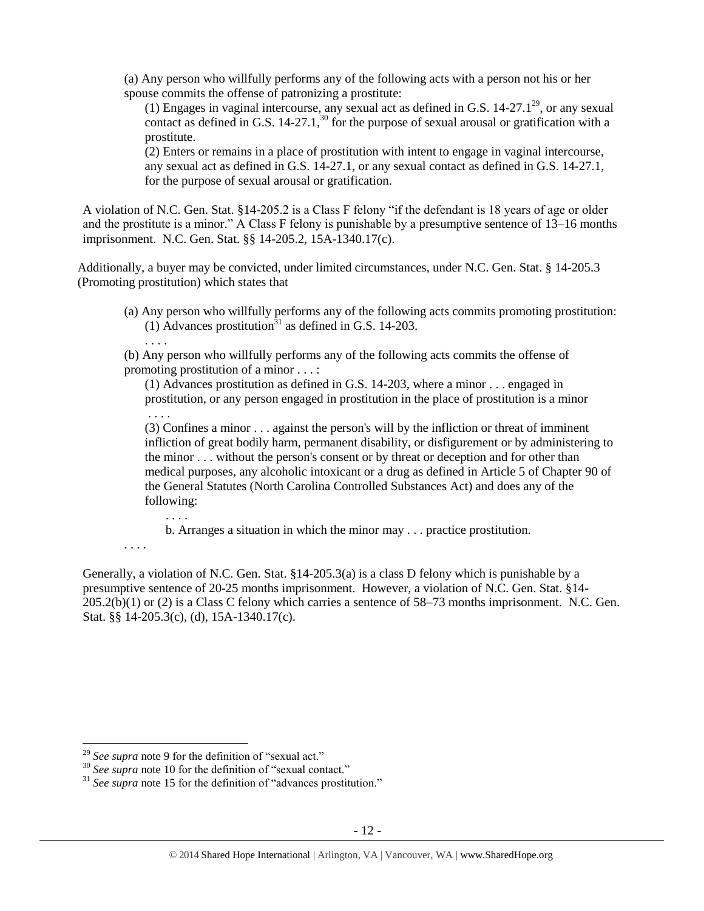(a) Any person who willfully performs any of the following acts with a person not his or her spouse commits the offense of patronizing a prostitute:

(1) Engages in vaginal intercourse, any sexual act as defined in G.S.  $14-27.1^{29}$ , or any sexual contact as defined in G.S.  $14-27.1$ ,<sup>30</sup> for the purpose of sexual arousal or gratification with a prostitute.

(2) Enters or remains in a place of prostitution with intent to engage in vaginal intercourse, any sexual act as defined in G.S. 14-27.1, or any sexual contact as defined in G.S. 14-27.1, for the purpose of sexual arousal or gratification.

A violation of N.C. Gen. Stat. §14-205.2 is a Class F felony "if the defendant is 18 years of age or older and the prostitute is a minor." A Class F felony is punishable by a presumptive sentence of 13–16 months imprisonment. N.C. Gen. Stat. §§ 14-205.2, 15A-1340.17(c).

Additionally, a buyer may be convicted, under limited circumstances, under N.C. Gen. Stat. § 14-205.3 (Promoting prostitution) which states that

(a) Any person who willfully performs any of the following acts commits promoting prostitution: (1) Advances prostitution<sup> $31$ </sup> as defined in G.S. 14-203.

(b) Any person who willfully performs any of the following acts commits the offense of promoting prostitution of a minor . . . :

(1) Advances prostitution as defined in G.S. 14-203, where a minor . . . engaged in prostitution, or any person engaged in prostitution in the place of prostitution is a minor . . . .

(3) Confines a minor . . . against the person's will by the infliction or threat of imminent infliction of great bodily harm, permanent disability, or disfigurement or by administering to the minor . . . without the person's consent or by threat or deception and for other than medical purposes, any alcoholic intoxicant or a drug as defined in Article 5 of Chapter 90 of the General Statutes (North Carolina Controlled Substances Act) and does any of the following:

b. Arranges a situation in which the minor may . . . practice prostitution.

. . . .

 $\overline{\phantom{a}}$ 

. . . .

. . . .

Generally, a violation of N.C. Gen. Stat. §14-205.3(a) is a class D felony which is punishable by a presumptive sentence of 20-25 months imprisonment. However, a violation of N.C. Gen. Stat. §14- 205.2(b)(1) or (2) is a Class C felony which carries a sentence of 58–73 months imprisonment. N.C. Gen. Stat. §§ 14-205.3(c), (d), 15A-1340.17(c).

<sup>29</sup> *See supra* note [9](#page-3-0) for the definition of "sexual act."

<sup>&</sup>lt;sup>30</sup> See supra note [10](#page-3-1) for the definition of "sexual contact."

<sup>&</sup>lt;sup>31</sup> See supra note [15](#page-3-4) for the definition of "advances prostitution."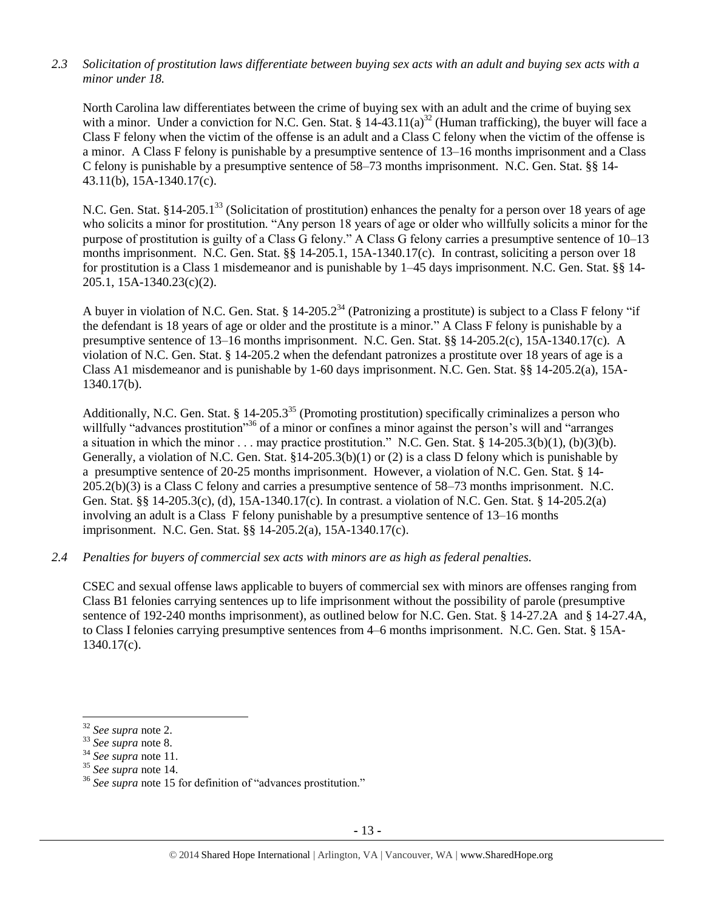# *2.3 Solicitation of prostitution laws differentiate between buying sex acts with an adult and buying sex acts with a minor under 18.*

North Carolina law differentiates between the crime of buying sex with an adult and the crime of buying sex with a minor. Under a conviction for N.C. Gen. Stat. §  $14-43.11(a)^{32}$  (Human trafficking), the buyer will face a Class F felony when the victim of the offense is an adult and a Class C felony when the victim of the offense is a minor. A Class F felony is punishable by a presumptive sentence of 13–16 months imprisonment and a Class C felony is punishable by a presumptive sentence of 58–73 months imprisonment. N.C. Gen. Stat. §§ 14- 43.11(b), 15A-1340.17(c).

N.C. Gen. Stat. §14-205.1<sup>33</sup> (Solicitation of prostitution) enhances the penalty for a person over 18 years of age who solicits a minor for prostitution. "Any person 18 years of age or older who willfully solicits a minor for the purpose of prostitution is guilty of a Class G felony." A Class G felony carries a presumptive sentence of 10–13 months imprisonment. N.C. Gen. Stat. §§ 14-205.1, 15A-1340.17(c). In contrast, soliciting a person over 18 for prostitution is a Class 1 misdemeanor and is punishable by 1–45 days imprisonment. N.C. Gen. Stat. §§ 14- 205.1, 15A-1340.23(c)(2).

A buyer in violation of N.C. Gen. Stat. § 14-205.2<sup>34</sup> (Patronizing a prostitute) is subject to a Class F felony "if the defendant is 18 years of age or older and the prostitute is a minor." A Class F felony is punishable by a presumptive sentence of 13–16 months imprisonment. N.C. Gen. Stat. §§ 14-205.2(c), 15A-1340.17(c). A violation of N.C. Gen. Stat. § 14-205.2 when the defendant patronizes a prostitute over 18 years of age is a Class A1 misdemeanor and is punishable by 1-60 days imprisonment. N.C. Gen. Stat. §§ 14-205.2(a), 15A-1340.17(b).

Additionally, N.C. Gen. Stat. § 14-205.3<sup>35</sup> (Promoting prostitution) specifically criminalizes a person who willfully "advances prostitution"<sup>36</sup> of a minor or confines a minor against the person's will and "arranges" a situation in which the minor . . . may practice prostitution." N.C. Gen. Stat. § 14-205.3(b)(1), (b)(3)(b). Generally, a violation of N.C. Gen. Stat. §14-205.3(b)(1) or (2) is a class D felony which is punishable by a presumptive sentence of 20-25 months imprisonment. However, a violation of N.C. Gen. Stat. § 14- 205.2(b)(3) is a Class C felony and carries a presumptive sentence of 58–73 months imprisonment. N.C. Gen. Stat. §§ 14-205.3(c), (d), 15A-1340.17(c). In contrast. a violation of N.C. Gen. Stat. § 14-205.2(a) involving an adult is a Class F felony punishable by a presumptive sentence of 13–16 months imprisonment. N.C. Gen. Stat. §§ 14-205.2(a), 15A-1340.17(c).

*2.4 Penalties for buyers of commercial sex acts with minors are as high as federal penalties.*

CSEC and sexual offense laws applicable to buyers of commercial sex with minors are offenses ranging from Class B1 felonies carrying sentences up to life imprisonment without the possibility of parole (presumptive sentence of 192-240 months imprisonment), as outlined below for N.C. Gen. Stat. § 14-27.2A and § 14-27.4A, to Class I felonies carrying presumptive sentences from 4–6 months imprisonment. N.C. Gen. Stat. § 15A-1340.17(c).

 $\overline{a}$ <sup>32</sup> *See supra* note [2.](#page-0-0)

<sup>33</sup> *See supra* note [8.](#page-2-0)

<sup>34</sup> *See supra* note [11.](#page-3-2)

<sup>35</sup> *See supra* note [14.](#page-3-3)

<sup>36</sup> *See supra* note [15](#page-3-4) for definition of "advances prostitution."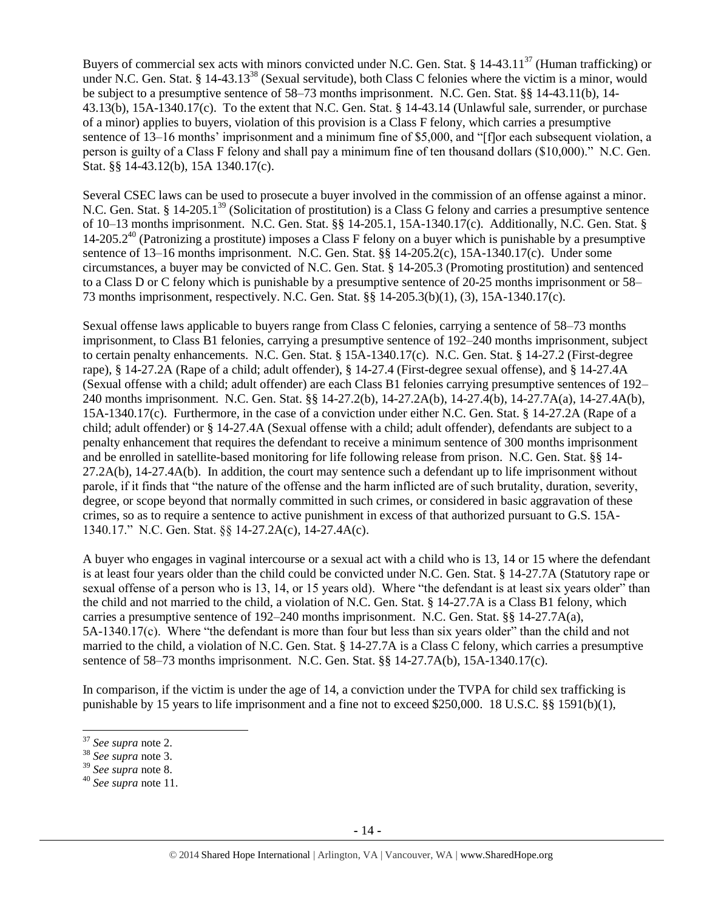Buyers of commercial sex acts with minors convicted under N.C. Gen. Stat. § 14-43.11<sup>37</sup> (Human trafficking) or under N.C. Gen. Stat. § 14-43.13<sup>38</sup> (Sexual servitude), both Class C felonies where the victim is a minor, would be subject to a presumptive sentence of 58–73 months imprisonment. N.C. Gen. Stat. §§ 14-43.11(b), 14- 43.13(b), 15A-1340.17(c). To the extent that N.C. Gen. Stat. § 14-43.14 (Unlawful sale, surrender, or purchase of a minor) applies to buyers, violation of this provision is a Class F felony, which carries a presumptive sentence of 13–16 months' imprisonment and a minimum fine of \$5,000, and "[f]or each subsequent violation, a person is guilty of a Class F felony and shall pay a minimum fine of ten thousand dollars (\$10,000)." N.C. Gen. Stat. §§ 14-43.12(b), 15A 1340.17(c).

Several CSEC laws can be used to prosecute a buyer involved in the commission of an offense against a minor. N.C. Gen. Stat. § 14-205.1<sup>39</sup> (Solicitation of prostitution) is a Class G felony and carries a presumptive sentence of 10–13 months imprisonment. N.C. Gen. Stat. §§ 14-205.1, 15A-1340.17(c). Additionally, N.C. Gen. Stat. §  $14{\text -}205.2^{40}$  (Patronizing a prostitute) imposes a Class F felony on a buyer which is punishable by a presumptive sentence of 13–16 months imprisonment. N.C. Gen. Stat. §§ 14-205.2(c), 15A-1340.17(c). Under some circumstances, a buyer may be convicted of N.C. Gen. Stat. § 14-205.3 (Promoting prostitution) and sentenced to a Class D or C felony which is punishable by a presumptive sentence of 20-25 months imprisonment or 58– 73 months imprisonment, respectively. N.C. Gen. Stat. §§ 14-205.3(b)(1), (3), 15A-1340.17(c).

Sexual offense laws applicable to buyers range from Class C felonies, carrying a sentence of 58–73 months imprisonment, to Class B1 felonies, carrying a presumptive sentence of 192–240 months imprisonment, subject to certain penalty enhancements. N.C. Gen. Stat. § 15A-1340.17(c). N.C. Gen. Stat. § 14-27.2 (First-degree rape), § 14-27.2A (Rape of a child; adult offender), § 14-27.4 (First-degree sexual offense), and § 14-27.4A (Sexual offense with a child; adult offender) are each Class B1 felonies carrying presumptive sentences of 192– 240 months imprisonment. N.C. Gen. Stat. §§ 14-27.2(b), 14-27.2A(b), 14-27.4(b), 14-27.7A(a), 14-27.4A(b), 15A-1340.17(c). Furthermore, in the case of a conviction under either N.C. Gen. Stat. § 14-27.2A (Rape of a child; adult offender) or § 14-27.4A (Sexual offense with a child; adult offender), defendants are subject to a penalty enhancement that requires the defendant to receive a minimum sentence of 300 months imprisonment and be enrolled in satellite-based monitoring for life following release from prison. N.C. Gen. Stat. §§ 14- 27.2A(b), 14-27.4A(b). In addition, the court may sentence such a defendant up to life imprisonment without parole, if it finds that "the nature of the offense and the harm inflicted are of such brutality, duration, severity, degree, or scope beyond that normally committed in such crimes, or considered in basic aggravation of these crimes, so as to require a sentence to active punishment in excess of that authorized pursuant to G.S. 15A-1340.17." N.C. Gen. Stat. §§ 14-27.2A(c), 14-27.4A(c).

A buyer who engages in vaginal intercourse or a sexual act with a child who is 13, 14 or 15 where the defendant is at least four years older than the child could be convicted under N.C. Gen. Stat. § 14-27.7A (Statutory rape or sexual offense of a person who is 13, 14, or 15 years old). Where "the defendant is at least six years older" than the child and not married to the child, a violation of N.C. Gen. Stat. § 14-27.7A is a Class B1 felony, which carries a presumptive sentence of 192–240 months imprisonment. N.C. Gen. Stat. §§ 14-27.7A(a), 5A-1340.17(c). Where "the defendant is more than four but less than six years older" than the child and not married to the child, a violation of N.C. Gen. Stat. § 14-27.7A is a Class C felony, which carries a presumptive sentence of 58–73 months imprisonment. N.C. Gen. Stat. §§ 14-27.7A(b), 15A-1340.17(c).

In comparison, if the victim is under the age of 14, a conviction under the TVPA for child sex trafficking is punishable by 15 years to life imprisonment and a fine not to exceed \$250,000. 18 U.S.C. §§ 1591(b)(1),

 $\overline{\phantom{a}}$ <sup>37</sup> *See supra* note [2.](#page-0-0)

<sup>38</sup> *See supra* note [3.](#page-1-0)

<sup>39</sup> *See supra* note [8.](#page-2-0)

<sup>40</sup> *See supra* note [11.](#page-3-2)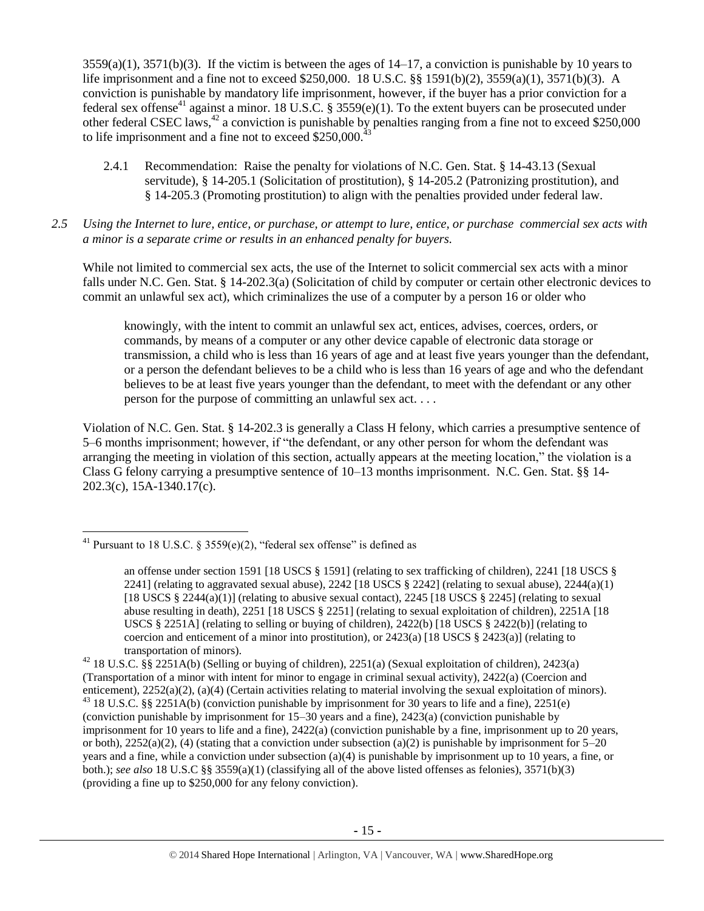$3559(a)(1)$ ,  $3571(b)(3)$ . If the victim is between the ages of  $14-17$ , a conviction is punishable by 10 years to life imprisonment and a fine not to exceed \$250,000. 18 U.S.C. §§ 1591(b)(2), 3559(a)(1), 3571(b)(3). A conviction is punishable by mandatory life imprisonment, however, if the buyer has a prior conviction for a federal sex offense<sup>41</sup> against a minor. 18 U.S.C. § 3559(e)(1). To the extent buyers can be prosecuted under other federal CSEC laws,<sup>42</sup> a conviction is punishable by penalties ranging from a fine not to exceed \$250,000 to life imprisonment and a fine not to exceed \$250,000.<sup>4</sup>

- <span id="page-14-0"></span>2.4.1 Recommendation: Raise the penalty for violations of N.C. Gen. Stat. § 14-43.13 (Sexual servitude), § 14-205.1 (Solicitation of prostitution), § 14-205.2 (Patronizing prostitution), and § 14-205.3 (Promoting prostitution) to align with the penalties provided under federal law.
- *2.5 Using the Internet to lure, entice, or purchase, or attempt to lure, entice, or purchase commercial sex acts with a minor is a separate crime or results in an enhanced penalty for buyers.*

While not limited to commercial sex acts, the use of the Internet to solicit commercial sex acts with a minor falls under N.C. Gen. Stat. § 14-202.3(a) (Solicitation of child by computer or certain other electronic devices to commit an unlawful sex act), which criminalizes the use of a computer by a person 16 or older who

knowingly, with the intent to commit an unlawful sex act, entices, advises, coerces, orders, or commands, by means of a computer or any other device capable of electronic data storage or transmission, a child who is less than 16 years of age and at least five years younger than the defendant, or a person the defendant believes to be a child who is less than 16 years of age and who the defendant believes to be at least five years younger than the defendant, to meet with the defendant or any other person for the purpose of committing an unlawful sex act. . . .

Violation of N.C. Gen. Stat. § 14-202.3 is generally a Class H felony, which carries a presumptive sentence of 5–6 months imprisonment; however, if "the defendant, or any other person for whom the defendant was arranging the meeting in violation of this section, actually appears at the meeting location," the violation is a Class G felony carrying a presumptive sentence of 10–13 months imprisonment. N.C. Gen. Stat. §§ 14- 202.3(c), 15A-1340.17(c).

 $\overline{\phantom{a}}$ <sup>41</sup> Pursuant to 18 U.S.C. § 3559(e)(2), "federal sex offense" is defined as

an offense under section 1591 [18 USCS § 1591] (relating to sex trafficking of children), 2241 [18 USCS § 2241] (relating to aggravated sexual abuse),  $2242$  [18 USCS § 2242] (relating to sexual abuse),  $2244(a)(1)$ [18 USCS § 2244(a)(1)] (relating to abusive sexual contact), 2245 [18 USCS § 2245] (relating to sexual abuse resulting in death), 2251 [18 USCS § 2251] (relating to sexual exploitation of children), 2251A [18 USCS § 2251A] (relating to selling or buying of children),  $2422(b)$  [18 USCS § 2422(b)] (relating to coercion and enticement of a minor into prostitution), or  $2423(a)$  [18 USCS § 2423(a)] (relating to transportation of minors).

<sup>&</sup>lt;sup>42</sup> 18 U.S.C. §§ 2251A(b) (Selling or buying of children), 2251(a) (Sexual exploitation of children), 2423(a) (Transportation of a minor with intent for minor to engage in criminal sexual activity), 2422(a) (Coercion and enticement), 2252(a)(2), (a)(4) (Certain activities relating to material involving the sexual exploitation of minors). <sup>43</sup> 18 U.S.C. §§ 2251A(b) (conviction punishable by imprisonment for 30 years to life and a fine), 2251(e) (conviction punishable by imprisonment for 15–30 years and a fine), 2423(a) (conviction punishable by imprisonment for 10 years to life and a fine), 2422(a) (conviction punishable by a fine, imprisonment up to 20 years, or both),  $2252(a)(2)$ , (4) (stating that a conviction under subsection (a)(2) is punishable by imprisonment for  $5-20$ years and a fine, while a conviction under subsection (a)(4) is punishable by imprisonment up to 10 years, a fine, or both.); *see also* 18 U.S.C §§ 3559(a)(1) (classifying all of the above listed offenses as felonies), 3571(b)(3) (providing a fine up to \$250,000 for any felony conviction).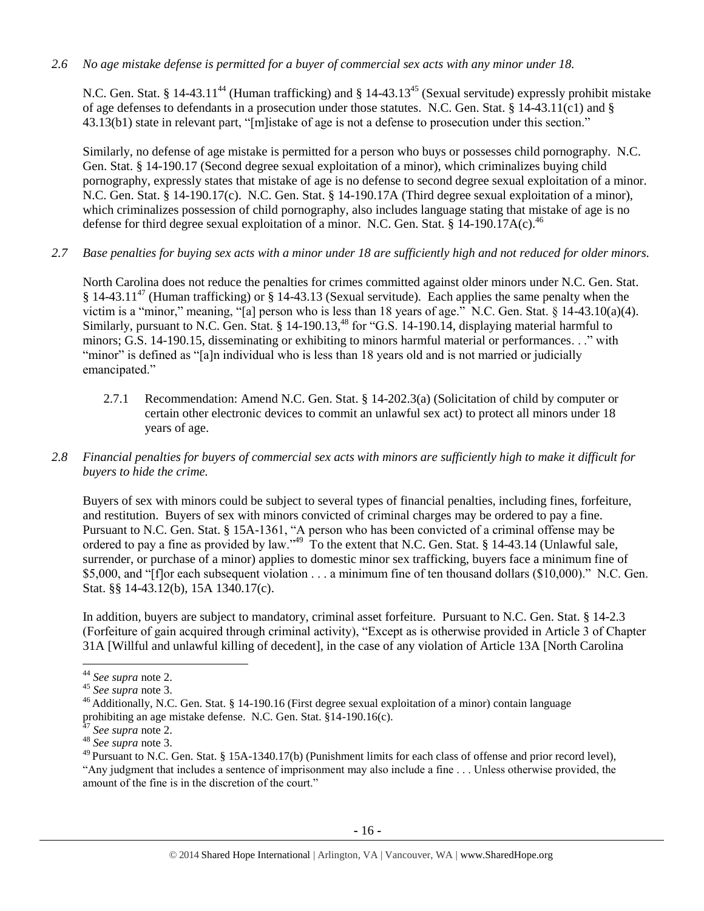*2.6 No age mistake defense is permitted for a buyer of commercial sex acts with any minor under 18.*

N.C. Gen. Stat. § 14-43.11<sup>44</sup> (Human trafficking) and § 14-43.13<sup>45</sup> (Sexual servitude) expressly prohibit mistake of age defenses to defendants in a prosecution under those statutes. N.C. Gen. Stat. § 14-43.11(c1) and § 43.13(b1) state in relevant part, "[m]istake of age is not a defense to prosecution under this section."

Similarly, no defense of age mistake is permitted for a person who buys or possesses child pornography. N.C. Gen. Stat. § 14-190.17 (Second degree sexual exploitation of a minor), which criminalizes buying child pornography, expressly states that mistake of age is no defense to second degree sexual exploitation of a minor. N.C. Gen. Stat. § 14-190.17(c). N.C. Gen. Stat. § 14-190.17A (Third degree sexual exploitation of a minor), which criminalizes possession of child pornography, also includes language stating that mistake of age is no defense for third degree sexual exploitation of a minor. N.C. Gen. Stat. § 14-190.17A(c).<sup>46</sup>

*2.7 Base penalties for buying sex acts with a minor under 18 are sufficiently high and not reduced for older minors.*

North Carolina does not reduce the penalties for crimes committed against older minors under N.C. Gen. Stat. § 14-43.11<sup>47</sup> (Human trafficking) or § 14-43.13 (Sexual servitude). Each applies the same penalty when the victim is a "minor," meaning, "[a] person who is less than 18 years of age." N.C. Gen. Stat. § 14-43.10(a)(4). Similarly, pursuant to N.C. Gen. Stat. § 14-190.13,<sup>48</sup> for "G.S. 14-190.14, displaying material harmful to minors; G.S. 14-190.15, disseminating or exhibiting to minors harmful material or performances. . ." with "minor" is defined as "[a]n individual who is less than 18 years old and is not married or judicially emancipated."

- 2.7.1 Recommendation: Amend N.C. Gen. Stat. § 14-202.3(a) (Solicitation of child by computer or certain other electronic devices to commit an unlawful sex act) to protect all minors under 18 years of age.
- *2.8 Financial penalties for buyers of commercial sex acts with minors are sufficiently high to make it difficult for buyers to hide the crime.*

Buyers of sex with minors could be subject to several types of financial penalties, including fines, forfeiture, and restitution. Buyers of sex with minors convicted of criminal charges may be ordered to pay a fine. Pursuant to N.C. Gen. Stat. § 15A-1361, "A person who has been convicted of a criminal offense may be ordered to pay a fine as provided by law."<sup>49</sup> To the extent that N.C. Gen. Stat. § 14-43.14 (Unlawful sale, surrender, or purchase of a minor) applies to domestic minor sex trafficking, buyers face a minimum fine of \$5,000, and "[f]or each subsequent violation . . . a minimum fine of ten thousand dollars (\$10,000)." N.C. Gen. Stat. §§ 14-43.12(b), 15A 1340.17(c).

In addition, buyers are subject to mandatory, criminal asset forfeiture. Pursuant to N.C. Gen. Stat. § 14-2.3 (Forfeiture of gain acquired through criminal activity), "Except as is otherwise provided in Article 3 of Chapter 31A [Willful and unlawful killing of decedent], in the case of any violation of Article 13A [North Carolina

 $\overline{\phantom{a}}$ 

<sup>44</sup> *See supra* note [2.](#page-0-0)

<sup>45</sup> *See supra* note [3.](#page-1-0)

<sup>46</sup> Additionally, N.C. Gen. Stat. § 14-190.16 (First degree sexual exploitation of a minor) contain language prohibiting an age mistake defense. N.C. Gen. Stat. §14-190.16(c).

<sup>47</sup> *See supra* note [2.](#page-0-0)

<sup>48</sup> *See supra* note [3.](#page-1-0)

 $^{49}$  Pursuant to N.C. Gen. Stat. § 15A-1340.17(b) (Punishment limits for each class of offense and prior record level), "Any judgment that includes a sentence of imprisonment may also include a fine . . . Unless otherwise provided, the amount of the fine is in the discretion of the court."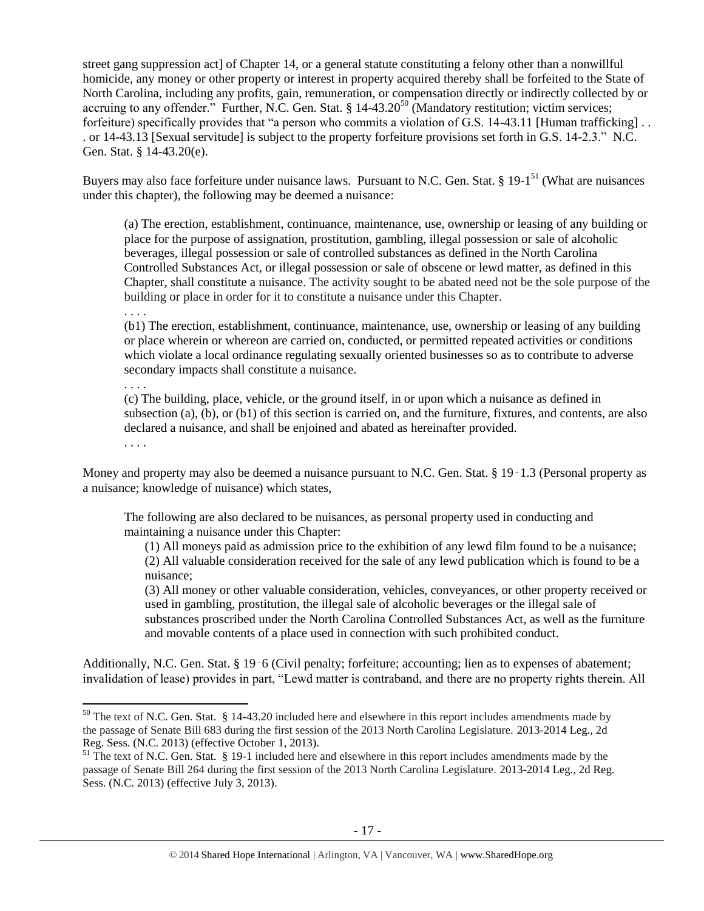street gang suppression act] of Chapter 14, or a general statute constituting a felony other than a nonwillful homicide, any money or other property or interest in property acquired thereby shall be forfeited to the State of North Carolina, including any profits, gain, remuneration, or compensation directly or indirectly collected by or accruing to any offender." Further, N.C. Gen. Stat. § 14-43.20<sup>50</sup> (Mandatory restitution; victim services; forfeiture) specifically provides that "a person who commits a violation of G.S. 14-43.11 [Human trafficking] . . . or 14-43.13 [Sexual servitude] is subject to the property forfeiture provisions set forth in G.S. 14-2.3." N.C. Gen. Stat. § 14-43.20(e).

Buyers may also face forfeiture under nuisance laws. Pursuant to N.C. Gen. Stat. § 19-1<sup>51</sup> (What are nuisances under this chapter), the following may be deemed a nuisance:

<span id="page-16-1"></span><span id="page-16-0"></span>(a) The erection, establishment, continuance, maintenance, use, ownership or leasing of any building or place for the purpose of assignation, prostitution, gambling, illegal possession or sale of alcoholic beverages, illegal possession or sale of controlled substances as defined in the North Carolina Controlled Substances Act, or illegal possession or sale of obscene or lewd matter, as defined in this Chapter, shall constitute a nuisance. The activity sought to be abated need not be the sole purpose of the building or place in order for it to constitute a nuisance under this Chapter.

. . . .

(b1) The erection, establishment, continuance, maintenance, use, ownership or leasing of any building or place wherein or whereon are carried on, conducted, or permitted repeated activities or conditions which violate a local ordinance regulating sexually oriented businesses so as to contribute to adverse secondary impacts shall constitute a nuisance.

. . . .

(c) The building, place, vehicle, or the ground itself, in or upon which a nuisance as defined in subsection (a), (b), or (b1) of this section is carried on, and the furniture, fixtures, and contents, are also declared a nuisance, and shall be enjoined and abated as hereinafter provided. . . . .

Money and property may also be deemed a nuisance pursuant to N.C. Gen. Stat. § 19–1.3 (Personal property as a nuisance; knowledge of nuisance) which states,

The following are also declared to be nuisances, as personal property used in conducting and maintaining a nuisance under this Chapter:

(1) All moneys paid as admission price to the exhibition of any lewd film found to be a nuisance; (2) All valuable consideration received for the sale of any lewd publication which is found to be a

nuisance;

l

(3) All money or other valuable consideration, vehicles, conveyances, or other property received or used in gambling, prostitution, the illegal sale of alcoholic beverages or the illegal sale of substances proscribed under the North Carolina Controlled Substances Act, as well as the furniture and movable contents of a place used in connection with such prohibited conduct.

Additionally, N.C. Gen. Stat. § 19-6 (Civil penalty; forfeiture; accounting; lien as to expenses of abatement; invalidation of lease) provides in part, "Lewd matter is contraband, and there are no property rights therein. All

 $50$  The text of N.C. Gen. Stat. § 14-43.20 included here and elsewhere in this report includes amendments made by the passage of Senate Bill 683 during the first session of the 2013 North Carolina Legislature. 2013-2014 Leg., 2d Reg. Sess. (N.C. 2013) (effective October 1, 2013).

<sup>&</sup>lt;sup>51</sup> The text of N.C. Gen. Stat. § 19-1 included here and elsewhere in this report includes amendments made by the passage of Senate Bill 264 during the first session of the 2013 North Carolina Legislature. 2013-2014 Leg., 2d Reg. Sess. (N.C. 2013) (effective July 3, 2013).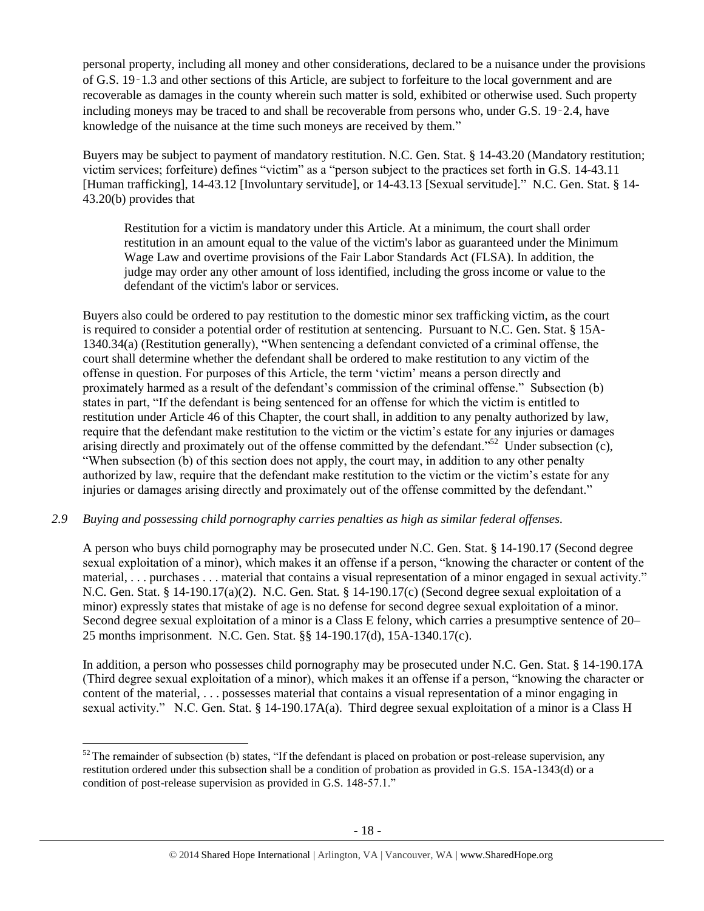personal property, including all money and other considerations, declared to be a nuisance under the provisions of G.S. 19‑1.3 and other sections of this Article, are subject to forfeiture to the local government and are recoverable as damages in the county wherein such matter is sold, exhibited or otherwise used. Such property including moneys may be traced to and shall be recoverable from persons who, under G.S. 19‑2.4, have knowledge of the nuisance at the time such moneys are received by them."

Buyers may be subject to payment of mandatory restitution. N.C. Gen. Stat. § 14-43.20 (Mandatory restitution; victim services; forfeiture) defines "victim" as a "person subject to the practices set forth in G.S. 14-43.11 [Human trafficking], 14-43.12 [Involuntary servitude], or 14-43.13 [Sexual servitude]." N.C. Gen. Stat. § 14- 43.20(b) provides that

Restitution for a victim is mandatory under this Article. At a minimum, the court shall order restitution in an amount equal to the value of the victim's labor as guaranteed under the Minimum Wage Law and overtime provisions of the Fair Labor Standards Act (FLSA). In addition, the judge may order any other amount of loss identified, including the gross income or value to the defendant of the victim's labor or services.

Buyers also could be ordered to pay restitution to the domestic minor sex trafficking victim, as the court is required to consider a potential order of restitution at sentencing. Pursuant to N.C. Gen. Stat. § 15A-1340.34(a) (Restitution generally), "When sentencing a defendant convicted of a criminal offense, the court shall determine whether the defendant shall be ordered to make restitution to any victim of the offense in question. For purposes of this Article, the term 'victim' means a person directly and proximately harmed as a result of the defendant's commission of the criminal offense." Subsection (b) states in part, "If the defendant is being sentenced for an offense for which the victim is entitled to restitution under Article 46 of this Chapter, the court shall, in addition to any penalty authorized by law, require that the defendant make restitution to the victim or the victim's estate for any injuries or damages arising directly and proximately out of the offense committed by the defendant."<sup>52</sup> Under subsection  $(c)$ , "When subsection (b) of this section does not apply, the court may, in addition to any other penalty authorized by law, require that the defendant make restitution to the victim or the victim's estate for any injuries or damages arising directly and proximately out of the offense committed by the defendant."

# *2.9 Buying and possessing child pornography carries penalties as high as similar federal offenses.*

A person who buys child pornography may be prosecuted under N.C. Gen. Stat. § 14-190.17 (Second degree sexual exploitation of a minor), which makes it an offense if a person, "knowing the character or content of the material, . . . purchases . . . material that contains a visual representation of a minor engaged in sexual activity." N.C. Gen. Stat. § 14-190.17(a)(2). N.C. Gen. Stat. § 14-190.17(c) (Second degree sexual exploitation of a minor) expressly states that mistake of age is no defense for second degree sexual exploitation of a minor. Second degree sexual exploitation of a minor is a Class E felony, which carries a presumptive sentence of 20– 25 months imprisonment. N.C. Gen. Stat. §§ 14-190.17(d), 15A-1340.17(c).

In addition, a person who possesses child pornography may be prosecuted under N.C. Gen. Stat. § 14-190.17A (Third degree sexual exploitation of a minor), which makes it an offense if a person, "knowing the character or content of the material, . . . possesses material that contains a visual representation of a minor engaging in sexual activity." N.C. Gen. Stat. § 14-190.17A(a). Third degree sexual exploitation of a minor is a Class H

 $\overline{\phantom{a}}$ 

 $52$  The remainder of subsection (b) states, "If the defendant is placed on probation or post-release supervision, any restitution ordered under this subsection shall be a condition of probation as provided in G.S. 15A-1343(d) or a condition of post-release supervision as provided in G.S. 148-57.1."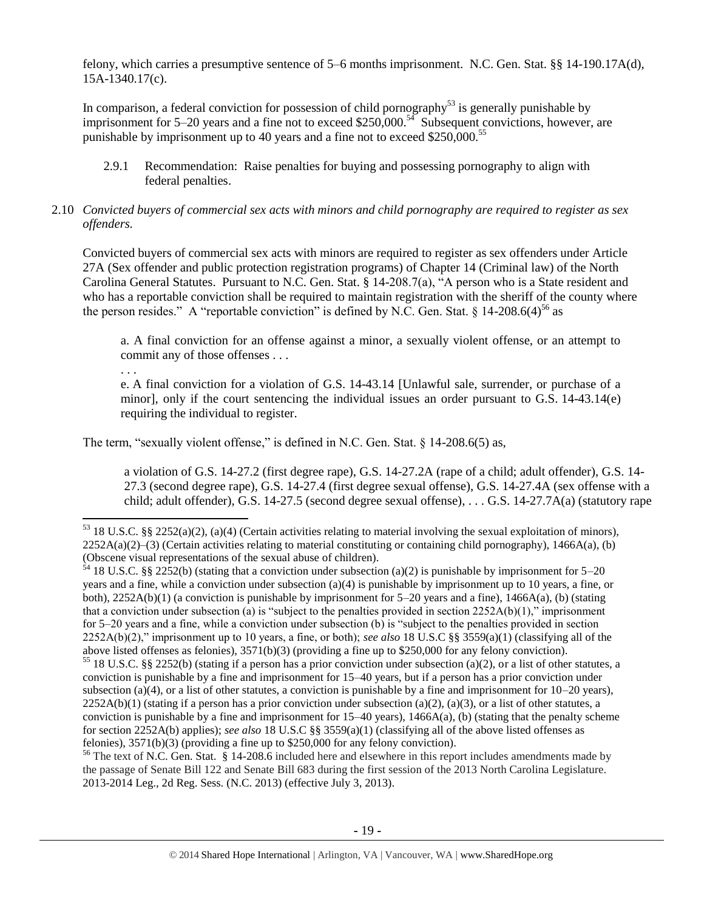felony, which carries a presumptive sentence of 5–6 months imprisonment. N.C. Gen. Stat. §§ 14-190.17A(d), 15A-1340.17(c).

In comparison, a federal conviction for possession of child pornography<sup>53</sup> is generally punishable by imprisonment for 5–20 years and a fine not to exceed \$250,000.<sup>54</sup> Subsequent convictions, however, are punishable by imprisonment up to 40 years and a fine not to exceed \$250,000.<sup>55</sup>

2.9.1 Recommendation: Raise penalties for buying and possessing pornography to align with federal penalties.

# 2.10 *Convicted buyers of commercial sex acts with minors and child pornography are required to register as sex offenders.*

Convicted buyers of commercial sex acts with minors are required to register as sex offenders under Article 27A (Sex offender and public protection registration programs) of Chapter 14 (Criminal law) of the North Carolina General Statutes. Pursuant to N.C. Gen. Stat. § 14-208.7(a), "A person who is a State resident and who has a reportable conviction shall be required to maintain registration with the sheriff of the county where the person resides." A "reportable conviction" is defined by N.C. Gen. Stat.  $\S$  14-208.6(4)<sup>56</sup> as

<span id="page-18-0"></span>a. A final conviction for an offense against a minor, a sexually violent offense, or an attempt to commit any of those offenses . . .

. . .

 $\overline{a}$ 

e. A final conviction for a violation of G.S. 14-43.14 [Unlawful sale, surrender, or purchase of a minor], only if the court sentencing the individual issues an order pursuant to G.S. 14-43.14(e) requiring the individual to register.

The term, "sexually violent offense," is defined in N.C. Gen. Stat. § 14-208.6(5) as,

a violation of G.S. 14-27.2 (first degree rape), G.S. 14-27.2A (rape of a child; adult offender), G.S. 14- 27.3 (second degree rape), G.S. 14-27.4 (first degree sexual offense), G.S. 14-27.4A (sex offense with a child; adult offender), G.S. 14-27.5 (second degree sexual offense), . . . G.S. 14-27.7A(a) (statutory rape

 $54$  18 U.S.C. §§ 2252(b) (stating that a conviction under subsection (a)(2) is punishable by imprisonment for 5–20 years and a fine, while a conviction under subsection (a)(4) is punishable by imprisonment up to 10 years, a fine, or both),  $2252A(b)(1)$  (a conviction is punishable by imprisonment for  $5-20$  years and a fine),  $1466A(a)$ , (b) (stating that a conviction under subsection (a) is "subject to the penalties provided in section  $2252A(b)(1)$ ," imprisonment for 5–20 years and a fine, while a conviction under subsection (b) is "subject to the penalties provided in section 2252A(b)(2)," imprisonment up to 10 years, a fine, or both); *see also* 18 U.S.C §§ 3559(a)(1) (classifying all of the above listed offenses as felonies), 3571(b)(3) (providing a fine up to \$250,000 for any felony conviction).

<sup>56</sup> The text of N.C. Gen. Stat. § 14-208.6 included here and elsewhere in this report includes amendments made by the passage of Senate Bill 122 and Senate Bill 683 during the first session of the 2013 North Carolina Legislature. 2013-2014 Leg., 2d Reg. Sess. (N.C. 2013) (effective July 3, 2013).

<sup>53</sup> 18 U.S.C. §§ 2252(a)(2), (a)(4) (Certain activities relating to material involving the sexual exploitation of minors),  $2252A(a)(2)$ –(3) (Certain activities relating to material constituting or containing child pornography), 1466A(a), (b) (Obscene visual representations of the sexual abuse of children).

<sup>&</sup>lt;sup>55</sup> 18 U.S.C. §§ 2252(b) (stating if a person has a prior conviction under subsection (a)(2), or a list of other statutes, a conviction is punishable by a fine and imprisonment for 15–40 years, but if a person has a prior conviction under subsection (a)(4), or a list of other statutes, a conviction is punishable by a fine and imprisonment for  $10-20$  years),  $2252A(b)(1)$  (stating if a person has a prior conviction under subsection (a)(2), (a)(3), or a list of other statutes, a conviction is punishable by a fine and imprisonment for  $15-40$  years),  $1466A(a)$ , (b) (stating that the penalty scheme for section 2252A(b) applies); *see also* 18 U.S.C §§ 3559(a)(1) (classifying all of the above listed offenses as felonies), 3571(b)(3) (providing a fine up to \$250,000 for any felony conviction).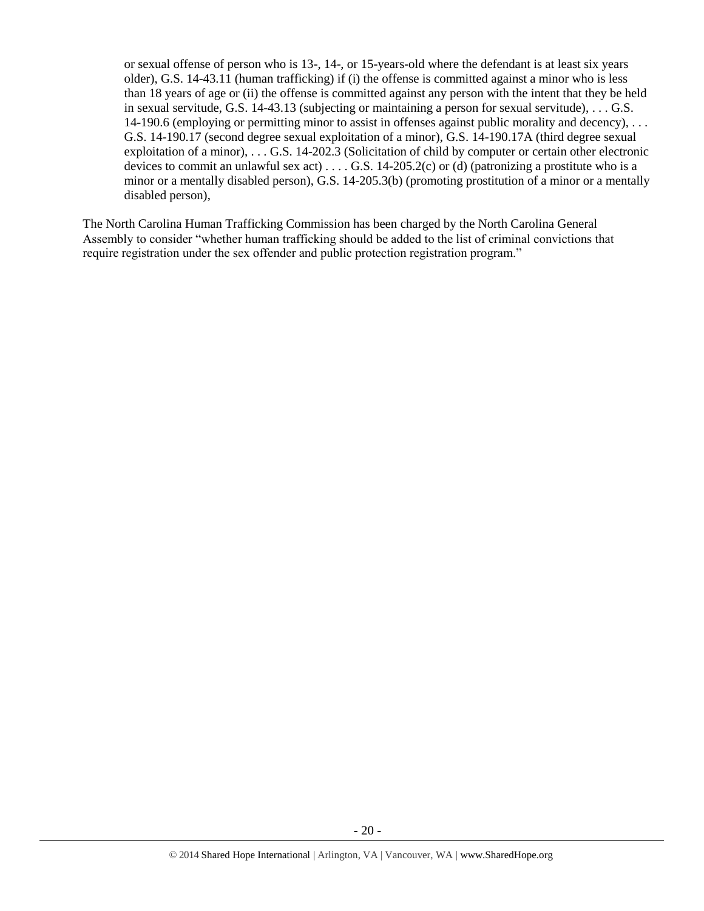or sexual offense of person who is 13-, 14-, or 15-years-old where the defendant is at least six years older), G.S. 14-43.11 (human trafficking) if (i) the offense is committed against a minor who is less than 18 years of age or (ii) the offense is committed against any person with the intent that they be held in sexual servitude, G.S. 14-43.13 (subjecting or maintaining a person for sexual servitude), . . . G.S. 14-190.6 (employing or permitting minor to assist in offenses against public morality and decency), . . . G.S. 14-190.17 (second degree sexual exploitation of a minor), G.S. 14-190.17A (third degree sexual exploitation of a minor), . . . G.S. 14-202.3 (Solicitation of child by computer or certain other electronic devices to commit an unlawful sex act)  $\dots$  G.S. 14-205.2(c) or (d) (patronizing a prostitute who is a minor or a mentally disabled person), G.S. 14-205.3(b) (promoting prostitution of a minor or a mentally disabled person),

The North Carolina Human Trafficking Commission has been charged by the North Carolina General Assembly to consider "whether human trafficking should be added to the list of criminal convictions that require registration under the sex offender and public protection registration program."

**-** 20 **-**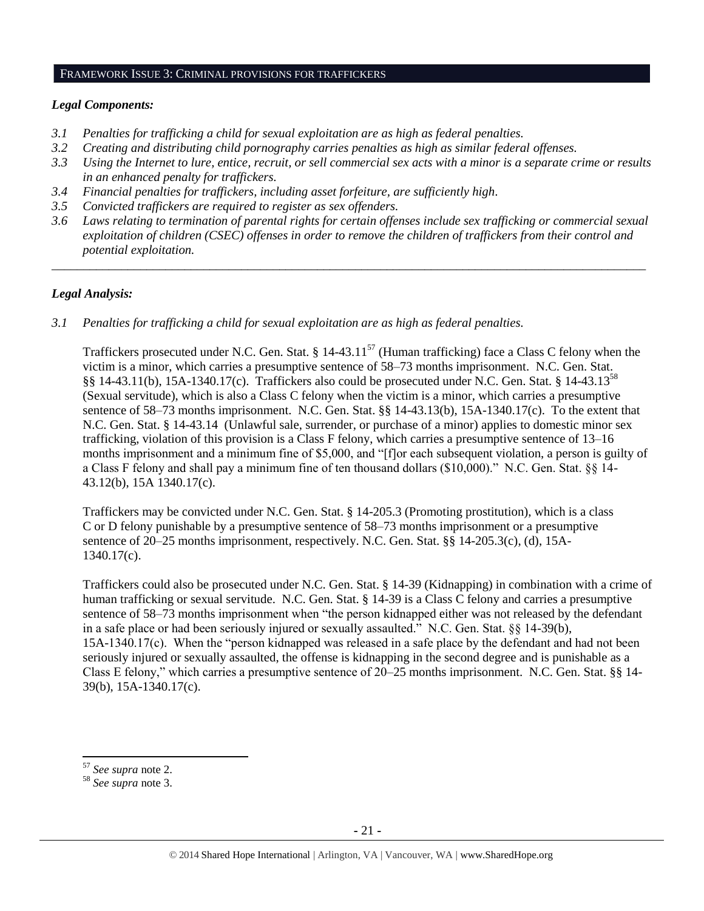#### FRAMEWORK ISSUE 3: CRIMINAL PROVISIONS FOR TRAFFICKERS

## *Legal Components:*

- *3.1 Penalties for trafficking a child for sexual exploitation are as high as federal penalties.*
- *3.2 Creating and distributing child pornography carries penalties as high as similar federal offenses.*
- *3.3 Using the Internet to lure, entice, recruit, or sell commercial sex acts with a minor is a separate crime or results in an enhanced penalty for traffickers.*
- *3.4 Financial penalties for traffickers, including asset forfeiture, are sufficiently high*.
- *3.5 Convicted traffickers are required to register as sex offenders.*
- *3.6 Laws relating to termination of parental rights for certain offenses include sex trafficking or commercial sexual exploitation of children (CSEC) offenses in order to remove the children of traffickers from their control and potential exploitation.*

*\_\_\_\_\_\_\_\_\_\_\_\_\_\_\_\_\_\_\_\_\_\_\_\_\_\_\_\_\_\_\_\_\_\_\_\_\_\_\_\_\_\_\_\_\_\_\_\_\_\_\_\_\_\_\_\_\_\_\_\_\_\_\_\_\_\_\_\_\_\_\_\_\_\_\_\_\_\_\_\_\_\_\_\_\_\_\_\_\_\_\_\_\_\_*

# *Legal Analysis:*

*3.1 Penalties for trafficking a child for sexual exploitation are as high as federal penalties.* 

Traffickers prosecuted under N.C. Gen. Stat. § 14-43.11<sup>57</sup> (Human trafficking) face a Class C felony when the victim is a minor, which carries a presumptive sentence of 58–73 months imprisonment. N.C. Gen. Stat. §§ 14-43.11(b), 15A-1340.17(c). Traffickers also could be prosecuted under N.C. Gen. Stat. § 14-43.13<sup>58</sup> (Sexual servitude), which is also a Class C felony when the victim is a minor, which carries a presumptive sentence of 58–73 months imprisonment. N.C. Gen. Stat. §§ 14-43.13(b), 15A-1340.17(c). To the extent that N.C. Gen. Stat. § 14-43.14 (Unlawful sale, surrender, or purchase of a minor) applies to domestic minor sex trafficking, violation of this provision is a Class F felony, which carries a presumptive sentence of 13–16 months imprisonment and a minimum fine of \$5,000, and "[f]or each subsequent violation, a person is guilty of a Class F felony and shall pay a minimum fine of ten thousand dollars (\$10,000)." N.C. Gen. Stat. §§ 14- 43.12(b), 15A 1340.17(c).

Traffickers may be convicted under N.C. Gen. Stat. § 14-205.3 (Promoting prostitution), which is a class C or D felony punishable by a presumptive sentence of 58–73 months imprisonment or a presumptive sentence of 20–25 months imprisonment, respectively. N.C. Gen. Stat. §§ 14-205.3(c), (d), 15A-1340.17(c).

Traffickers could also be prosecuted under N.C. Gen. Stat. § 14-39 (Kidnapping) in combination with a crime of human trafficking or sexual servitude. N.C. Gen. Stat. § 14-39 is a Class C felony and carries a presumptive sentence of 58–73 months imprisonment when "the person kidnapped either was not released by the defendant in a safe place or had been seriously injured or sexually assaulted." N.C. Gen. Stat. §§ 14-39(b), 15A-1340.17(c). When the "person kidnapped was released in a safe place by the defendant and had not been seriously injured or sexually assaulted, the offense is kidnapping in the second degree and is punishable as a Class E felony," which carries a presumptive sentence of 20–25 months imprisonment. N.C. Gen. Stat. §§ 14- 39(b), 15A-1340.17(c).

l

<sup>57</sup> *See supra* note [2.](#page-0-0)

<sup>58</sup> *See supra* note [3.](#page-1-0)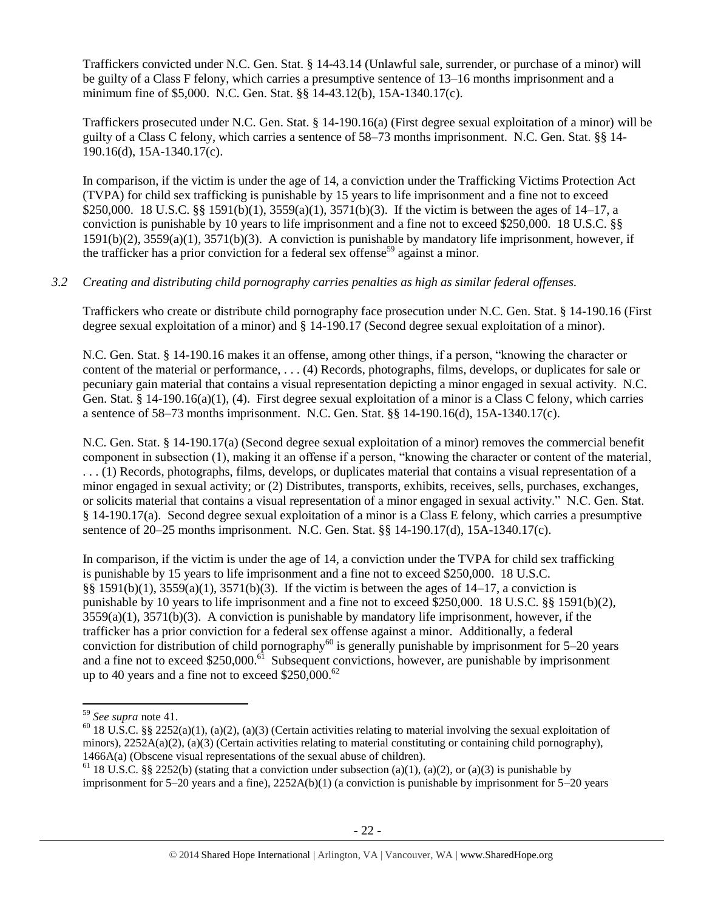Traffickers convicted under N.C. Gen. Stat. § 14-43.14 (Unlawful sale, surrender, or purchase of a minor) will be guilty of a Class F felony, which carries a presumptive sentence of 13–16 months imprisonment and a minimum fine of \$5,000. N.C. Gen. Stat. §§ 14-43.12(b), 15A-1340.17(c).

Traffickers prosecuted under N.C. Gen. Stat. § 14-190.16(a) (First degree sexual exploitation of a minor) will be guilty of a Class C felony, which carries a sentence of 58–73 months imprisonment. N.C. Gen. Stat. §§ 14- 190.16(d), 15A-1340.17(c).

In comparison, if the victim is under the age of 14, a conviction under the Trafficking Victims Protection Act (TVPA) for child sex trafficking is punishable by 15 years to life imprisonment and a fine not to exceed \$250,000. 18 U.S.C. §§ 1591(b)(1), 3559(a)(1), 3571(b)(3). If the victim is between the ages of 14–17, a conviction is punishable by 10 years to life imprisonment and a fine not to exceed \$250,000. 18 U.S.C. §§ 1591(b)(2), 3559(a)(1), 3571(b)(3). A conviction is punishable by mandatory life imprisonment, however, if the trafficker has a prior conviction for a federal sex offense<sup>59</sup> against a minor.

# *3.2 Creating and distributing child pornography carries penalties as high as similar federal offenses.*

Traffickers who create or distribute child pornography face prosecution under N.C. Gen. Stat. § 14-190.16 (First degree sexual exploitation of a minor) and § 14-190.17 (Second degree sexual exploitation of a minor).

N.C. Gen. Stat. § 14-190.16 makes it an offense, among other things, if a person, "knowing the character or content of the material or performance, . . . (4) Records, photographs, films, develops, or duplicates for sale or pecuniary gain material that contains a visual representation depicting a minor engaged in sexual activity. N.C. Gen. Stat. § 14-190.16(a)(1), (4). First degree sexual exploitation of a minor is a Class C felony, which carries a sentence of 58–73 months imprisonment. N.C. Gen. Stat. §§ 14-190.16(d), 15A-1340.17(c).

N.C. Gen. Stat. § 14-190.17(a) (Second degree sexual exploitation of a minor) removes the commercial benefit component in subsection (1), making it an offense if a person, "knowing the character or content of the material, . . . (1) Records, photographs, films, develops, or duplicates material that contains a visual representation of a minor engaged in sexual activity; or (2) Distributes, transports, exhibits, receives, sells, purchases, exchanges, or solicits material that contains a visual representation of a minor engaged in sexual activity." N.C. Gen. Stat. § 14-190.17(a). Second degree sexual exploitation of a minor is a Class E felony, which carries a presumptive sentence of 20–25 months imprisonment. N.C. Gen. Stat. §§ 14-190.17(d), 15A-1340.17(c).

In comparison, if the victim is under the age of 14, a conviction under the TVPA for child sex trafficking is punishable by 15 years to life imprisonment and a fine not to exceed \$250,000. 18 U.S.C. §§ 1591(b)(1), 3559(a)(1), 3571(b)(3). If the victim is between the ages of 14–17, a conviction is punishable by 10 years to life imprisonment and a fine not to exceed \$250,000. 18 U.S.C. §§ 1591(b)(2),  $3559(a)(1)$ ,  $3571(b)(3)$ . A conviction is punishable by mandatory life imprisonment, however, if the trafficker has a prior conviction for a federal sex offense against a minor. Additionally, a federal conviction for distribution of child pornography<sup>60</sup> is generally punishable by imprisonment for 5–20 years and a fine not to exceed \$250,000. $^{61}$  Subsequent convictions, however, are punishable by imprisonment up to 40 years and a fine not to exceed  $$250,000$ .<sup>62</sup>

l

<sup>59</sup> *See supra* note [41.](#page-14-0) 

<sup>&</sup>lt;sup>60</sup> 18 U.S.C. §§ 2252(a)(1), (a)(2), (a)(3) (Certain activities relating to material involving the sexual exploitation of minors),  $2252A(a)(2)$ , (a)(3) (Certain activities relating to material constituting or containing child pornography), 1466A(a) (Obscene visual representations of the sexual abuse of children).

<sup>&</sup>lt;sup>61</sup> 18 U.S.C. §§ 2252(b) (stating that a conviction under subsection (a)(1), (a)(2), or (a)(3) is punishable by imprisonment for 5–20 years and a fine), 2252A(b)(1) (a conviction is punishable by imprisonment for 5–20 years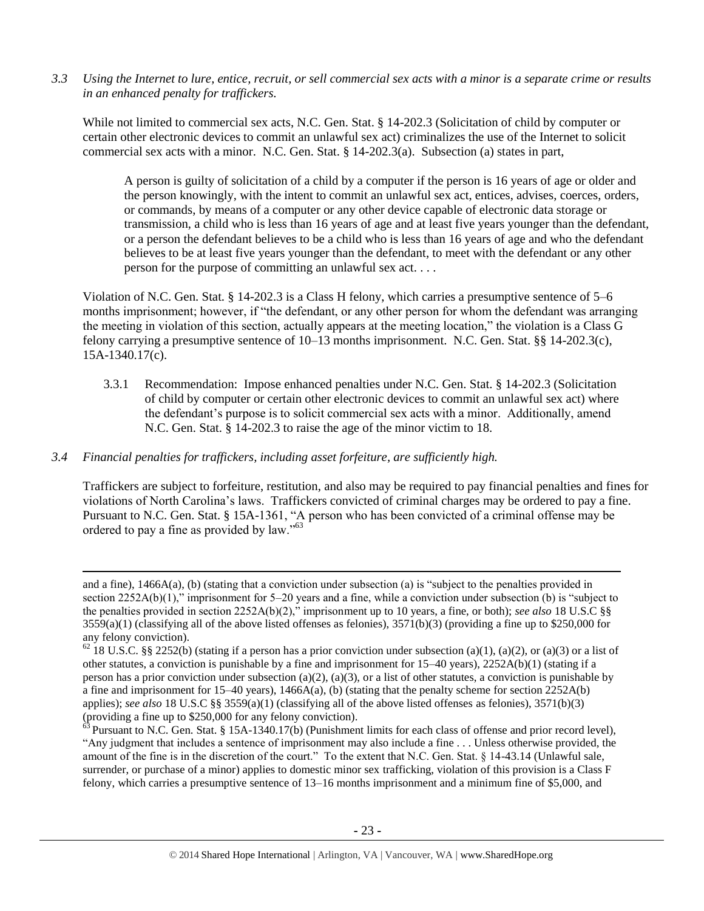*3.3 Using the Internet to lure, entice, recruit, or sell commercial sex acts with a minor is a separate crime or results in an enhanced penalty for traffickers.* 

While not limited to commercial sex acts, N.C. Gen. Stat. § 14-202.3 (Solicitation of child by computer or certain other electronic devices to commit an unlawful sex act) criminalizes the use of the Internet to solicit commercial sex acts with a minor. N.C. Gen. Stat. § 14-202.3(a). Subsection (a) states in part,

A person is guilty of solicitation of a child by a computer if the person is 16 years of age or older and the person knowingly, with the intent to commit an unlawful sex act, entices, advises, coerces, orders, or commands, by means of a computer or any other device capable of electronic data storage or transmission, a child who is less than 16 years of age and at least five years younger than the defendant, or a person the defendant believes to be a child who is less than 16 years of age and who the defendant believes to be at least five years younger than the defendant, to meet with the defendant or any other person for the purpose of committing an unlawful sex act. . . .

Violation of N.C. Gen. Stat. § 14-202.3 is a Class H felony, which carries a presumptive sentence of 5–6 months imprisonment; however, if "the defendant, or any other person for whom the defendant was arranging the meeting in violation of this section, actually appears at the meeting location," the violation is a Class G felony carrying a presumptive sentence of 10–13 months imprisonment. N.C. Gen. Stat. §§ 14-202.3(c), 15A-1340.17(c).

3.3.1 Recommendation: Impose enhanced penalties under N.C. Gen. Stat. § 14-202.3 (Solicitation of child by computer or certain other electronic devices to commit an unlawful sex act) where the defendant's purpose is to solicit commercial sex acts with a minor. Additionally, amend N.C. Gen. Stat. § 14-202.3 to raise the age of the minor victim to 18.

## *3.4 Financial penalties for traffickers, including asset forfeiture, are sufficiently high.*

 $\overline{\phantom{a}}$ 

Traffickers are subject to forfeiture, restitution, and also may be required to pay financial penalties and fines for violations of North Carolina's laws. Traffickers convicted of criminal charges may be ordered to pay a fine. Pursuant to N.C. Gen. Stat. § 15A-1361, "A person who has been convicted of a criminal offense may be ordered to pay a fine as provided by law."<sup>63</sup>

and a fine), 1466A(a), (b) (stating that a conviction under subsection (a) is "subject to the penalties provided in section 2252A(b)(1)," imprisonment for 5–20 years and a fine, while a conviction under subsection (b) is "subject to the penalties provided in section 2252A(b)(2)," imprisonment up to 10 years, a fine, or both); *see also* 18 U.S.C §§  $3559(a)(1)$  (classifying all of the above listed offenses as felonies),  $3571(b)(3)$  (providing a fine up to \$250,000 for any felony conviction).

 $62$  18 U.S.C. §§ 2252(b) (stating if a person has a prior conviction under subsection (a)(1), (a)(2), or (a)(3) or a list of other statutes, a conviction is punishable by a fine and imprisonment for 15–40 years), 2252A(b)(1) (stating if a person has a prior conviction under subsection (a)(2), (a)(3), or a list of other statutes, a conviction is punishable by a fine and imprisonment for  $15-40$  years),  $1466A(a)$ , (b) (stating that the penalty scheme for section  $2252A(b)$ applies); *see also* 18 U.S.C §§ 3559(a)(1) (classifying all of the above listed offenses as felonies), 3571(b)(3) (providing a fine up to \$250,000 for any felony conviction).

Pursuant to N.C. Gen. Stat. § 15A-1340.17(b) (Punishment limits for each class of offense and prior record level), "Any judgment that includes a sentence of imprisonment may also include a fine . . . Unless otherwise provided, the amount of the fine is in the discretion of the court." To the extent that N.C. Gen. Stat. § 14-43.14 (Unlawful sale, surrender, or purchase of a minor) applies to domestic minor sex trafficking, violation of this provision is a Class F felony, which carries a presumptive sentence of 13–16 months imprisonment and a minimum fine of \$5,000, and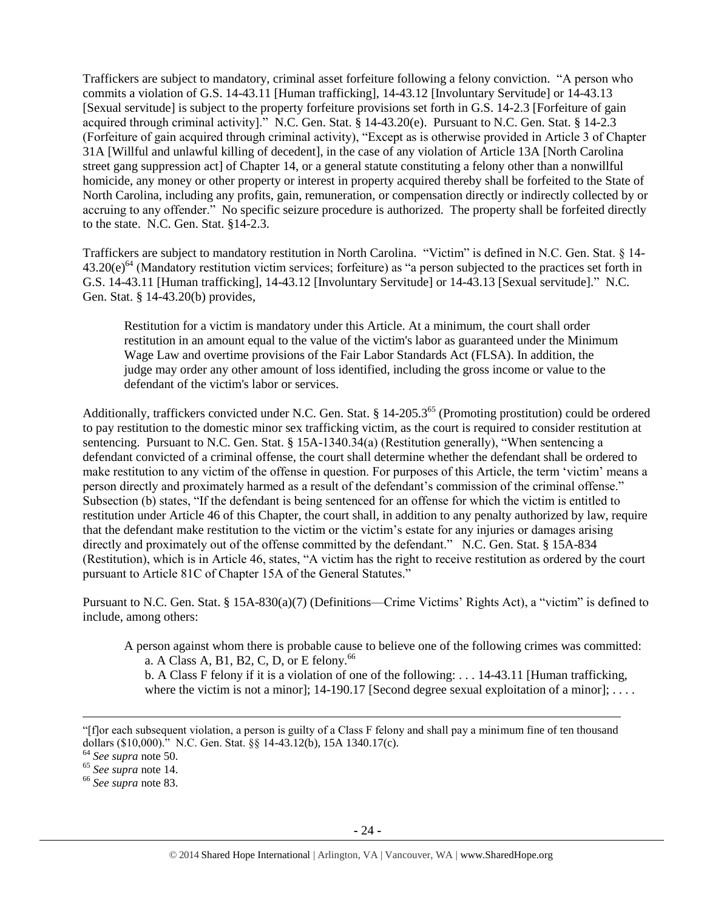Traffickers are subject to mandatory, criminal asset forfeiture following a felony conviction. "A person who commits a violation of G.S. 14-43.11 [Human trafficking], 14-43.12 [Involuntary Servitude] or 14-43.13 [Sexual servitude] is subject to the property forfeiture provisions set forth in G.S. 14-2.3 [Forfeiture of gain acquired through criminal activity]." N.C. Gen. Stat. § 14-43.20(e). Pursuant to N.C. Gen. Stat. § 14-2.3 (Forfeiture of gain acquired through criminal activity), "Except as is otherwise provided in Article 3 of Chapter 31A [Willful and unlawful killing of decedent], in the case of any violation of Article 13A [North Carolina street gang suppression act] of Chapter 14, or a general statute constituting a felony other than a nonwillful homicide, any money or other property or interest in property acquired thereby shall be forfeited to the State of North Carolina, including any profits, gain, remuneration, or compensation directly or indirectly collected by or accruing to any offender." No specific seizure procedure is authorized. The property shall be forfeited directly to the state. N.C. Gen. Stat. §14-2.3.

Traffickers are subject to mandatory restitution in North Carolina. "Victim" is defined in N.C. Gen. Stat. § 14-  $43.20(e)^{64}$  (Mandatory restitution victim services; forfeiture) as "a person subjected to the practices set forth in G.S. 14-43.11 [Human trafficking], 14-43.12 [Involuntary Servitude] or 14-43.13 [Sexual servitude]." N.C. Gen. Stat. § 14-43.20(b) provides,

Restitution for a victim is mandatory under this Article. At a minimum, the court shall order restitution in an amount equal to the value of the victim's labor as guaranteed under the Minimum Wage Law and overtime provisions of the Fair Labor Standards Act (FLSA). In addition, the judge may order any other amount of loss identified, including the gross income or value to the defendant of the victim's labor or services.

Additionally, traffickers convicted under N.C. Gen. Stat. § 14-205.3<sup>65</sup> (Promoting prostitution) could be ordered to pay restitution to the domestic minor sex trafficking victim, as the court is required to consider restitution at sentencing. Pursuant to N.C. Gen. Stat. § 15A-1340.34(a) (Restitution generally), "When sentencing a defendant convicted of a criminal offense, the court shall determine whether the defendant shall be ordered to make restitution to any victim of the offense in question. For purposes of this Article, the term 'victim' means a person directly and proximately harmed as a result of the defendant's commission of the criminal offense." Subsection (b) states, "If the defendant is being sentenced for an offense for which the victim is entitled to restitution under Article 46 of this Chapter, the court shall, in addition to any penalty authorized by law, require that the defendant make restitution to the victim or the victim's estate for any injuries or damages arising directly and proximately out of the offense committed by the defendant." N.C. Gen. Stat. § 15A-834 (Restitution), which is in Article 46, states, "A victim has the right to receive restitution as ordered by the court pursuant to Article 81C of Chapter 15A of the General Statutes."

Pursuant to N.C. Gen. Stat. § 15A-830(a)(7) (Definitions—Crime Victims' Rights Act), a "victim" is defined to include, among others:

A person against whom there is probable cause to believe one of the following crimes was committed: a. A Class A, B1, B2, C, D, or E felony.<sup>66</sup>

b. A Class F felony if it is a violation of one of the following: . . . 14-43.11 [Human trafficking, where the victim is not a minor]; 14-190.17 [Second degree sexual exploitation of a minor];  $\dots$ .

 $\overline{a}$ 

<sup>&</sup>quot;[f]or each subsequent violation, a person is guilty of a Class F felony and shall pay a minimum fine of ten thousand dollars (\$10,000)." N.C. Gen. Stat. §§ 14-43.12(b), 15A 1340.17(c).

<sup>64</sup> *See supra* note [50.](#page-16-0)

<sup>65</sup> *See supra* note [14.](#page-3-3)

<sup>66</sup> *See supra* note [83.](#page-34-0)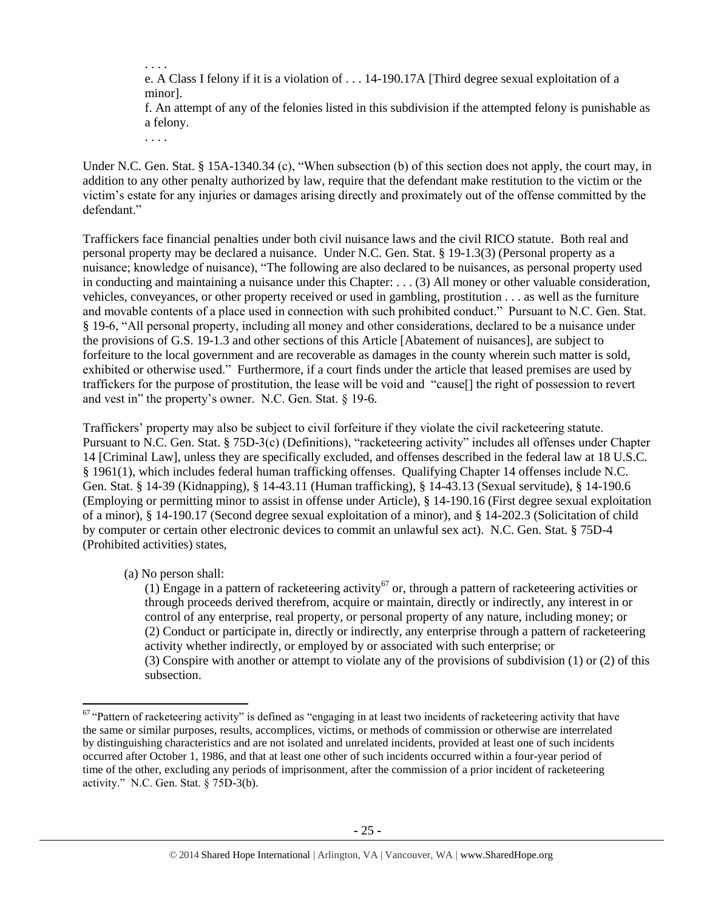e. A Class I felony if it is a violation of . . . 14-190.17A [Third degree sexual exploitation of a minor].

f. An attempt of any of the felonies listed in this subdivision if the attempted felony is punishable as a felony.

. . . .

. . . .

Under N.C. Gen. Stat. § 15A-1340.34 (c), "When subsection (b) of this section does not apply, the court may, in addition to any other penalty authorized by law, require that the defendant make restitution to the victim or the victim's estate for any injuries or damages arising directly and proximately out of the offense committed by the defendant."

Traffickers face financial penalties under both civil nuisance laws and the civil RICO statute. Both real and personal property may be declared a nuisance. Under N.C. Gen. Stat. § 19-1.3(3) (Personal property as a nuisance; knowledge of nuisance), "The following are also declared to be nuisances, as personal property used in conducting and maintaining a nuisance under this Chapter: . . . (3) All money or other valuable consideration, vehicles, conveyances, or other property received or used in gambling, prostitution . . . as well as the furniture and movable contents of a place used in connection with such prohibited conduct." Pursuant to N.C. Gen. Stat. § 19-6, "All personal property, including all money and other considerations, declared to be a nuisance under the provisions of G.S. 19-1.3 and other sections of this Article [Abatement of nuisances], are subject to forfeiture to the local government and are recoverable as damages in the county wherein such matter is sold, exhibited or otherwise used." Furthermore, if a court finds under the article that leased premises are used by traffickers for the purpose of prostitution, the lease will be void and "cause[] the right of possession to revert and vest in" the property's owner. N.C. Gen. Stat. § 19-6.

Traffickers' property may also be subject to civil forfeiture if they violate the civil racketeering statute. Pursuant to N.C. Gen. Stat. § 75D-3(c) (Definitions), "racketeering activity" includes all offenses under Chapter 14 [Criminal Law], unless they are specifically excluded, and offenses described in the federal law at 18 U.S.C. § 1961(1), which includes federal human trafficking offenses. Qualifying Chapter 14 offenses include N.C. Gen. Stat. § 14-39 (Kidnapping), § 14-43.11 (Human trafficking), § 14-43.13 (Sexual servitude), § 14-190.6 (Employing or permitting minor to assist in offense under Article), § 14-190.16 (First degree sexual exploitation of a minor), § 14-190.17 (Second degree sexual exploitation of a minor), and § 14-202.3 (Solicitation of child by computer or certain other electronic devices to commit an unlawful sex act). N.C. Gen. Stat. § 75D-4 (Prohibited activities) states,

(a) No person shall:

l

<span id="page-24-0"></span>(1) Engage in a pattern of racketeering activity<sup>67</sup> or, through a pattern of racketeering activities or through proceeds derived therefrom, acquire or maintain, directly or indirectly, any interest in or control of any enterprise, real property, or personal property of any nature, including money; or (2) Conduct or participate in, directly or indirectly, any enterprise through a pattern of racketeering activity whether indirectly, or employed by or associated with such enterprise; or (3) Conspire with another or attempt to violate any of the provisions of subdivision (1) or (2) of this subsection.

 $67$  "Pattern of racketeering activity" is defined as "engaging in at least two incidents of racketeering activity that have the same or similar purposes, results, accomplices, victims, or methods of commission or otherwise are interrelated by distinguishing characteristics and are not isolated and unrelated incidents, provided at least one of such incidents occurred after October 1, 1986, and that at least one other of such incidents occurred within a four-year period of time of the other, excluding any periods of imprisonment, after the commission of a prior incident of racketeering activity." N.C. Gen. Stat. § 75D-3(b).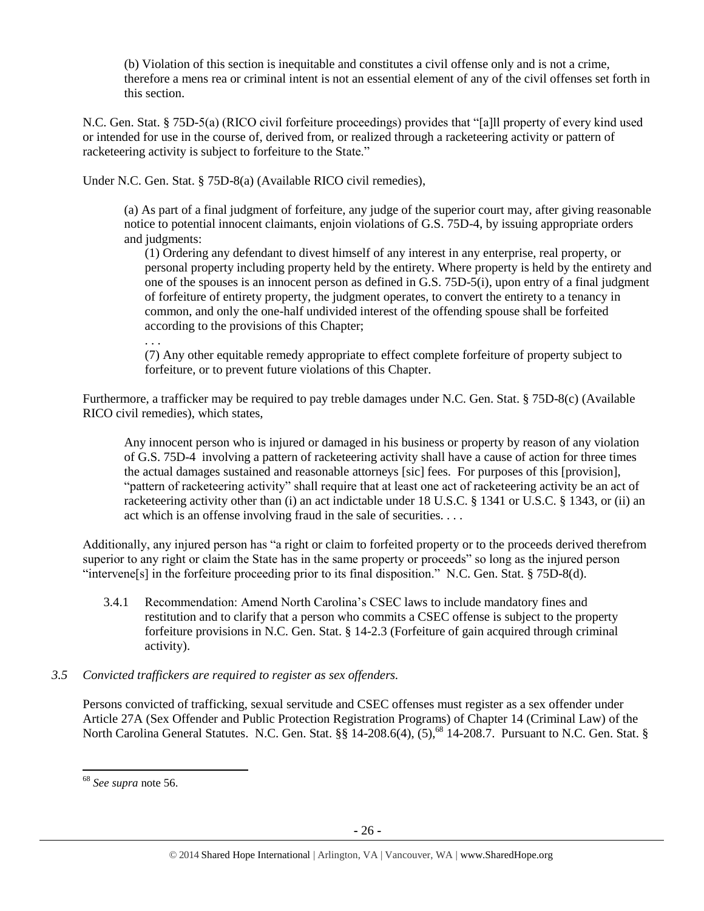(b) Violation of this section is inequitable and constitutes a civil offense only and is not a crime, therefore a mens rea or criminal intent is not an essential element of any of the civil offenses set forth in this section.

N.C. Gen. Stat. § 75D-5(a) (RICO civil forfeiture proceedings) provides that "[a]ll property of every kind used or intended for use in the course of, derived from, or realized through a racketeering activity or pattern of racketeering activity is subject to forfeiture to the State."

Under N.C. Gen. Stat. § 75D-8(a) (Available RICO civil remedies),

(a) As part of a final judgment of forfeiture, any judge of the superior court may, after giving reasonable notice to potential innocent claimants, enjoin violations of G.S. 75D-4, by issuing appropriate orders and judgments:

(1) Ordering any defendant to divest himself of any interest in any enterprise, real property, or personal property including property held by the entirety. Where property is held by the entirety and one of the spouses is an innocent person as defined in G.S. 75D-5(i), upon entry of a final judgment of forfeiture of entirety property, the judgment operates, to convert the entirety to a tenancy in common, and only the one-half undivided interest of the offending spouse shall be forfeited according to the provisions of this Chapter;

. . .

(7) Any other equitable remedy appropriate to effect complete forfeiture of property subject to forfeiture, or to prevent future violations of this Chapter.

Furthermore, a trafficker may be required to pay treble damages under N.C. Gen. Stat. § 75D-8(c) (Available RICO civil remedies), which states,

Any innocent person who is injured or damaged in his business or property by reason of any violation of G.S. 75D-4 involving a pattern of racketeering activity shall have a cause of action for three times the actual damages sustained and reasonable attorneys [sic] fees. For purposes of this [provision], "pattern of racketeering activity" shall require that at least one act of racketeering activity be an act of racketeering activity other than (i) an act indictable under 18 U.S.C. § 1341 or U.S.C. § 1343, or (ii) an act which is an offense involving fraud in the sale of securities. . . .

Additionally, any injured person has "a right or claim to forfeited property or to the proceeds derived therefrom superior to any right or claim the State has in the same property or proceeds" so long as the injured person "intervene[s] in the forfeiture proceeding prior to its final disposition." N.C. Gen. Stat. § 75D-8(d).

3.4.1 Recommendation: Amend North Carolina's CSEC laws to include mandatory fines and restitution and to clarify that a person who commits a CSEC offense is subject to the property forfeiture provisions in N.C. Gen. Stat. § 14-2.3 (Forfeiture of gain acquired through criminal activity).

# *3.5 Convicted traffickers are required to register as sex offenders.*

Persons convicted of trafficking, sexual servitude and CSEC offenses must register as a sex offender under Article 27A (Sex Offender and Public Protection Registration Programs) of Chapter 14 (Criminal Law) of the North Carolina General Statutes. N.C. Gen. Stat. §§ 14-208.6(4), (5),<sup>68</sup> 14-208.7. Pursuant to N.C. Gen. Stat. §

 $\overline{\phantom{a}}$ <sup>68</sup> *See supra* note [56.](#page-18-0)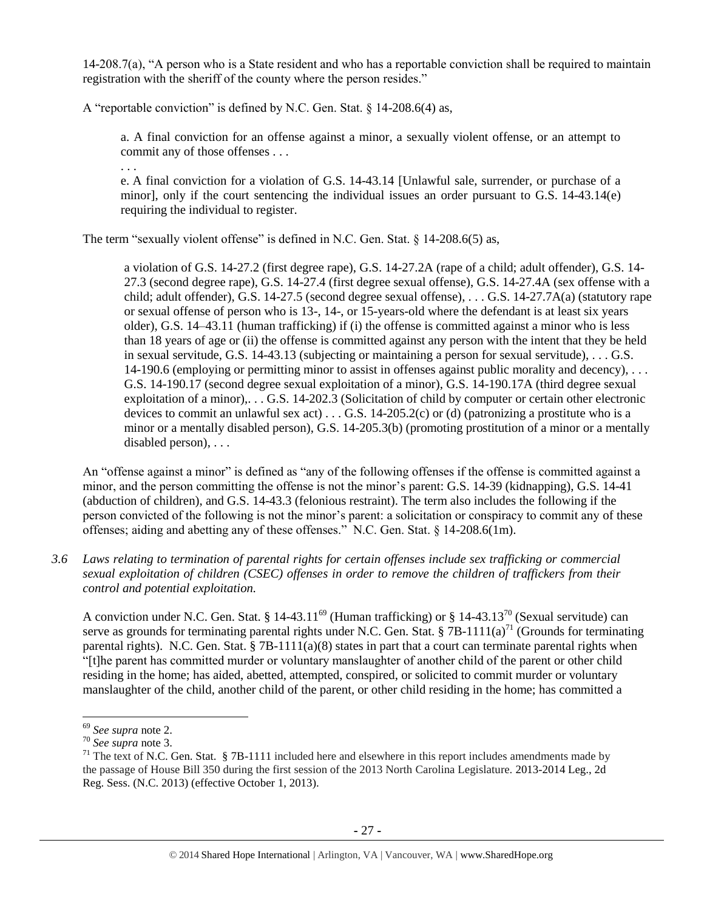14-208.7(a), "A person who is a State resident and who has a reportable conviction shall be required to maintain registration with the sheriff of the county where the person resides."

A "reportable conviction" is defined by N.C. Gen. Stat. § 14-208.6(4) as,

a. A final conviction for an offense against a minor, a sexually violent offense, or an attempt to commit any of those offenses . . .

e. A final conviction for a violation of G.S. 14-43.14 [Unlawful sale, surrender, or purchase of a minor], only if the court sentencing the individual issues an order pursuant to G.S. 14-43.14(e) requiring the individual to register.

The term "sexually violent offense" is defined in N.C. Gen. Stat. § 14-208.6(5) as,

a violation of G.S. 14-27.2 (first degree rape), G.S. 14-27.2A (rape of a child; adult offender), G.S. 14- 27.3 (second degree rape), G.S. 14-27.4 (first degree sexual offense), G.S. 14-27.4A (sex offense with a child; adult offender), G.S. 14-27.5 (second degree sexual offense), . . . G.S. 14-27.7A(a) (statutory rape or sexual offense of person who is 13-, 14-, or 15-years-old where the defendant is at least six years older), G.S. 14–43.11 (human trafficking) if (i) the offense is committed against a minor who is less than 18 years of age or (ii) the offense is committed against any person with the intent that they be held in sexual servitude, G.S. 14-43.13 (subjecting or maintaining a person for sexual servitude), . . . G.S. 14-190.6 (employing or permitting minor to assist in offenses against public morality and decency),  $\dots$ G.S. 14-190.17 (second degree sexual exploitation of a minor), G.S. 14-190.17A (third degree sexual exploitation of a minor),... G.S. 14-202.3 (Solicitation of child by computer or certain other electronic devices to commit an unlawful sex act)  $\dots$  G.S. 14-205.2(c) or (d) (patronizing a prostitute who is a minor or a mentally disabled person), G.S. 14-205.3(b) (promoting prostitution of a minor or a mentally disabled person), . . .

An "offense against a minor" is defined as "any of the following offenses if the offense is committed against a minor, and the person committing the offense is not the minor's parent: G.S. 14-39 (kidnapping), G.S. 14-41 (abduction of children), and G.S. 14-43.3 (felonious restraint). The term also includes the following if the person convicted of the following is not the minor's parent: a solicitation or conspiracy to commit any of these offenses; aiding and abetting any of these offenses." N.C. Gen. Stat. § 14-208.6(1m).

*3.6 Laws relating to termination of parental rights for certain offenses include sex trafficking or commercial sexual exploitation of children (CSEC) offenses in order to remove the children of traffickers from their control and potential exploitation.* 

A conviction under N.C. Gen. Stat. § 14-43.11<sup>69</sup> (Human trafficking) or § 14-43.13<sup>70</sup> (Sexual servitude) can serve as grounds for terminating parental rights under N.C. Gen. Stat. § 7B-1111(a)<sup>71</sup> (Grounds for terminating parental rights). N.C. Gen. Stat. § 7B-111(a)(8) states in part that a court can terminate parental rights when "[t]he parent has committed murder or voluntary manslaughter of another child of the parent or other child residing in the home; has aided, abetted, attempted, conspired, or solicited to commit murder or voluntary manslaughter of the child, another child of the parent, or other child residing in the home; has committed a

 $\overline{a}$ 

. . .

<sup>69</sup> *See supra* note [2.](#page-0-0)

<sup>70</sup> *See supra* note [3.](#page-1-0)

 $71$  The text of N.C. Gen. Stat. § 7B-1111 included here and elsewhere in this report includes amendments made by the passage of House Bill 350 during the first session of the 2013 North Carolina Legislature. 2013-2014 Leg., 2d Reg. Sess. (N.C. 2013) (effective October 1, 2013).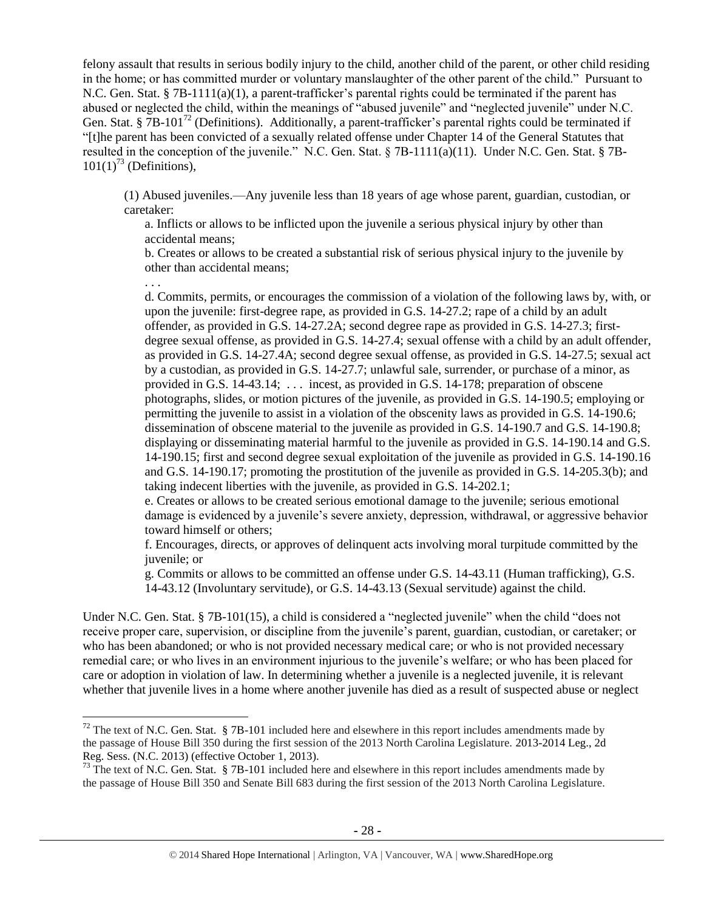felony assault that results in serious bodily injury to the child, another child of the parent, or other child residing in the home; or has committed murder or voluntary manslaughter of the other parent of the child." Pursuant to N.C. Gen. Stat. § 7B-1111(a)(1), a parent-trafficker's parental rights could be terminated if the parent has abused or neglected the child, within the meanings of "abused juvenile" and "neglected juvenile" under N.C. Gen. Stat. §  $7B-101^{72}$  (Definitions). Additionally, a parent-trafficker's parental rights could be terminated if "[t]he parent has been convicted of a sexually related offense under Chapter 14 of the General Statutes that resulted in the conception of the juvenile." N.C. Gen. Stat. § 7B-1111(a)(11). Under N.C. Gen. Stat. § 7B- $101(1)^{73}$  (Definitions),

<span id="page-27-0"></span>(1) Abused juveniles.—Any juvenile less than 18 years of age whose parent, guardian, custodian, or caretaker:

a. Inflicts or allows to be inflicted upon the juvenile a serious physical injury by other than accidental means;

. . .

 $\overline{a}$ 

b. Creates or allows to be created a substantial risk of serious physical injury to the juvenile by other than accidental means;

d. Commits, permits, or encourages the commission of a violation of the following laws by, with, or upon the juvenile: first-degree rape, as provided in G.S. 14-27.2; rape of a child by an adult offender, as provided in G.S. 14-27.2A; second degree rape as provided in G.S. 14-27.3; firstdegree sexual offense, as provided in G.S. 14-27.4; sexual offense with a child by an adult offender, as provided in G.S. 14-27.4A; second degree sexual offense, as provided in G.S. 14-27.5; sexual act by a custodian, as provided in G.S. 14-27.7; unlawful sale, surrender, or purchase of a minor, as provided in G.S. 14-43.14; . . . incest, as provided in G.S. 14-178; preparation of obscene photographs, slides, or motion pictures of the juvenile, as provided in G.S. 14-190.5; employing or permitting the juvenile to assist in a violation of the obscenity laws as provided in G.S. 14-190.6; dissemination of obscene material to the juvenile as provided in G.S. 14-190.7 and G.S. 14-190.8; displaying or disseminating material harmful to the juvenile as provided in G.S. 14-190.14 and G.S. 14-190.15; first and second degree sexual exploitation of the juvenile as provided in G.S. 14-190.16 and G.S. 14-190.17; promoting the prostitution of the juvenile as provided in G.S. 14-205.3(b); and taking indecent liberties with the juvenile, as provided in G.S. 14-202.1;

e. Creates or allows to be created serious emotional damage to the juvenile; serious emotional damage is evidenced by a juvenile's severe anxiety, depression, withdrawal, or aggressive behavior toward himself or others;

f. Encourages, directs, or approves of delinquent acts involving moral turpitude committed by the juvenile; or

g. Commits or allows to be committed an offense under G.S. 14-43.11 (Human trafficking), G.S. 14-43.12 (Involuntary servitude), or G.S. 14-43.13 (Sexual servitude) against the child.

Under N.C. Gen. Stat. § 7B-101(15), a child is considered a "neglected juvenile" when the child "does not receive proper care, supervision, or discipline from the juvenile's parent, guardian, custodian, or caretaker; or who has been abandoned; or who is not provided necessary medical care; or who is not provided necessary remedial care; or who lives in an environment injurious to the juvenile's welfare; or who has been placed for care or adoption in violation of law. In determining whether a juvenile is a neglected juvenile, it is relevant whether that juvenile lives in a home where another juvenile has died as a result of suspected abuse or neglect

 $72$  The text of N.C. Gen. Stat. § 7B-101 included here and elsewhere in this report includes amendments made by the passage of House Bill 350 during the first session of the 2013 North Carolina Legislature. 2013-2014 Leg., 2d Reg. Sess. (N.C. 2013) (effective October 1, 2013).

 $73$  The text of N.C. Gen. Stat. § 7B-101 included here and elsewhere in this report includes amendments made by the passage of House Bill 350 and Senate Bill 683 during the first session of the 2013 North Carolina Legislature.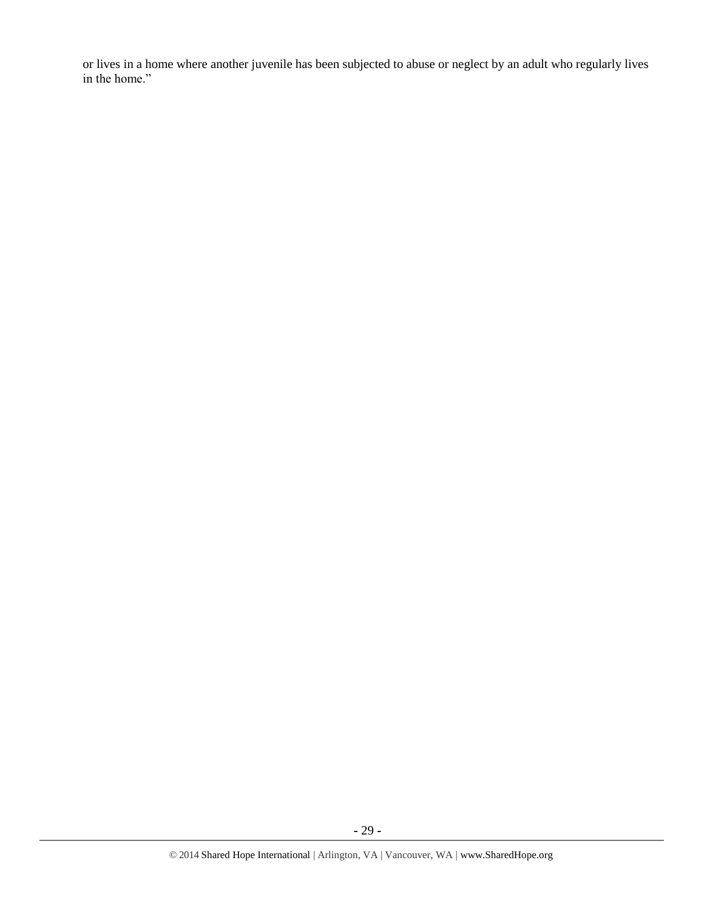or lives in a home where another juvenile has been subjected to abuse or neglect by an adult who regularly lives in the home."

**-** 29 **-**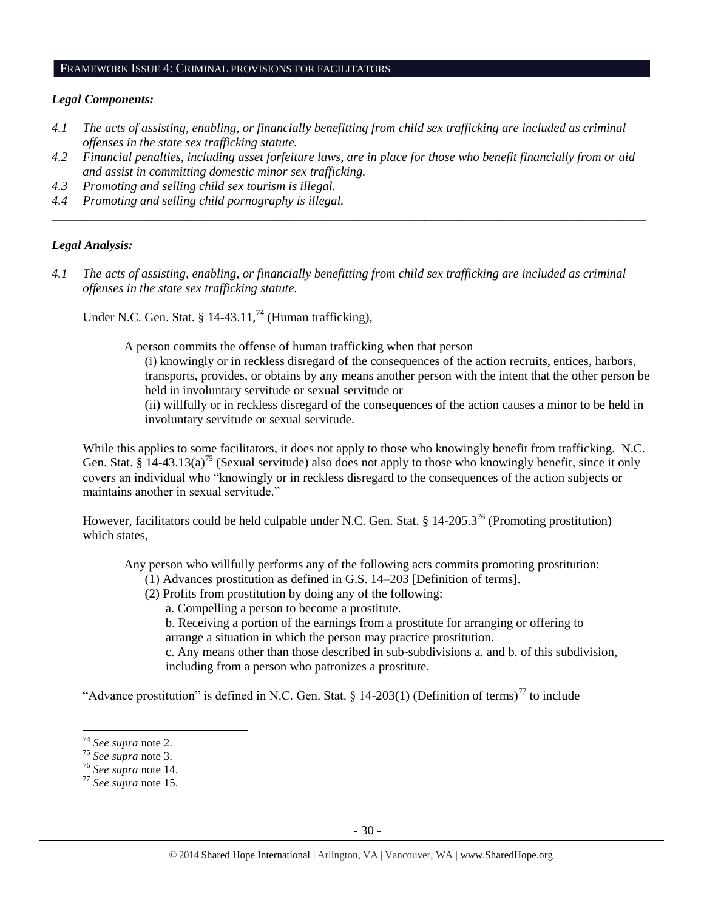#### FRAMEWORK ISSUE 4: CRIMINAL PROVISIONS FOR FACILITATORS

#### *Legal Components:*

- *4.1 The acts of assisting, enabling, or financially benefitting from child sex trafficking are included as criminal offenses in the state sex trafficking statute.*
- *4.2 Financial penalties, including asset forfeiture laws, are in place for those who benefit financially from or aid and assist in committing domestic minor sex trafficking.*

*\_\_\_\_\_\_\_\_\_\_\_\_\_\_\_\_\_\_\_\_\_\_\_\_\_\_\_\_\_\_\_\_\_\_\_\_\_\_\_\_\_\_\_\_\_\_\_\_\_\_\_\_\_\_\_\_\_\_\_\_\_\_\_\_\_\_\_\_\_\_\_\_\_\_\_\_\_\_\_\_\_\_\_\_\_\_\_\_\_\_\_\_\_\_*

- *4.3 Promoting and selling child sex tourism is illegal.*
- *4.4 Promoting and selling child pornography is illegal.*

#### *Legal Analysis:*

*4.1 The acts of assisting, enabling, or financially benefitting from child sex trafficking are included as criminal offenses in the state sex trafficking statute.*

Under N.C. Gen. Stat. § 14-43.11,<sup>74</sup> (Human trafficking),

A person commits the offense of human trafficking when that person

(i) knowingly or in reckless disregard of the consequences of the action recruits, entices, harbors, transports, provides, or obtains by any means another person with the intent that the other person be held in involuntary servitude or sexual servitude or

(ii) willfully or in reckless disregard of the consequences of the action causes a minor to be held in involuntary servitude or sexual servitude.

While this applies to some facilitators, it does not apply to those who knowingly benefit from trafficking. N.C. Gen. Stat. § 14-43.13(a)<sup>75</sup> (Sexual servitude) also does not apply to those who knowingly benefit, since it only covers an individual who "knowingly or in reckless disregard to the consequences of the action subjects or maintains another in sexual servitude."

However, facilitators could be held culpable under N.C. Gen. Stat. § 14-205.3<sup>76</sup> (Promoting prostitution) which states,

Any person who willfully performs any of the following acts commits promoting prostitution:

- (1) Advances prostitution as defined in G.S. 14–203 [Definition of terms].
- (2) Profits from prostitution by doing any of the following:
	- a. Compelling a person to become a prostitute.

b. Receiving a portion of the earnings from a prostitute for arranging or offering to arrange a situation in which the person may practice prostitution.

c. Any means other than those described in sub-subdivisions a. and b. of this subdivision, including from a person who patronizes a prostitute.

"Advance prostitution" is defined in N.C. Gen. Stat.  $\frac{14-203(1)}{20.5(1)}$  (Definition of terms)<sup>77</sup> to include

 $\overline{\phantom{a}}$ 

<sup>74</sup> *See supra* note [2.](#page-0-0)

<sup>75</sup> *See supra* note [3.](#page-1-0)

<sup>76</sup> *See supra* note [14.](#page-3-3)

<sup>77</sup> *See supra* note [15.](#page-3-4)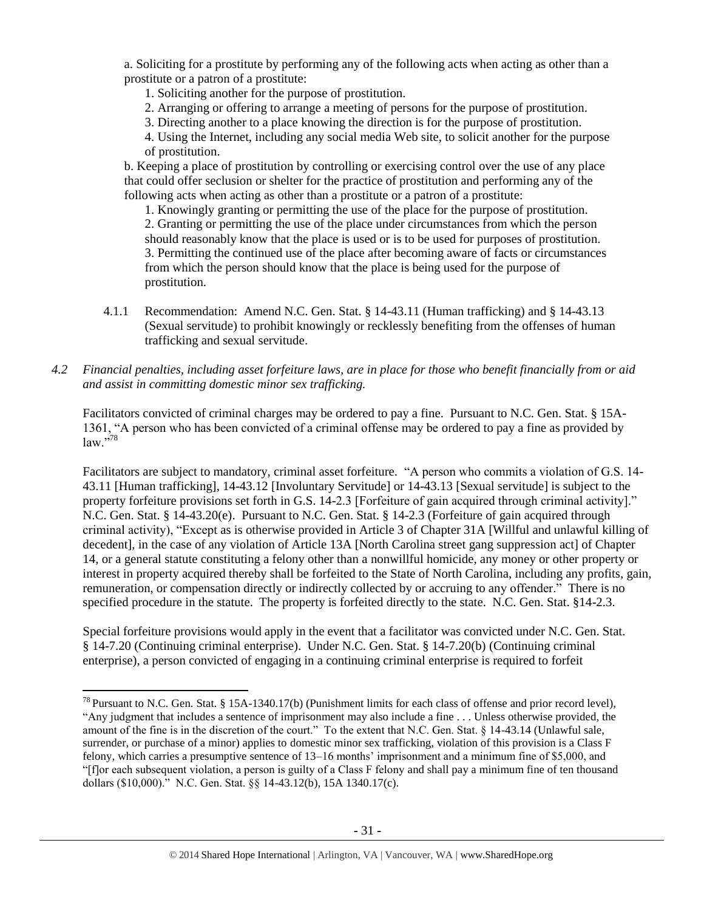a. Soliciting for a prostitute by performing any of the following acts when acting as other than a prostitute or a patron of a prostitute:

1. Soliciting another for the purpose of prostitution.

- 2. Arranging or offering to arrange a meeting of persons for the purpose of prostitution.
- 3. Directing another to a place knowing the direction is for the purpose of prostitution.

4. Using the Internet, including any social media Web site, to solicit another for the purpose of prostitution.

b. Keeping a place of prostitution by controlling or exercising control over the use of any place that could offer seclusion or shelter for the practice of prostitution and performing any of the following acts when acting as other than a prostitute or a patron of a prostitute:

1. Knowingly granting or permitting the use of the place for the purpose of prostitution. 2. Granting or permitting the use of the place under circumstances from which the person should reasonably know that the place is used or is to be used for purposes of prostitution. 3. Permitting the continued use of the place after becoming aware of facts or circumstances from which the person should know that the place is being used for the purpose of prostitution.

- 4.1.1 Recommendation: Amend N.C. Gen. Stat. § 14-43.11 (Human trafficking) and § 14-43.13 (Sexual servitude) to prohibit knowingly or recklessly benefiting from the offenses of human trafficking and sexual servitude.
- *4.2 Financial penalties, including asset forfeiture laws, are in place for those who benefit financially from or aid and assist in committing domestic minor sex trafficking.*

Facilitators convicted of criminal charges may be ordered to pay a fine. Pursuant to N.C. Gen. Stat. § 15A-1361, "A person who has been convicted of a criminal offense may be ordered to pay a fine as provided by  $law.$ <sup>578</sup>

Facilitators are subject to mandatory, criminal asset forfeiture. "A person who commits a violation of G.S. 14- 43.11 [Human trafficking], 14-43.12 [Involuntary Servitude] or 14-43.13 [Sexual servitude] is subject to the property forfeiture provisions set forth in G.S. 14-2.3 [Forfeiture of gain acquired through criminal activity]." N.C. Gen. Stat. § 14-43.20(e). Pursuant to N.C. Gen. Stat. § 14-2.3 (Forfeiture of gain acquired through criminal activity), "Except as is otherwise provided in Article 3 of Chapter 31A [Willful and unlawful killing of decedent], in the case of any violation of Article 13A [North Carolina street gang suppression act] of Chapter 14, or a general statute constituting a felony other than a nonwillful homicide, any money or other property or interest in property acquired thereby shall be forfeited to the State of North Carolina, including any profits, gain, remuneration, or compensation directly or indirectly collected by or accruing to any offender." There is no specified procedure in the statute. The property is forfeited directly to the state. N.C. Gen. Stat. §14-2.3.

Special forfeiture provisions would apply in the event that a facilitator was convicted under N.C. Gen. Stat. § 14-7.20 (Continuing criminal enterprise). Under N.C. Gen. Stat. § 14-7.20(b) (Continuing criminal enterprise), a person convicted of engaging in a continuing criminal enterprise is required to forfeit

 $\overline{\phantom{a}}$ 

 $^{78}$  Pursuant to N.C. Gen. Stat. § 15A-1340.17(b) (Punishment limits for each class of offense and prior record level), "Any judgment that includes a sentence of imprisonment may also include a fine . . . Unless otherwise provided, the amount of the fine is in the discretion of the court." To the extent that N.C. Gen. Stat. § 14-43.14 (Unlawful sale, surrender, or purchase of a minor) applies to domestic minor sex trafficking, violation of this provision is a Class F felony, which carries a presumptive sentence of 13–16 months' imprisonment and a minimum fine of \$5,000, and "[f]or each subsequent violation, a person is guilty of a Class F felony and shall pay a minimum fine of ten thousand dollars (\$10,000)." N.C. Gen. Stat. §§ 14-43.12(b), 15A 1340.17(c).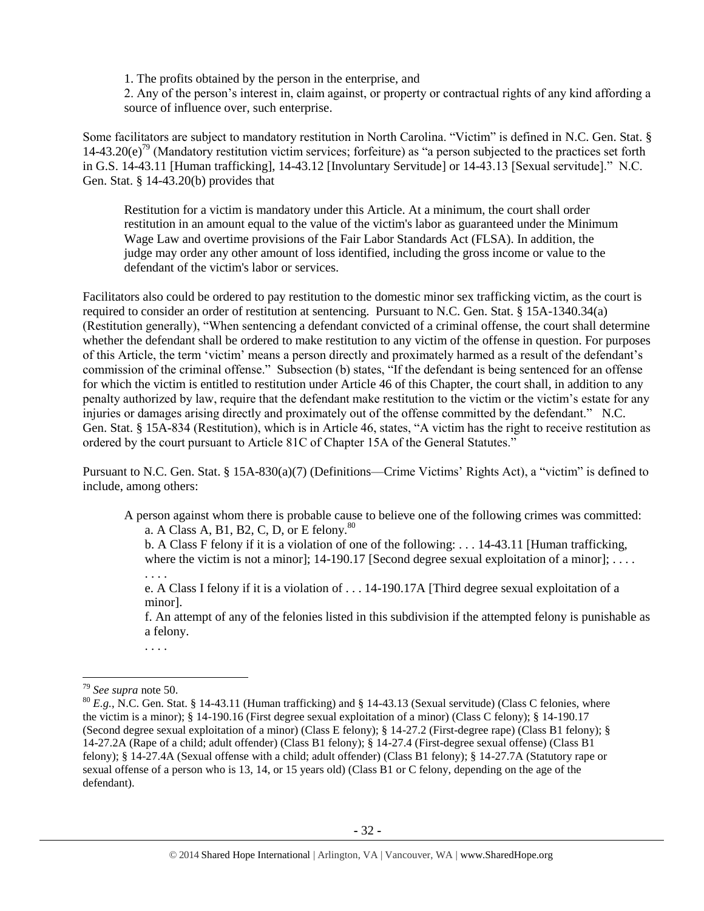1. The profits obtained by the person in the enterprise, and

2. Any of the person's interest in, claim against, or property or contractual rights of any kind affording a source of influence over, such enterprise.

Some facilitators are subject to mandatory restitution in North Carolina. "Victim" is defined in N.C. Gen. Stat. § 14-43.20(e)<sup>79</sup> (Mandatory restitution victim services; forfeiture) as "a person subjected to the practices set forth in G.S. 14-43.11 [Human trafficking], 14-43.12 [Involuntary Servitude] or 14-43.13 [Sexual servitude]." N.C. Gen. Stat. § 14-43.20(b) provides that

Restitution for a victim is mandatory under this Article. At a minimum, the court shall order restitution in an amount equal to the value of the victim's labor as guaranteed under the Minimum Wage Law and overtime provisions of the Fair Labor Standards Act (FLSA). In addition, the judge may order any other amount of loss identified, including the gross income or value to the defendant of the victim's labor or services.

Facilitators also could be ordered to pay restitution to the domestic minor sex trafficking victim, as the court is required to consider an order of restitution at sentencing. Pursuant to N.C. Gen. Stat. § 15A-1340.34(a) (Restitution generally), "When sentencing a defendant convicted of a criminal offense, the court shall determine whether the defendant shall be ordered to make restitution to any victim of the offense in question. For purposes of this Article, the term 'victim' means a person directly and proximately harmed as a result of the defendant's commission of the criminal offense." Subsection (b) states, "If the defendant is being sentenced for an offense for which the victim is entitled to restitution under Article 46 of this Chapter, the court shall, in addition to any penalty authorized by law, require that the defendant make restitution to the victim or the victim's estate for any injuries or damages arising directly and proximately out of the offense committed by the defendant." N.C. Gen. Stat. § 15A-834 (Restitution), which is in Article 46, states, "A victim has the right to receive restitution as ordered by the court pursuant to Article 81C of Chapter 15A of the General Statutes."

Pursuant to N.C. Gen. Stat. § 15A-830(a)(7) (Definitions—Crime Victims' Rights Act), a "victim" is defined to include, among others:

A person against whom there is probable cause to believe one of the following crimes was committed: a. A Class A, B1, B2, C, D, or E felony.<sup>80</sup>

<span id="page-31-0"></span>b. A Class F felony if it is a violation of one of the following: . . . 14-43.11 [Human trafficking, where the victim is not a minor];  $14-190.17$  [Second degree sexual exploitation of a minor]; ...

e. A Class I felony if it is a violation of . . . 14-190.17A [Third degree sexual exploitation of a minor].

f. An attempt of any of the felonies listed in this subdivision if the attempted felony is punishable as a felony.

. . . .

. . . .

 $\overline{a}$ 

<sup>79</sup> *See supra* note [50.](#page-16-0)

<sup>80</sup> *E.g.*, N.C. Gen. Stat. § 14-43.11 (Human trafficking) and § 14-43.13 (Sexual servitude) (Class C felonies, where the victim is a minor); § 14-190.16 (First degree sexual exploitation of a minor) (Class C felony); § 14-190.17 (Second degree sexual exploitation of a minor) (Class E felony); § 14-27.2 (First-degree rape) (Class B1 felony); § 14-27.2A (Rape of a child; adult offender) (Class B1 felony); § 14-27.4 (First-degree sexual offense) (Class B1 felony); § 14-27.4A (Sexual offense with a child; adult offender) (Class B1 felony); § 14-27.7A (Statutory rape or sexual offense of a person who is 13, 14, or 15 years old) (Class B1 or C felony, depending on the age of the defendant).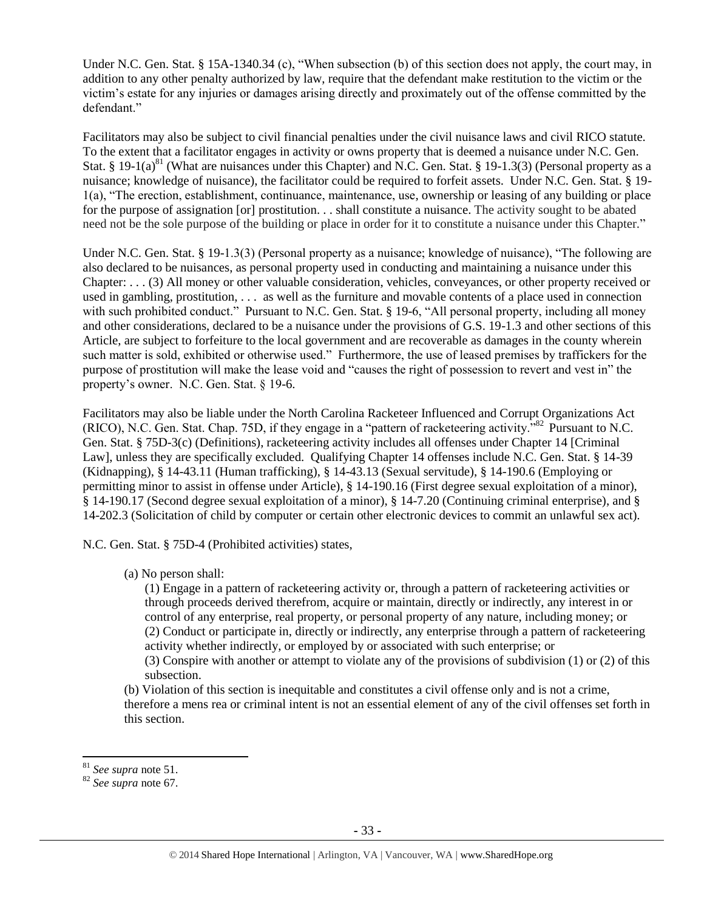Under N.C. Gen. Stat. § 15A-1340.34 (c), "When subsection (b) of this section does not apply, the court may, in addition to any other penalty authorized by law, require that the defendant make restitution to the victim or the victim's estate for any injuries or damages arising directly and proximately out of the offense committed by the defendant."

Facilitators may also be subject to civil financial penalties under the civil nuisance laws and civil RICO statute. To the extent that a facilitator engages in activity or owns property that is deemed a nuisance under N.C. Gen. Stat. § 19-1(a)<sup>81</sup> (What are nuisances under this Chapter) and N.C. Gen. Stat. § 19-1.3(3) (Personal property as a nuisance; knowledge of nuisance), the facilitator could be required to forfeit assets. Under N.C. Gen. Stat. § 19- 1(a), "The erection, establishment, continuance, maintenance, use, ownership or leasing of any building or place for the purpose of assignation [or] prostitution. . . shall constitute a nuisance. The activity sought to be abated need not be the sole purpose of the building or place in order for it to constitute a nuisance under this Chapter."

Under N.C. Gen. Stat. § 19-1.3(3) (Personal property as a nuisance; knowledge of nuisance), "The following are also declared to be nuisances, as personal property used in conducting and maintaining a nuisance under this Chapter: . . . (3) All money or other valuable consideration, vehicles, conveyances, or other property received or used in gambling, prostitution, . . . as well as the furniture and movable contents of a place used in connection with such prohibited conduct." Pursuant to N.C. Gen. Stat. § 19-6, "All personal property, including all money and other considerations, declared to be a nuisance under the provisions of G.S. 19-1.3 and other sections of this Article, are subject to forfeiture to the local government and are recoverable as damages in the county wherein such matter is sold, exhibited or otherwise used." Furthermore, the use of leased premises by traffickers for the purpose of prostitution will make the lease void and "causes the right of possession to revert and vest in" the property's owner. N.C. Gen. Stat. § 19-6.

Facilitators may also be liable under the North Carolina Racketeer Influenced and Corrupt Organizations Act (RICO), N.C. Gen. Stat. Chap. 75D, if they engage in a "pattern of racketeering activity."<sup>82</sup> Pursuant to N.C. Gen. Stat. § 75D-3(c) (Definitions), racketeering activity includes all offenses under Chapter 14 [Criminal Law], unless they are specifically excluded. Qualifying Chapter 14 offenses include N.C. Gen. Stat. § 14-39 (Kidnapping), § 14-43.11 (Human trafficking), § 14-43.13 (Sexual servitude), § 14-190.6 (Employing or permitting minor to assist in offense under Article), § 14-190.16 (First degree sexual exploitation of a minor), § 14-190.17 (Second degree sexual exploitation of a minor), § 14-7.20 (Continuing criminal enterprise), and § 14-202.3 (Solicitation of child by computer or certain other electronic devices to commit an unlawful sex act).

N.C. Gen. Stat. § 75D-4 (Prohibited activities) states,

(a) No person shall:

(1) Engage in a pattern of racketeering activity or, through a pattern of racketeering activities or through proceeds derived therefrom, acquire or maintain, directly or indirectly, any interest in or control of any enterprise, real property, or personal property of any nature, including money; or (2) Conduct or participate in, directly or indirectly, any enterprise through a pattern of racketeering activity whether indirectly, or employed by or associated with such enterprise; or (3) Conspire with another or attempt to violate any of the provisions of subdivision (1) or (2) of this

subsection.

(b) Violation of this section is inequitable and constitutes a civil offense only and is not a crime, therefore a mens rea or criminal intent is not an essential element of any of the civil offenses set forth in this section.

l

<sup>81</sup> *See supra* note [51.](#page-16-1) 

<sup>82</sup> *See supra* note [67.](#page-24-0)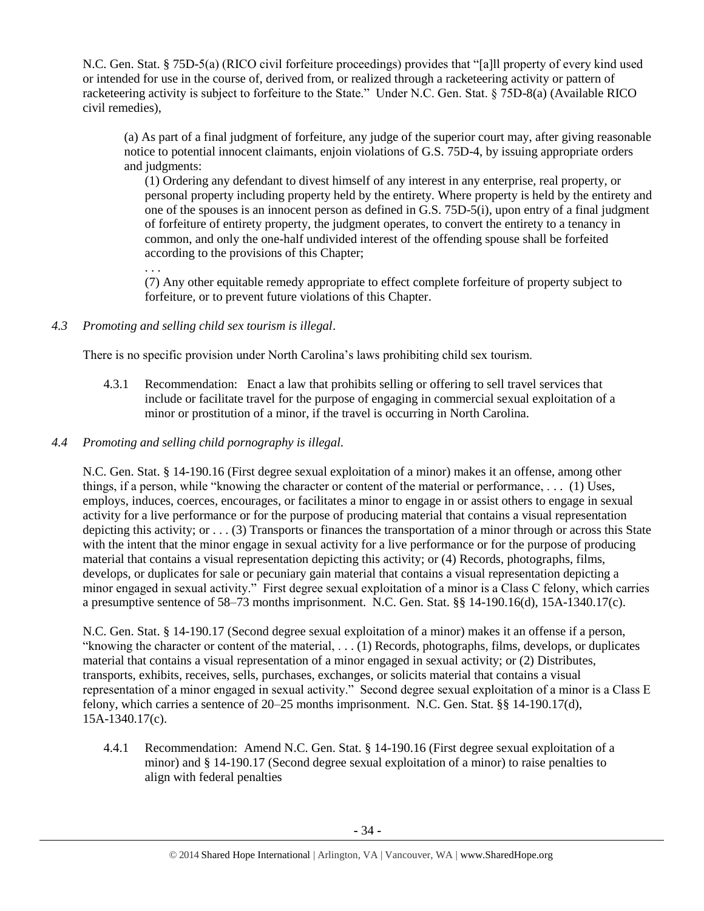N.C. Gen. Stat. § 75D-5(a) (RICO civil forfeiture proceedings) provides that "[a]ll property of every kind used or intended for use in the course of, derived from, or realized through a racketeering activity or pattern of racketeering activity is subject to forfeiture to the State." Under N.C. Gen. Stat. § 75D-8(a) (Available RICO civil remedies),

(a) As part of a final judgment of forfeiture, any judge of the superior court may, after giving reasonable notice to potential innocent claimants, enjoin violations of G.S. 75D-4, by issuing appropriate orders and judgments:

(1) Ordering any defendant to divest himself of any interest in any enterprise, real property, or personal property including property held by the entirety. Where property is held by the entirety and one of the spouses is an innocent person as defined in G.S. 75D-5(i), upon entry of a final judgment of forfeiture of entirety property, the judgment operates, to convert the entirety to a tenancy in common, and only the one-half undivided interest of the offending spouse shall be forfeited according to the provisions of this Chapter;

. . .

(7) Any other equitable remedy appropriate to effect complete forfeiture of property subject to forfeiture, or to prevent future violations of this Chapter.

*4.3 Promoting and selling child sex tourism is illegal*.

There is no specific provision under North Carolina's laws prohibiting child sex tourism.

- 4.3.1 Recommendation: Enact a law that prohibits selling or offering to sell travel services that include or facilitate travel for the purpose of engaging in commercial sexual exploitation of a minor or prostitution of a minor, if the travel is occurring in North Carolina.
- *4.4 Promoting and selling child pornography is illegal.*

N.C. Gen. Stat. § 14-190.16 (First degree sexual exploitation of a minor) makes it an offense, among other things, if a person, while "knowing the character or content of the material or performance, . . . (1) Uses, employs, induces, coerces, encourages, or facilitates a minor to engage in or assist others to engage in sexual activity for a live performance or for the purpose of producing material that contains a visual representation depicting this activity; or . . . (3) Transports or finances the transportation of a minor through or across this State with the intent that the minor engage in sexual activity for a live performance or for the purpose of producing material that contains a visual representation depicting this activity; or (4) Records, photographs, films, develops, or duplicates for sale or pecuniary gain material that contains a visual representation depicting a minor engaged in sexual activity." First degree sexual exploitation of a minor is a Class C felony, which carries a presumptive sentence of 58–73 months imprisonment. N.C. Gen. Stat. §§ 14-190.16(d), 15A-1340.17(c).

N.C. Gen. Stat. § 14-190.17 (Second degree sexual exploitation of a minor) makes it an offense if a person, "knowing the character or content of the material, . . . (1) Records, photographs, films, develops, or duplicates material that contains a visual representation of a minor engaged in sexual activity; or (2) Distributes, transports, exhibits, receives, sells, purchases, exchanges, or solicits material that contains a visual representation of a minor engaged in sexual activity." Second degree sexual exploitation of a minor is a Class E felony, which carries a sentence of 20–25 months imprisonment. N.C. Gen. Stat. §§ 14-190.17(d), 15A-1340.17(c).

4.4.1 Recommendation: Amend N.C. Gen. Stat. § 14-190.16 (First degree sexual exploitation of a minor) and § 14-190.17 (Second degree sexual exploitation of a minor) to raise penalties to align with federal penalties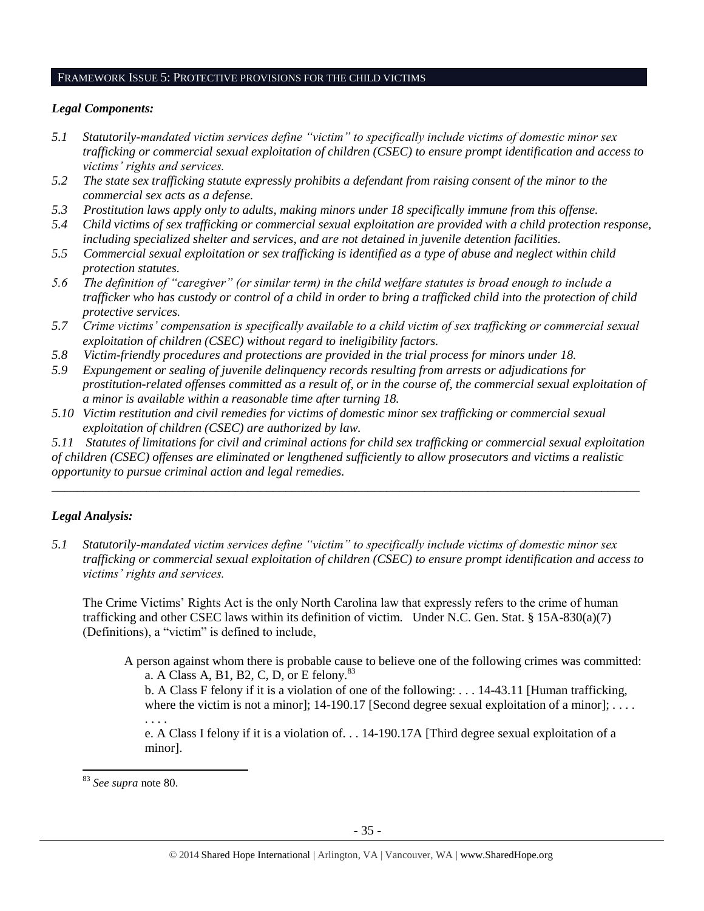#### FRAMEWORK ISSUE 5: PROTECTIVE PROVISIONS FOR THE CHILD VICTIMS

## *Legal Components:*

- *5.1 Statutorily-mandated victim services define "victim" to specifically include victims of domestic minor sex trafficking or commercial sexual exploitation of children (CSEC) to ensure prompt identification and access to victims' rights and services.*
- *5.2 The state sex trafficking statute expressly prohibits a defendant from raising consent of the minor to the commercial sex acts as a defense.*
- *5.3 Prostitution laws apply only to adults, making minors under 18 specifically immune from this offense.*
- *5.4 Child victims of sex trafficking or commercial sexual exploitation are provided with a child protection response, including specialized shelter and services, and are not detained in juvenile detention facilities.*
- *5.5 Commercial sexual exploitation or sex trafficking is identified as a type of abuse and neglect within child protection statutes.*
- *5.6 The definition of "caregiver" (or similar term) in the child welfare statutes is broad enough to include a trafficker who has custody or control of a child in order to bring a trafficked child into the protection of child protective services.*
- *5.7 Crime victims' compensation is specifically available to a child victim of sex trafficking or commercial sexual exploitation of children (CSEC) without regard to ineligibility factors.*
- *5.8 Victim-friendly procedures and protections are provided in the trial process for minors under 18.*
- *5.9 Expungement or sealing of juvenile delinquency records resulting from arrests or adjudications for prostitution-related offenses committed as a result of, or in the course of, the commercial sexual exploitation of a minor is available within a reasonable time after turning 18.*
- *5.10 Victim restitution and civil remedies for victims of domestic minor sex trafficking or commercial sexual exploitation of children (CSEC) are authorized by law.*

*5.11 Statutes of limitations for civil and criminal actions for child sex trafficking or commercial sexual exploitation of children (CSEC) offenses are eliminated or lengthened sufficiently to allow prosecutors and victims a realistic opportunity to pursue criminal action and legal remedies. \_\_\_\_\_\_\_\_\_\_\_\_\_\_\_\_\_\_\_\_\_\_\_\_\_\_\_\_\_\_\_\_\_\_\_\_\_\_\_\_\_\_\_\_\_\_\_\_\_\_\_\_\_\_\_\_\_\_\_\_\_\_\_\_\_\_\_\_\_\_\_\_\_\_\_\_\_\_\_\_\_\_\_\_\_\_\_\_\_\_\_\_\_*

# *Legal Analysis:*

*5.1 Statutorily-mandated victim services define "victim" to specifically include victims of domestic minor sex trafficking or commercial sexual exploitation of children (CSEC) to ensure prompt identification and access to victims' rights and services.* 

The Crime Victims' Rights Act is the only North Carolina law that expressly refers to the crime of human trafficking and other CSEC laws within its definition of victim. Under N.C. Gen. Stat. § 15A-830(a)(7) (Definitions), a "victim" is defined to include,

A person against whom there is probable cause to believe one of the following crimes was committed: a. A Class A, B1, B2, C, D, or E felony. $83$ 

<span id="page-34-0"></span>b. A Class F felony if it is a violation of one of the following: . . . 14-43.11 [Human trafficking, where the victim is not a minor];  $14-190.17$  [Second degree sexual exploitation of a minor]; ... . . . .

e. A Class I felony if it is a violation of. . . 14-190.17A [Third degree sexual exploitation of a minor].

 $\overline{\phantom{a}}$ <sup>83</sup> *See supra* note [80.](#page-31-0)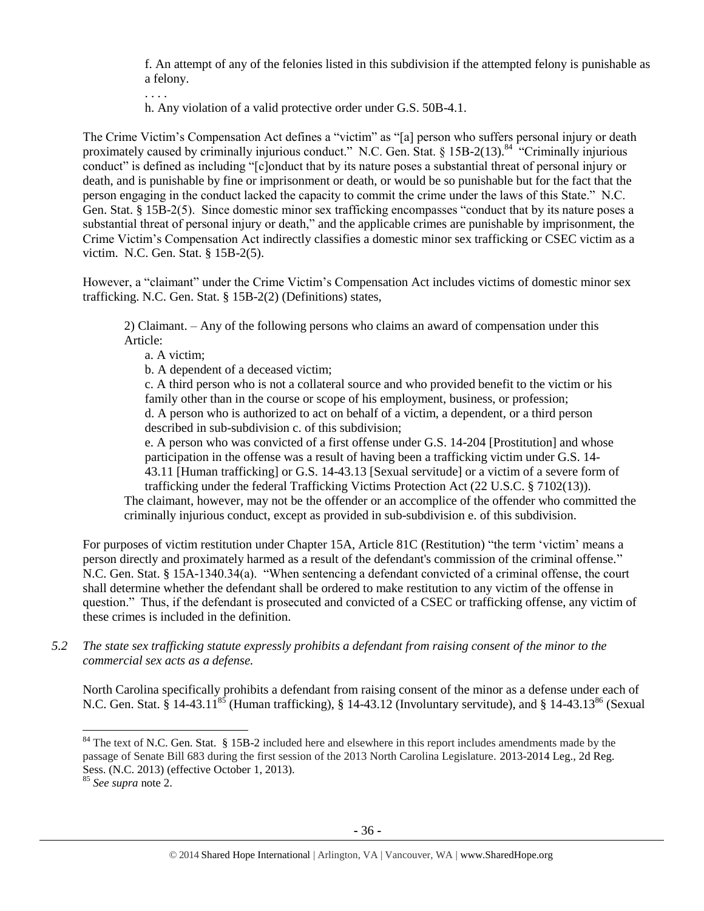f. An attempt of any of the felonies listed in this subdivision if the attempted felony is punishable as a felony.

. . . .

<span id="page-35-0"></span>h. Any violation of a valid protective order under G.S. 50B-4.1.

The Crime Victim's Compensation Act defines a "victim" as "[a] person who suffers personal injury or death proximately caused by criminally injurious conduct." N.C. Gen. Stat. § 15B-2(13).<sup>84</sup> "Criminally injurious conduct" is defined as including "[c]onduct that by its nature poses a substantial threat of personal injury or death, and is punishable by fine or imprisonment or death, or would be so punishable but for the fact that the person engaging in the conduct lacked the capacity to commit the crime under the laws of this State." N.C. Gen. Stat. § 15B-2(5). Since domestic minor sex trafficking encompasses "conduct that by its nature poses a substantial threat of personal injury or death," and the applicable crimes are punishable by imprisonment, the Crime Victim's Compensation Act indirectly classifies a domestic minor sex trafficking or CSEC victim as a victim. N.C. Gen. Stat. § 15B-2(5).

However, a "claimant" under the Crime Victim's Compensation Act includes victims of domestic minor sex trafficking. N.C. Gen. Stat. § 15B-2(2) (Definitions) states,

2) Claimant. – Any of the following persons who claims an award of compensation under this Article:

a. A victim;

b. A dependent of a deceased victim;

c. A third person who is not a collateral source and who provided benefit to the victim or his family other than in the course or scope of his employment, business, or profession; d. A person who is authorized to act on behalf of a victim, a dependent, or a third person described in sub-subdivision c. of this subdivision;

e. A person who was convicted of a first offense under G.S. 14-204 [Prostitution] and whose participation in the offense was a result of having been a trafficking victim under G.S. 14- 43.11 [Human trafficking] or G.S. 14-43.13 [Sexual servitude] or a victim of a severe form of trafficking under the federal Trafficking Victims Protection Act (22 U.S.C. § 7102(13)).

The claimant, however, may not be the offender or an accomplice of the offender who committed the criminally injurious conduct, except as provided in sub-subdivision e. of this subdivision.

For purposes of victim restitution under Chapter 15A, Article 81C (Restitution) "the term 'victim' means a person directly and proximately harmed as a result of the defendant's commission of the criminal offense." N.C. Gen. Stat. § 15A-1340.34(a). "When sentencing a defendant convicted of a criminal offense, the court shall determine whether the defendant shall be ordered to make restitution to any victim of the offense in question." Thus, if the defendant is prosecuted and convicted of a CSEC or trafficking offense, any victim of these crimes is included in the definition.

*5.2 The state sex trafficking statute expressly prohibits a defendant from raising consent of the minor to the commercial sex acts as a defense.*

North Carolina specifically prohibits a defendant from raising consent of the minor as a defense under each of N.C. Gen. Stat.  $\hat{\S}$  14-43.11<sup>85</sup> (Human trafficking),  $\hat{\S}$  14-43.12 (Involuntary servitude), and  $\hat{\S}$  14-43.13<sup>86</sup> (Sexual

 $\overline{\phantom{a}}$ 

<sup>&</sup>lt;sup>84</sup> The text of N.C. Gen. Stat. § 15B-2 included here and elsewhere in this report includes amendments made by the passage of Senate Bill 683 during the first session of the 2013 North Carolina Legislature. 2013-2014 Leg., 2d Reg. Sess. (N.C. 2013) (effective October 1, 2013).

<sup>85</sup> *See supra* note [2.](#page-0-0)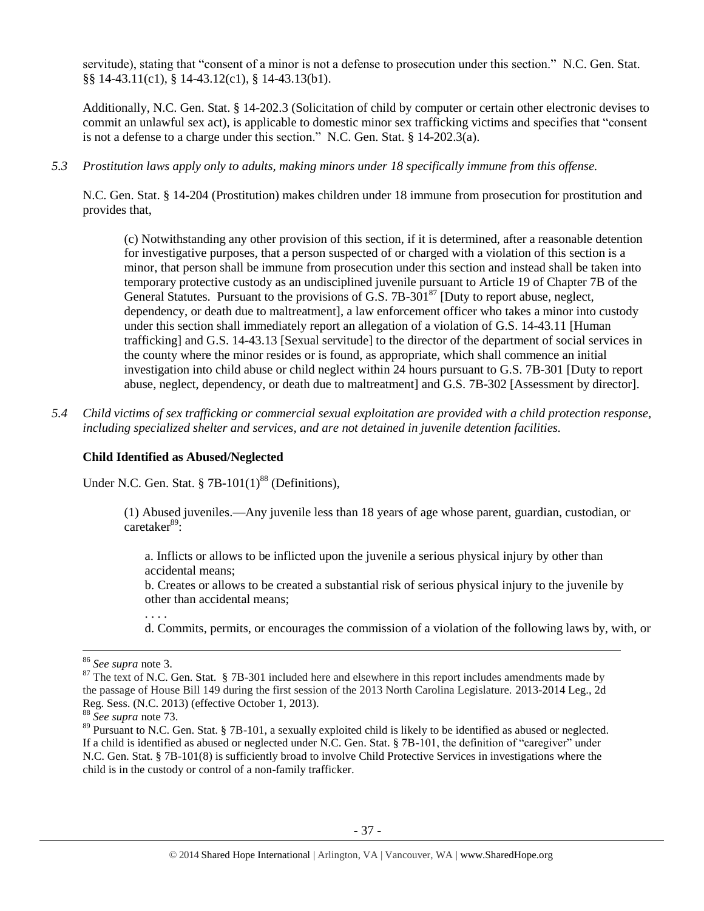servitude), stating that "consent of a minor is not a defense to prosecution under this section." N.C. Gen. Stat. §§ 14-43.11(c1), § 14-43.12(c1), § 14-43.13(b1).

Additionally, N.C. Gen. Stat. § 14-202.3 (Solicitation of child by computer or certain other electronic devises to commit an unlawful sex act), is applicable to domestic minor sex trafficking victims and specifies that "consent is not a defense to a charge under this section." N.C. Gen. Stat. § 14-202.3(a).

*5.3 Prostitution laws apply only to adults, making minors under 18 specifically immune from this offense.*

N.C. Gen. Stat. § 14-204 (Prostitution) makes children under 18 immune from prosecution for prostitution and provides that,

(c) Notwithstanding any other provision of this section, if it is determined, after a reasonable detention for investigative purposes, that a person suspected of or charged with a violation of this section is a minor, that person shall be immune from prosecution under this section and instead shall be taken into temporary protective custody as an undisciplined juvenile pursuant to Article 19 of Chapter 7B of the General Statutes. Pursuant to the provisions of G.S.  $7B-301^{87}$  [Duty to report abuse, neglect, dependency, or death due to maltreatment], a law enforcement officer who takes a minor into custody under this section shall immediately report an allegation of a violation of G.S. 14-43.11 [Human trafficking] and G.S. 14-43.13 [Sexual servitude] to the director of the department of social services in the county where the minor resides or is found, as appropriate, which shall commence an initial investigation into child abuse or child neglect within 24 hours pursuant to G.S. 7B-301 [Duty to report abuse, neglect, dependency, or death due to maltreatment] and G.S. 7B-302 [Assessment by director].

*5.4 Child victims of sex trafficking or commercial sexual exploitation are provided with a child protection response, including specialized shelter and services, and are not detained in juvenile detention facilities.*

#### **Child Identified as Abused/Neglected**

Under N.C. Gen. Stat.  $§$  7B-101(1)<sup>88</sup> (Definitions),

(1) Abused juveniles.—Any juvenile less than 18 years of age whose parent, guardian, custodian, or caretaker<sup>89.</sup>

a. Inflicts or allows to be inflicted upon the juvenile a serious physical injury by other than accidental means;

b. Creates or allows to be created a substantial risk of serious physical injury to the juvenile by other than accidental means;

d. Commits, permits, or encourages the commission of a violation of the following laws by, with, or

 $\overline{\phantom{a}}$ 

. . . .

<sup>86</sup> *See supra* note [3.](#page-1-0)

<sup>&</sup>lt;sup>87</sup> The text of N.C. Gen. Stat. § 7B-301 included here and elsewhere in this report includes amendments made by the passage of House Bill 149 during the first session of the 2013 North Carolina Legislature. 2013-2014 Leg., 2d Reg. Sess. (N.C. 2013) (effective October 1, 2013).

<sup>88</sup> *See supra* note [73.](#page-27-0)

<sup>89</sup> Pursuant to N.C. Gen. Stat. § 7B-101, a sexually exploited child is likely to be identified as abused or neglected. If a child is identified as abused or neglected under N.C. Gen. Stat. § 7B-101, the definition of "caregiver" under N.C. Gen. Stat. § 7B-101(8) is sufficiently broad to involve Child Protective Services in investigations where the child is in the custody or control of a non-family trafficker.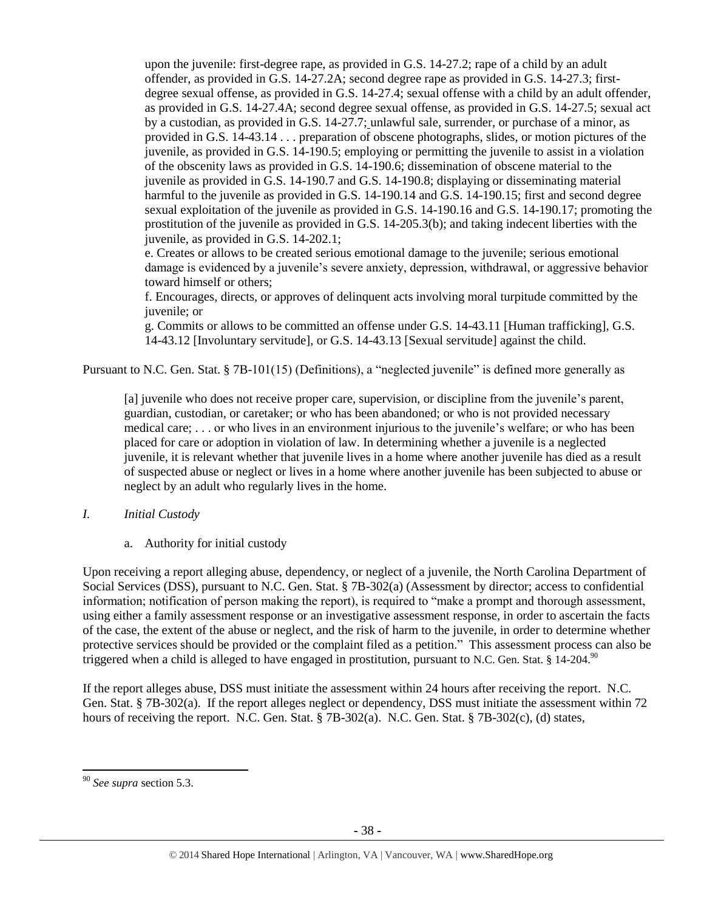upon the juvenile: first-degree rape, as provided in G.S. 14-27.2; rape of a child by an adult offender, as provided in G.S. 14-27.2A; second degree rape as provided in G.S. 14-27.3; firstdegree sexual offense, as provided in G.S. 14-27.4; sexual offense with a child by an adult offender, as provided in G.S. 14-27.4A; second degree sexual offense, as provided in G.S. 14-27.5; sexual act by a custodian, as provided in G.S. 14-27.7; unlawful sale, surrender, or purchase of a minor, as provided in G.S. 14-43.14 . . . preparation of obscene photographs, slides, or motion pictures of the juvenile, as provided in G.S. 14-190.5; employing or permitting the juvenile to assist in a violation of the obscenity laws as provided in G.S. 14-190.6; dissemination of obscene material to the juvenile as provided in G.S. 14-190.7 and G.S. 14-190.8; displaying or disseminating material harmful to the juvenile as provided in G.S. 14-190.14 and G.S. 14-190.15; first and second degree sexual exploitation of the juvenile as provided in G.S. 14-190.16 and G.S. 14-190.17; promoting the prostitution of the juvenile as provided in G.S. 14-205.3(b); and taking indecent liberties with the juvenile, as provided in G.S. 14-202.1;

e. Creates or allows to be created serious emotional damage to the juvenile; serious emotional damage is evidenced by a juvenile's severe anxiety, depression, withdrawal, or aggressive behavior toward himself or others;

f. Encourages, directs, or approves of delinquent acts involving moral turpitude committed by the juvenile; or

g. Commits or allows to be committed an offense under G.S. 14-43.11 [Human trafficking], G.S. 14-43.12 [Involuntary servitude], or G.S. 14-43.13 [Sexual servitude] against the child.

Pursuant to N.C. Gen. Stat. § 7B-101(15) (Definitions), a "neglected juvenile" is defined more generally as

[a] juvenile who does not receive proper care, supervision, or discipline from the juvenile's parent, guardian, custodian, or caretaker; or who has been abandoned; or who is not provided necessary medical care; . . . or who lives in an environment injurious to the juvenile's welfare; or who has been placed for care or adoption in violation of law. In determining whether a juvenile is a neglected juvenile, it is relevant whether that juvenile lives in a home where another juvenile has died as a result of suspected abuse or neglect or lives in a home where another juvenile has been subjected to abuse or neglect by an adult who regularly lives in the home.

- *I. Initial Custody*
	- a. Authority for initial custody

Upon receiving a report alleging abuse, dependency, or neglect of a juvenile, the North Carolina Department of Social Services (DSS), pursuant to N.C. Gen. Stat. § 7B-302(a) (Assessment by director; access to confidential information; notification of person making the report), is required to "make a prompt and thorough assessment, using either a family assessment response or an investigative assessment response, in order to ascertain the facts of the case, the extent of the abuse or neglect, and the risk of harm to the juvenile, in order to determine whether protective services should be provided or the complaint filed as a petition." This assessment process can also be triggered when a child is alleged to have engaged in prostitution, pursuant to N.C. Gen. Stat. § 14-204.<sup>90</sup>

If the report alleges abuse, DSS must initiate the assessment within 24 hours after receiving the report. N.C. Gen. Stat. § 7B-302(a). If the report alleges neglect or dependency, DSS must initiate the assessment within 72 hours of receiving the report. N.C. Gen. Stat. § 7B-302(a). N.C. Gen. Stat. § 7B-302(c), (d) states,

 $\overline{\phantom{a}}$ 

<sup>90</sup> *See supra* section 5.3.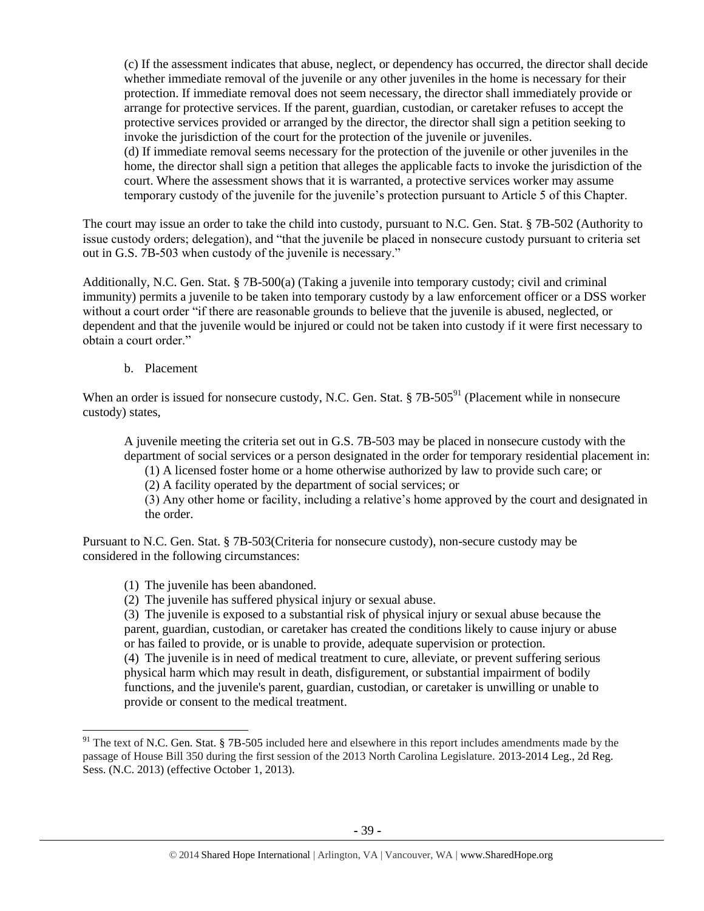(c) If the assessment indicates that abuse, neglect, or dependency has occurred, the director shall decide whether immediate removal of the juvenile or any other juveniles in the home is necessary for their protection. If immediate removal does not seem necessary, the director shall immediately provide or arrange for protective services. If the parent, guardian, custodian, or caretaker refuses to accept the protective services provided or arranged by the director, the director shall sign a petition seeking to invoke the jurisdiction of the court for the protection of the juvenile or juveniles. (d) If immediate removal seems necessary for the protection of the juvenile or other juveniles in the home, the director shall sign a petition that alleges the applicable facts to invoke the jurisdiction of the court. Where the assessment shows that it is warranted, a protective services worker may assume temporary custody of the juvenile for the juvenile's protection pursuant to Article 5 of this Chapter.

The court may issue an order to take the child into custody, pursuant to N.C. Gen. Stat. § 7B-502 (Authority to issue custody orders; delegation), and "that the juvenile be placed in nonsecure custody pursuant to criteria set out in G.S. 7B-503 when custody of the juvenile is necessary."

Additionally, N.C. Gen. Stat. § 7B-500(a) (Taking a juvenile into temporary custody; civil and criminal immunity) permits a juvenile to be taken into temporary custody by a law enforcement officer or a DSS worker without a court order "if there are reasonable grounds to believe that the juvenile is abused, neglected, or dependent and that the juvenile would be injured or could not be taken into custody if it were first necessary to obtain a court order."

b. Placement

 $\overline{\phantom{a}}$ 

When an order is issued for nonsecure custody, N.C. Gen. Stat.  $\S$  7B-505<sup>91</sup> (Placement while in nonsecure custody) states,

A juvenile meeting the criteria set out in G.S. 7B-503 may be placed in nonsecure custody with the department of social services or a person designated in the order for temporary residential placement in:

(1) A licensed foster home or a home otherwise authorized by law to provide such care; or

(2) A facility operated by the department of social services; or

(3) Any other home or facility, including a relative's home approved by the court and designated in the order.

Pursuant to N.C. Gen. Stat. § 7B-503(Criteria for nonsecure custody), non-secure custody may be considered in the following circumstances:

- (1) The juvenile has been abandoned.
- (2) The juvenile has suffered physical injury or sexual abuse.

(3) The juvenile is exposed to a substantial risk of physical injury or sexual abuse because the parent, guardian, custodian, or caretaker has created the conditions likely to cause injury or abuse or has failed to provide, or is unable to provide, adequate supervision or protection.

(4) The juvenile is in need of medical treatment to cure, alleviate, or prevent suffering serious physical harm which may result in death, disfigurement, or substantial impairment of bodily functions, and the juvenile's parent, guardian, custodian, or caretaker is unwilling or unable to provide or consent to the medical treatment.

 $91$  The text of N.C. Gen. Stat. § 7B-505 included here and elsewhere in this report includes amendments made by the passage of House Bill 350 during the first session of the 2013 North Carolina Legislature. 2013-2014 Leg., 2d Reg. Sess. (N.C. 2013) (effective October 1, 2013).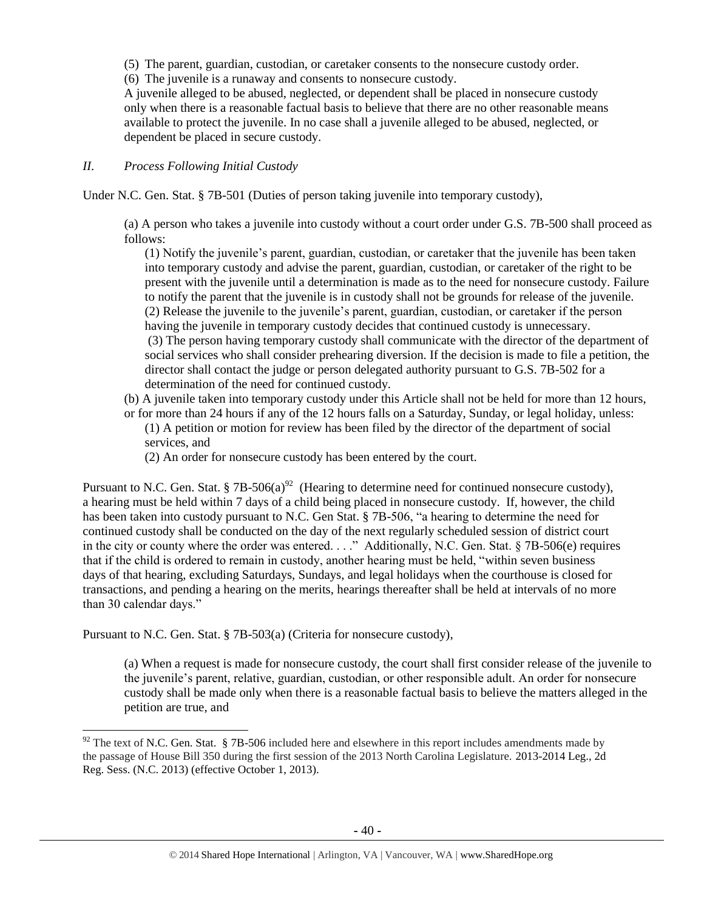(5) The parent, guardian, custodian, or caretaker consents to the nonsecure custody order.

(6) The juvenile is a runaway and consents to nonsecure custody.

A juvenile alleged to be abused, neglected, or dependent shall be placed in nonsecure custody only when there is a reasonable factual basis to believe that there are no other reasonable means available to protect the juvenile. In no case shall a juvenile alleged to be abused, neglected, or dependent be placed in secure custody.

## *II. Process Following Initial Custody*

Under N.C. Gen. Stat. § 7B-501 (Duties of person taking juvenile into temporary custody),

(a) A person who takes a juvenile into custody without a court order under G.S. 7B-500 shall proceed as follows:

(1) Notify the juvenile's parent, guardian, custodian, or caretaker that the juvenile has been taken into temporary custody and advise the parent, guardian, custodian, or caretaker of the right to be present with the juvenile until a determination is made as to the need for nonsecure custody. Failure to notify the parent that the juvenile is in custody shall not be grounds for release of the juvenile. (2) Release the juvenile to the juvenile's parent, guardian, custodian, or caretaker if the person having the juvenile in temporary custody decides that continued custody is unnecessary. (3) The person having temporary custody shall communicate with the director of the department of social services who shall consider prehearing diversion. If the decision is made to file a petition, the director shall contact the judge or person delegated authority pursuant to G.S. 7B-502 for a determination of the need for continued custody.

(b) A juvenile taken into temporary custody under this Article shall not be held for more than 12 hours, or for more than 24 hours if any of the 12 hours falls on a Saturday, Sunday, or legal holiday, unless:

(1) A petition or motion for review has been filed by the director of the department of social services, and

(2) An order for nonsecure custody has been entered by the court.

Pursuant to N.C. Gen. Stat. § 7B-506(a)<sup>92</sup> (Hearing to determine need for continued nonsecure custody), a hearing must be held within 7 days of a child being placed in nonsecure custody. If, however, the child has been taken into custody pursuant to N.C. Gen Stat. § 7B-506, "a hearing to determine the need for continued custody shall be conducted on the day of the next regularly scheduled session of district court in the city or county where the order was entered. . . ." Additionally, N.C. Gen. Stat. § 7B-506(e) requires that if the child is ordered to remain in custody, another hearing must be held, "within seven business days of that hearing, excluding Saturdays, Sundays, and legal holidays when the courthouse is closed for transactions, and pending a hearing on the merits, hearings thereafter shall be held at intervals of no more than 30 calendar days."

Pursuant to N.C. Gen. Stat. § 7B-503(a) (Criteria for nonsecure custody),

 $\overline{\phantom{a}}$ 

(a) When a request is made for nonsecure custody, the court shall first consider release of the juvenile to the juvenile's parent, relative, guardian, custodian, or other responsible adult. An order for nonsecure custody shall be made only when there is a reasonable factual basis to believe the matters alleged in the petition are true, and

 $92$  The text of N.C. Gen. Stat. § 7B-506 included here and elsewhere in this report includes amendments made by the passage of House Bill 350 during the first session of the 2013 North Carolina Legislature. 2013-2014 Leg., 2d Reg. Sess. (N.C. 2013) (effective October 1, 2013).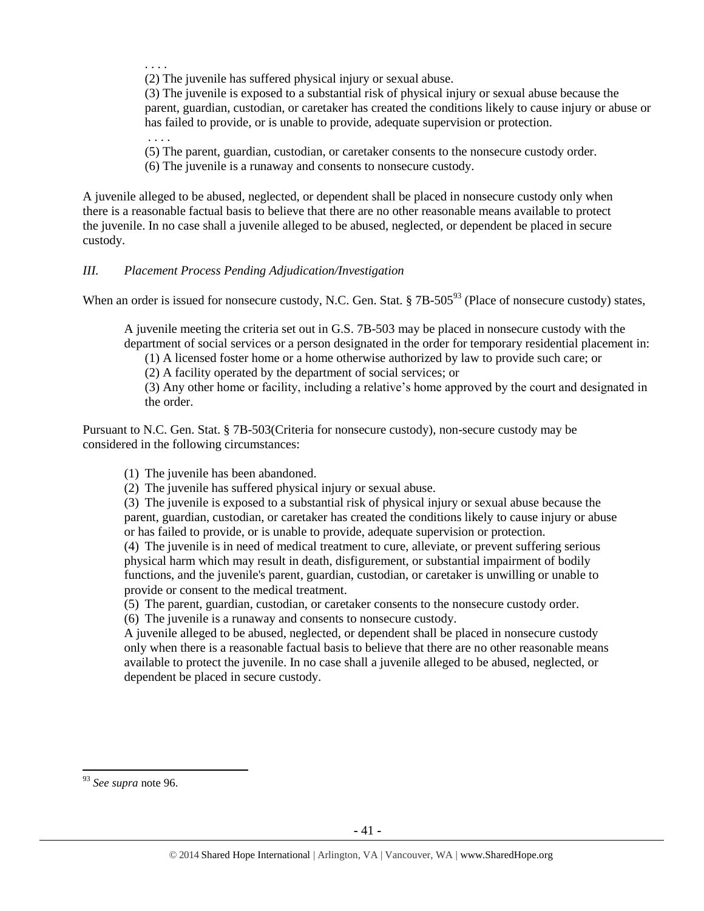. . . .

. . . .

(2) The juvenile has suffered physical injury or sexual abuse.

(3) The juvenile is exposed to a substantial risk of physical injury or sexual abuse because the parent, guardian, custodian, or caretaker has created the conditions likely to cause injury or abuse or has failed to provide, or is unable to provide, adequate supervision or protection.

(5) The parent, guardian, custodian, or caretaker consents to the nonsecure custody order.

(6) The juvenile is a runaway and consents to nonsecure custody.

A juvenile alleged to be abused, neglected, or dependent shall be placed in nonsecure custody only when there is a reasonable factual basis to believe that there are no other reasonable means available to protect the juvenile. In no case shall a juvenile alleged to be abused, neglected, or dependent be placed in secure custody.

# *III. Placement Process Pending Adjudication/Investigation*

When an order is issued for nonsecure custody, N.C. Gen. Stat. § 7B-505<sup>93</sup> (Place of nonsecure custody) states,

A juvenile meeting the criteria set out in G.S. 7B-503 may be placed in nonsecure custody with the department of social services or a person designated in the order for temporary residential placement in:

(1) A licensed foster home or a home otherwise authorized by law to provide such care; or

(2) A facility operated by the department of social services; or

(3) Any other home or facility, including a relative's home approved by the court and designated in the order.

Pursuant to N.C. Gen. Stat. § 7B-503(Criteria for nonsecure custody), non-secure custody may be considered in the following circumstances:

(1) The juvenile has been abandoned.

(2) The juvenile has suffered physical injury or sexual abuse.

(3) The juvenile is exposed to a substantial risk of physical injury or sexual abuse because the parent, guardian, custodian, or caretaker has created the conditions likely to cause injury or abuse or has failed to provide, or is unable to provide, adequate supervision or protection.

(4) The juvenile is in need of medical treatment to cure, alleviate, or prevent suffering serious physical harm which may result in death, disfigurement, or substantial impairment of bodily functions, and the juvenile's parent, guardian, custodian, or caretaker is unwilling or unable to provide or consent to the medical treatment.

(5) The parent, guardian, custodian, or caretaker consents to the nonsecure custody order.

(6) The juvenile is a runaway and consents to nonsecure custody.

A juvenile alleged to be abused, neglected, or dependent shall be placed in nonsecure custody only when there is a reasonable factual basis to believe that there are no other reasonable means available to protect the juvenile. In no case shall a juvenile alleged to be abused, neglected, or dependent be placed in secure custody.

 $\overline{\phantom{a}}$ 

<sup>93</sup> *See supra* note 96.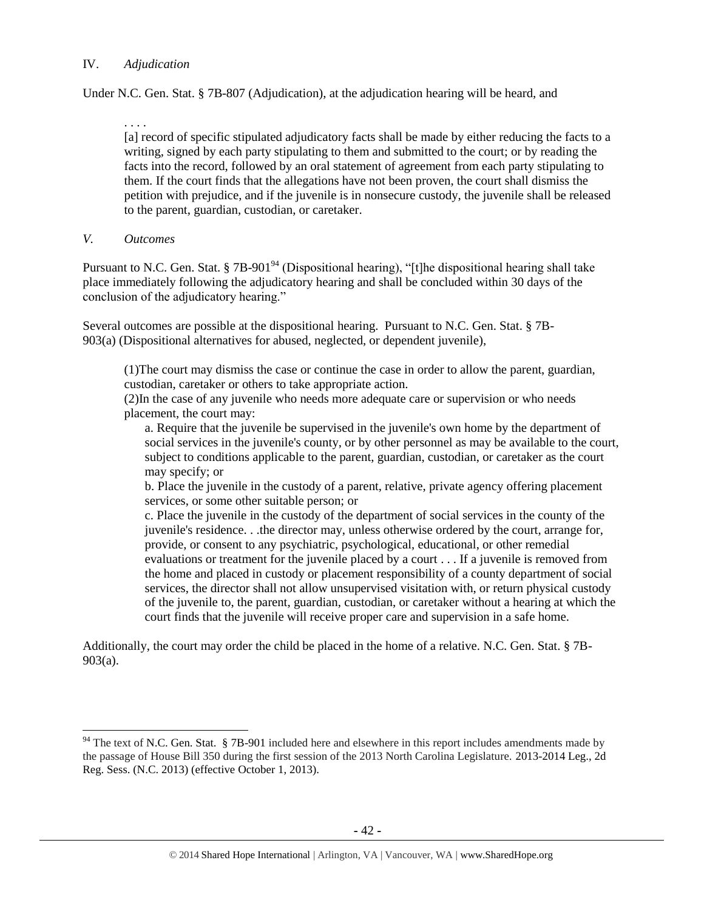## IV. *Adjudication*

Under N.C. Gen. Stat. § 7B-807 (Adjudication), at the adjudication hearing will be heard, and

. . . . [a] record of specific stipulated adjudicatory facts shall be made by either reducing the facts to a writing, signed by each party stipulating to them and submitted to the court; or by reading the facts into the record, followed by an oral statement of agreement from each party stipulating to them. If the court finds that the allegations have not been proven, the court shall dismiss the petition with prejudice, and if the juvenile is in nonsecure custody, the juvenile shall be released to the parent, guardian, custodian, or caretaker.

*V. Outcomes*

 $\overline{\phantom{a}}$ 

Pursuant to N.C. Gen. Stat. § 7B-901<sup>94</sup> (Dispositional hearing), "[t]he dispositional hearing shall take place immediately following the adjudicatory hearing and shall be concluded within 30 days of the conclusion of the adjudicatory hearing."

Several outcomes are possible at the dispositional hearing. Pursuant to N.C. Gen. Stat. § 7B-903(a) (Dispositional alternatives for abused, neglected, or dependent juvenile),

(1)The court may dismiss the case or continue the case in order to allow the parent, guardian, custodian, caretaker or others to take appropriate action.

(2)In the case of any juvenile who needs more adequate care or supervision or who needs placement, the court may:

a. Require that the juvenile be supervised in the juvenile's own home by the department of social services in the juvenile's county, or by other personnel as may be available to the court, subject to conditions applicable to the parent, guardian, custodian, or caretaker as the court may specify; or

b. Place the juvenile in the custody of a parent, relative, private agency offering placement services, or some other suitable person; or

c. Place the juvenile in the custody of the department of social services in the county of the juvenile's residence. . .the director may, unless otherwise ordered by the court, arrange for, provide, or consent to any psychiatric, psychological, educational, or other remedial evaluations or treatment for the juvenile placed by a court . . . If a juvenile is removed from the home and placed in custody or placement responsibility of a county department of social services, the director shall not allow unsupervised visitation with, or return physical custody of the juvenile to, the parent, guardian, custodian, or caretaker without a hearing at which the court finds that the juvenile will receive proper care and supervision in a safe home.

Additionally, the court may order the child be placed in the home of a relative. N.C. Gen. Stat. § 7B-903(a).

 $94$  The text of N.C. Gen. Stat. § 7B-901 included here and elsewhere in this report includes amendments made by the passage of House Bill 350 during the first session of the 2013 North Carolina Legislature. 2013-2014 Leg., 2d Reg. Sess. (N.C. 2013) (effective October 1, 2013).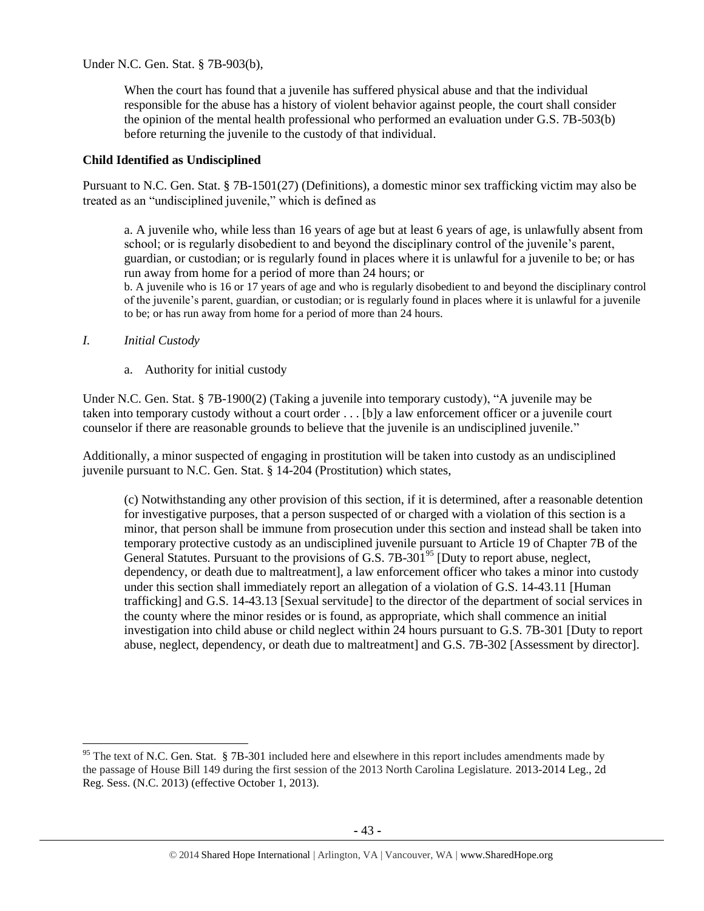Under N.C. Gen. Stat. § 7B-903(b),

When the court has found that a juvenile has suffered physical abuse and that the individual responsible for the abuse has a history of violent behavior against people, the court shall consider the opinion of the mental health professional who performed an evaluation under G.S. 7B-503(b) before returning the juvenile to the custody of that individual.

# **Child Identified as Undisciplined**

Pursuant to N.C. Gen. Stat. § 7B-1501(27) (Definitions), a domestic minor sex trafficking victim may also be treated as an "undisciplined juvenile," which is defined as

a. A juvenile who, while less than 16 years of age but at least 6 years of age, is unlawfully absent from school; or is regularly disobedient to and beyond the disciplinary control of the juvenile's parent, guardian, or custodian; or is regularly found in places where it is unlawful for a juvenile to be; or has run away from home for a period of more than 24 hours; or

b. A juvenile who is 16 or 17 years of age and who is regularly disobedient to and beyond the disciplinary control of the juvenile's parent, guardian, or custodian; or is regularly found in places where it is unlawful for a juvenile to be; or has run away from home for a period of more than 24 hours.

# *I. Initial Custody*

 $\overline{\phantom{a}}$ 

a. Authority for initial custody

Under N.C. Gen. Stat. § 7B-1900(2) (Taking a juvenile into temporary custody), "A juvenile may be taken into temporary custody without a court order . . . [b]y a law enforcement officer or a juvenile court counselor if there are reasonable grounds to believe that the juvenile is an undisciplined juvenile."

Additionally, a minor suspected of engaging in prostitution will be taken into custody as an undisciplined juvenile pursuant to N.C. Gen. Stat. § 14-204 (Prostitution) which states,

(c) Notwithstanding any other provision of this section, if it is determined, after a reasonable detention for investigative purposes, that a person suspected of or charged with a violation of this section is a minor, that person shall be immune from prosecution under this section and instead shall be taken into temporary protective custody as an undisciplined juvenile pursuant to Article 19 of Chapter 7B of the General Statutes. Pursuant to the provisions of G.S.  $7B-301<sup>95</sup>$  [Duty to report abuse, neglect, dependency, or death due to maltreatment], a law enforcement officer who takes a minor into custody under this section shall immediately report an allegation of a violation of G.S. 14-43.11 [Human trafficking] and G.S. 14-43.13 [Sexual servitude] to the director of the department of social services in the county where the minor resides or is found, as appropriate, which shall commence an initial investigation into child abuse or child neglect within 24 hours pursuant to G.S. 7B-301 [Duty to report abuse, neglect, dependency, or death due to maltreatment] and G.S. 7B-302 [Assessment by director].

<sup>&</sup>lt;sup>95</sup> The text of N.C. Gen. Stat. § 7B-301 included here and elsewhere in this report includes amendments made by the passage of House Bill 149 during the first session of the 2013 North Carolina Legislature. 2013-2014 Leg., 2d Reg. Sess. (N.C. 2013) (effective October 1, 2013).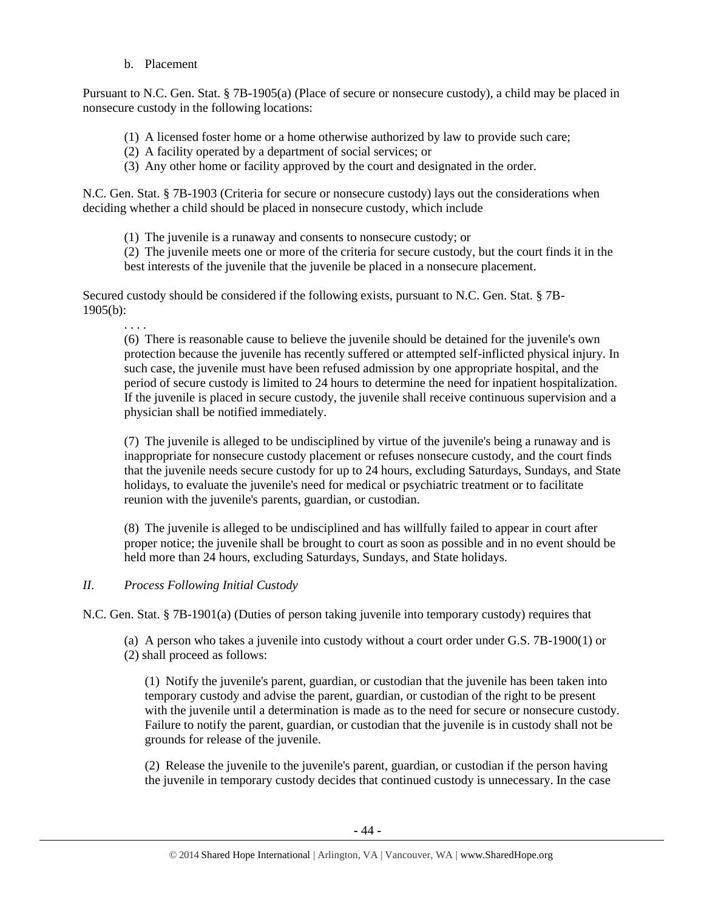b. Placement

Pursuant to N.C. Gen. Stat. § 7B-1905(a) (Place of secure or nonsecure custody), a child may be placed in nonsecure custody in the following locations:

- (1) A licensed foster home or a home otherwise authorized by law to provide such care;
- (2) A facility operated by a department of social services; or
- (3) Any other home or facility approved by the court and designated in the order.

N.C. Gen. Stat. § 7B-1903 (Criteria for secure or nonsecure custody) lays out the considerations when deciding whether a child should be placed in nonsecure custody, which include

(1) The juvenile is a runaway and consents to nonsecure custody; or

(2) The juvenile meets one or more of the criteria for secure custody, but the court finds it in the best interests of the juvenile that the juvenile be placed in a nonsecure placement.

Secured custody should be considered if the following exists, pursuant to N.C. Gen. Stat. § 7B-1905(b):

. . . .

(6) There is reasonable cause to believe the juvenile should be detained for the juvenile's own protection because the juvenile has recently suffered or attempted self-inflicted physical injury. In such case, the juvenile must have been refused admission by one appropriate hospital, and the period of secure custody is limited to 24 hours to determine the need for inpatient hospitalization. If the juvenile is placed in secure custody, the juvenile shall receive continuous supervision and a physician shall be notified immediately.

(7) The juvenile is alleged to be undisciplined by virtue of the juvenile's being a runaway and is inappropriate for nonsecure custody placement or refuses nonsecure custody, and the court finds that the juvenile needs secure custody for up to 24 hours, excluding Saturdays, Sundays, and State holidays, to evaluate the juvenile's need for medical or psychiatric treatment or to facilitate reunion with the juvenile's parents, guardian, or custodian.

(8) The juvenile is alleged to be undisciplined and has willfully failed to appear in court after proper notice; the juvenile shall be brought to court as soon as possible and in no event should be held more than 24 hours, excluding Saturdays, Sundays, and State holidays.

## *II. Process Following Initial Custody*

N.C. Gen. Stat. § 7B-1901(a) (Duties of person taking juvenile into temporary custody) requires that

(a) A person who takes a juvenile into custody without a court order under G.S. 7B-1900(1) or (2) shall proceed as follows:

(1) Notify the juvenile's parent, guardian, or custodian that the juvenile has been taken into temporary custody and advise the parent, guardian, or custodian of the right to be present with the juvenile until a determination is made as to the need for secure or nonsecure custody. Failure to notify the parent, guardian, or custodian that the juvenile is in custody shall not be grounds for release of the juvenile.

(2) Release the juvenile to the juvenile's parent, guardian, or custodian if the person having the juvenile in temporary custody decides that continued custody is unnecessary. In the case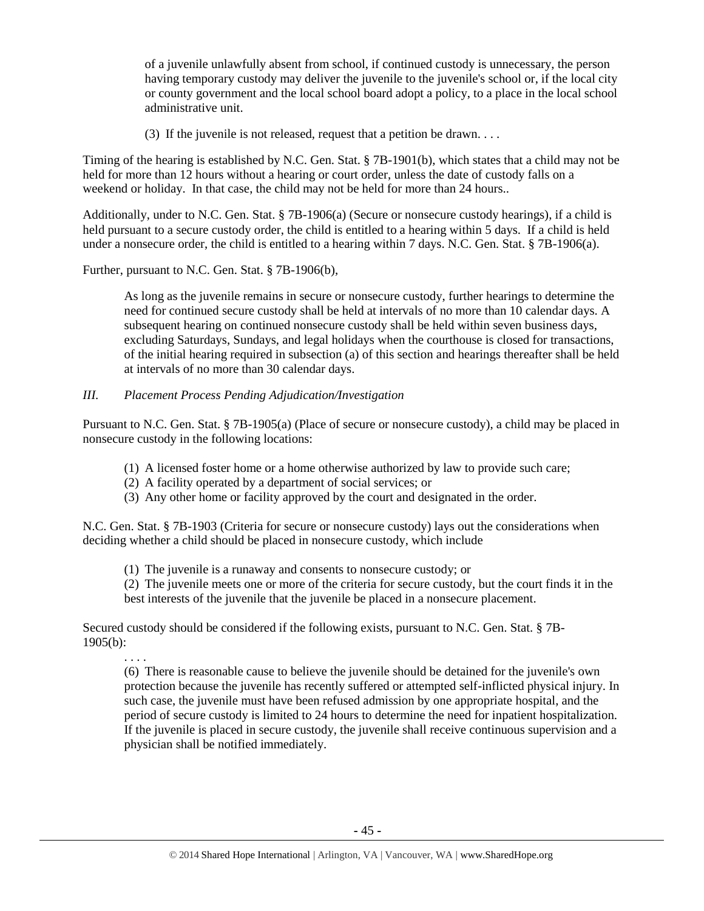of a juvenile unlawfully absent from school, if continued custody is unnecessary, the person having temporary custody may deliver the juvenile to the juvenile's school or, if the local city or county government and the local school board adopt a policy, to a place in the local school administrative unit.

(3) If the juvenile is not released, request that a petition be drawn. . . .

Timing of the hearing is established by N.C. Gen. Stat. § 7B-1901(b), which states that a child may not be held for more than 12 hours without a hearing or court order, unless the date of custody falls on a weekend or holiday. In that case, the child may not be held for more than 24 hours..

Additionally, under to N.C. Gen. Stat. § 7B-1906(a) (Secure or nonsecure custody hearings), if a child is held pursuant to a secure custody order, the child is entitled to a hearing within 5 days. If a child is held under a nonsecure order, the child is entitled to a hearing within 7 days. N.C. Gen. Stat. § 7B-1906(a).

Further, pursuant to N.C. Gen. Stat. § 7B-1906(b),

. . . .

As long as the juvenile remains in secure or nonsecure custody, further hearings to determine the need for continued secure custody shall be held at intervals of no more than 10 calendar days. A subsequent hearing on continued nonsecure custody shall be held within seven business days, excluding Saturdays, Sundays, and legal holidays when the courthouse is closed for transactions, of the initial hearing required in subsection (a) of this section and hearings thereafter shall be held at intervals of no more than 30 calendar days.

# *III. Placement Process Pending Adjudication/Investigation*

Pursuant to N.C. Gen. Stat. § 7B-1905(a) (Place of secure or nonsecure custody), a child may be placed in nonsecure custody in the following locations:

- (1) A licensed foster home or a home otherwise authorized by law to provide such care;
- (2) A facility operated by a department of social services; or
- (3) Any other home or facility approved by the court and designated in the order.

N.C. Gen. Stat. § 7B-1903 (Criteria for secure or nonsecure custody) lays out the considerations when deciding whether a child should be placed in nonsecure custody, which include

(1) The juvenile is a runaway and consents to nonsecure custody; or

(2) The juvenile meets one or more of the criteria for secure custody, but the court finds it in the best interests of the juvenile that the juvenile be placed in a nonsecure placement.

Secured custody should be considered if the following exists, pursuant to N.C. Gen. Stat. § 7B-1905(b):

(6) There is reasonable cause to believe the juvenile should be detained for the juvenile's own protection because the juvenile has recently suffered or attempted self-inflicted physical injury. In such case, the juvenile must have been refused admission by one appropriate hospital, and the period of secure custody is limited to 24 hours to determine the need for inpatient hospitalization. If the juvenile is placed in secure custody, the juvenile shall receive continuous supervision and a physician shall be notified immediately.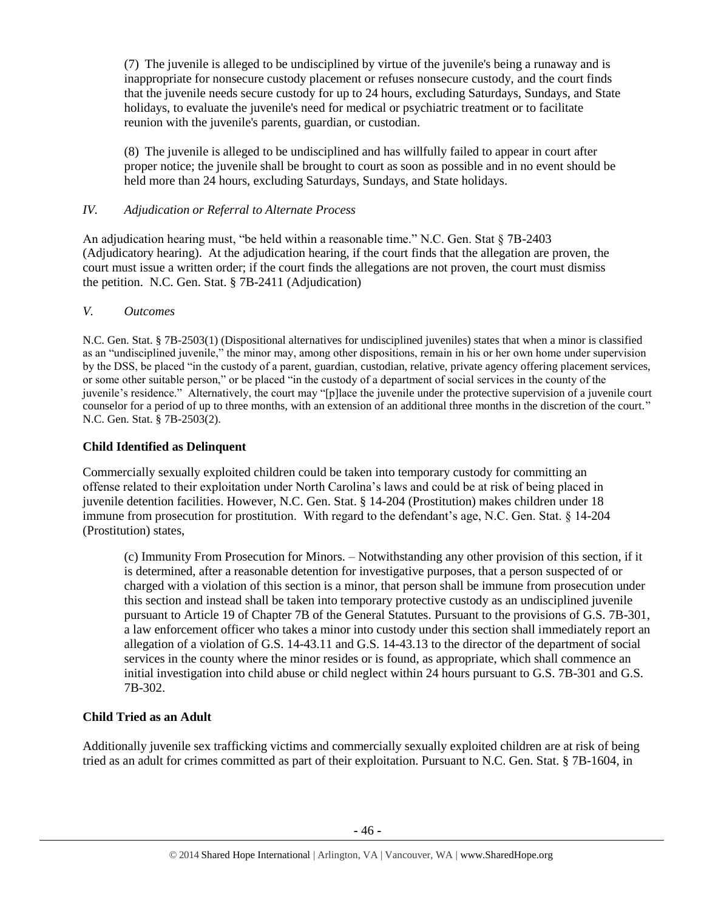(7) The juvenile is alleged to be undisciplined by virtue of the juvenile's being a runaway and is inappropriate for nonsecure custody placement or refuses nonsecure custody, and the court finds that the juvenile needs secure custody for up to 24 hours, excluding Saturdays, Sundays, and State holidays, to evaluate the juvenile's need for medical or psychiatric treatment or to facilitate reunion with the juvenile's parents, guardian, or custodian.

(8) The juvenile is alleged to be undisciplined and has willfully failed to appear in court after proper notice; the juvenile shall be brought to court as soon as possible and in no event should be held more than 24 hours, excluding Saturdays, Sundays, and State holidays.

# *IV. Adjudication or Referral to Alternate Process*

An adjudication hearing must, "be held within a reasonable time." N.C. Gen. Stat § 7B-2403 (Adjudicatory hearing). At the adjudication hearing, if the court finds that the allegation are proven, the court must issue a written order; if the court finds the allegations are not proven, the court must dismiss the petition. N.C. Gen. Stat. § 7B-2411 (Adjudication)

# *V. Outcomes*

N.C. Gen. Stat. § 7B-2503(1) (Dispositional alternatives for undisciplined juveniles) states that when a minor is classified as an "undisciplined juvenile," the minor may, among other dispositions, remain in his or her own home under supervision by the DSS, be placed "in the custody of a parent, guardian, custodian, relative, private agency offering placement services, or some other suitable person," or be placed "in the custody of a department of social services in the county of the juvenile's residence." Alternatively, the court may "[p]lace the juvenile under the protective supervision of a juvenile court counselor for a period of up to three months, with an extension of an additional three months in the discretion of the court." N.C. Gen. Stat. § 7B-2503(2).

# **Child Identified as Delinquent**

Commercially sexually exploited children could be taken into temporary custody for committing an offense related to their exploitation under North Carolina's laws and could be at risk of being placed in juvenile detention facilities. However, N.C. Gen. Stat. § 14-204 (Prostitution) makes children under 18 immune from prosecution for prostitution. With regard to the defendant's age, N.C. Gen. Stat. § 14-204 (Prostitution) states,

(c) Immunity From Prosecution for Minors. – Notwithstanding any other provision of this section, if it is determined, after a reasonable detention for investigative purposes, that a person suspected of or charged with a violation of this section is a minor, that person shall be immune from prosecution under this section and instead shall be taken into temporary protective custody as an undisciplined juvenile pursuant to Article 19 of Chapter 7B of the General Statutes. Pursuant to the provisions of G.S. 7B-301, a law enforcement officer who takes a minor into custody under this section shall immediately report an allegation of a violation of G.S. 14-43.11 and G.S. 14-43.13 to the director of the department of social services in the county where the minor resides or is found, as appropriate, which shall commence an initial investigation into child abuse or child neglect within 24 hours pursuant to G.S. 7B-301 and G.S. 7B-302.

# **Child Tried as an Adult**

Additionally juvenile sex trafficking victims and commercially sexually exploited children are at risk of being tried as an adult for crimes committed as part of their exploitation. Pursuant to N.C. Gen. Stat. § 7B-1604, in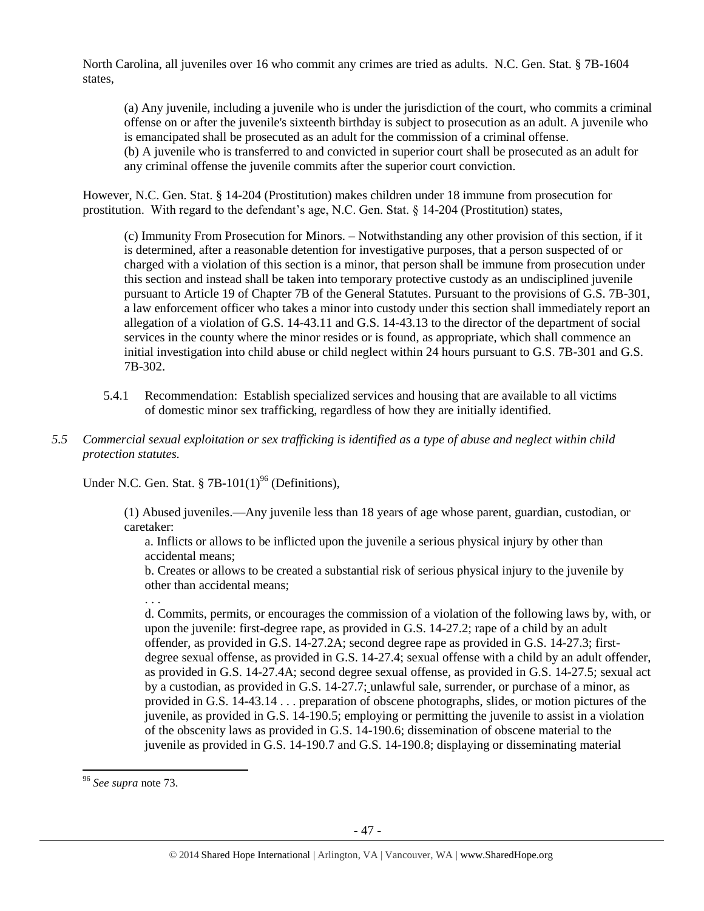North Carolina, all juveniles over 16 who commit any crimes are tried as adults. N.C. Gen. Stat. § 7B-1604 states,

(a) Any juvenile, including a juvenile who is under the jurisdiction of the court, who commits a criminal offense on or after the juvenile's sixteenth birthday is subject to prosecution as an adult. A juvenile who is emancipated shall be prosecuted as an adult for the commission of a criminal offense. (b) A juvenile who is transferred to and convicted in superior court shall be prosecuted as an adult for any criminal offense the juvenile commits after the superior court conviction.

However, N.C. Gen. Stat. § 14-204 (Prostitution) makes children under 18 immune from prosecution for prostitution. With regard to the defendant's age, N.C. Gen. Stat. § 14-204 (Prostitution) states,

(c) Immunity From Prosecution for Minors. – Notwithstanding any other provision of this section, if it is determined, after a reasonable detention for investigative purposes, that a person suspected of or charged with a violation of this section is a minor, that person shall be immune from prosecution under this section and instead shall be taken into temporary protective custody as an undisciplined juvenile pursuant to Article 19 of Chapter 7B of the General Statutes. Pursuant to the provisions of G.S. 7B-301, a law enforcement officer who takes a minor into custody under this section shall immediately report an allegation of a violation of G.S. 14-43.11 and G.S. 14-43.13 to the director of the department of social services in the county where the minor resides or is found, as appropriate, which shall commence an initial investigation into child abuse or child neglect within 24 hours pursuant to G.S. 7B-301 and G.S. 7B-302.

- 5.4.1 Recommendation: Establish specialized services and housing that are available to all victims of domestic minor sex trafficking, regardless of how they are initially identified.
- *5.5 Commercial sexual exploitation or sex trafficking is identified as a type of abuse and neglect within child protection statutes.*

Under N.C. Gen. Stat.  $§$  7B-101(1)<sup>96</sup> (Definitions),

(1) Abused juveniles.—Any juvenile less than 18 years of age whose parent, guardian, custodian, or caretaker:

a. Inflicts or allows to be inflicted upon the juvenile a serious physical injury by other than accidental means;

b. Creates or allows to be created a substantial risk of serious physical injury to the juvenile by other than accidental means;

. . .

d. Commits, permits, or encourages the commission of a violation of the following laws by, with, or upon the juvenile: first-degree rape, as provided in G.S. 14-27.2; rape of a child by an adult offender, as provided in G.S. 14-27.2A; second degree rape as provided in G.S. 14-27.3; firstdegree sexual offense, as provided in G.S. 14-27.4; sexual offense with a child by an adult offender, as provided in G.S. 14-27.4A; second degree sexual offense, as provided in G.S. 14-27.5; sexual act by a custodian, as provided in G.S. 14-27.7; unlawful sale, surrender, or purchase of a minor, as provided in G.S. 14-43.14 . . . preparation of obscene photographs, slides, or motion pictures of the juvenile, as provided in G.S. 14-190.5; employing or permitting the juvenile to assist in a violation of the obscenity laws as provided in G.S. 14-190.6; dissemination of obscene material to the juvenile as provided in G.S. 14-190.7 and G.S. 14-190.8; displaying or disseminating material

 $\overline{\phantom{a}}$ 

<sup>96</sup> *See supra* note [73.](#page-27-0)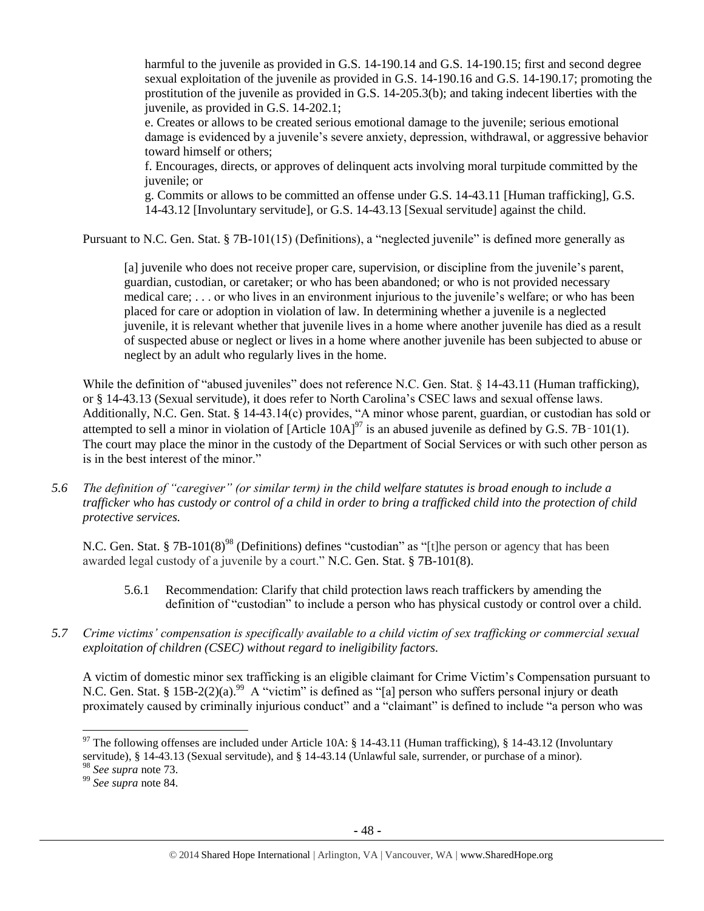harmful to the juvenile as provided in G.S. 14-190.14 and G.S. 14-190.15; first and second degree sexual exploitation of the juvenile as provided in G.S. 14-190.16 and G.S. 14-190.17; promoting the prostitution of the juvenile as provided in G.S. 14-205.3(b); and taking indecent liberties with the juvenile, as provided in G.S. 14-202.1;

e. Creates or allows to be created serious emotional damage to the juvenile; serious emotional damage is evidenced by a juvenile's severe anxiety, depression, withdrawal, or aggressive behavior toward himself or others;

f. Encourages, directs, or approves of delinquent acts involving moral turpitude committed by the juvenile; or

g. Commits or allows to be committed an offense under G.S. 14-43.11 [Human trafficking], G.S. 14-43.12 [Involuntary servitude], or G.S. 14-43.13 [Sexual servitude] against the child.

Pursuant to N.C. Gen. Stat. § 7B-101(15) (Definitions), a "neglected juvenile" is defined more generally as

[a] juvenile who does not receive proper care, supervision, or discipline from the juvenile's parent, guardian, custodian, or caretaker; or who has been abandoned; or who is not provided necessary medical care; . . . or who lives in an environment injurious to the juvenile's welfare; or who has been placed for care or adoption in violation of law. In determining whether a juvenile is a neglected juvenile, it is relevant whether that juvenile lives in a home where another juvenile has died as a result of suspected abuse or neglect or lives in a home where another juvenile has been subjected to abuse or neglect by an adult who regularly lives in the home.

While the definition of "abused juveniles" does not reference N.C. Gen. Stat. § 14-43.11 (Human trafficking), or § 14-43.13 (Sexual servitude), it does refer to North Carolina's CSEC laws and sexual offense laws. Additionally, N.C. Gen. Stat. § 14-43.14(c) provides, "A minor whose parent, guardian, or custodian has sold or attempted to sell a minor in violation of  $[Article 10A]<sup>97</sup>$  is an abused juvenile as defined by G.S. 7B - 101(1). The court may place the minor in the custody of the Department of Social Services or with such other person as is in the best interest of the minor."

*5.6 The definition of "caregiver" (or similar term) in the child welfare statutes is broad enough to include a trafficker who has custody or control of a child in order to bring a trafficked child into the protection of child protective services.*

N.C. Gen. Stat. § 7B-101(8)<sup>98</sup> (Definitions) defines "custodian" as "[t]he person or agency that has been awarded legal custody of a juvenile by a court." N.C. Gen. Stat. § 7B-101(8).

- 5.6.1 Recommendation: Clarify that child protection laws reach traffickers by amending the definition of "custodian" to include a person who has physical custody or control over a child.
- *5.7 Crime victims' compensation is specifically available to a child victim of sex trafficking or commercial sexual exploitation of children (CSEC) without regard to ineligibility factors.*

A victim of domestic minor sex trafficking is an eligible claimant for Crime Victim's Compensation pursuant to N.C. Gen. Stat. § 15B-2(2)(a).<sup>99</sup> A "victim" is defined as "[a] person who suffers personal injury or death proximately caused by criminally injurious conduct" and a "claimant" is defined to include "a person who was

 $\overline{\phantom{a}}$ <sup>97</sup> The following offenses are included under Article 10A:  $\S$  14-43.11 (Human trafficking),  $\S$  14-43.12 (Involuntary servitude), § 14-43.13 (Sexual servitude), and § 14-43.14 (Unlawful sale, surrender, or purchase of a minor).

<sup>98</sup> *See supra* note [73.](#page-27-0)

<sup>99</sup> *See supra* note [84.](#page-35-0)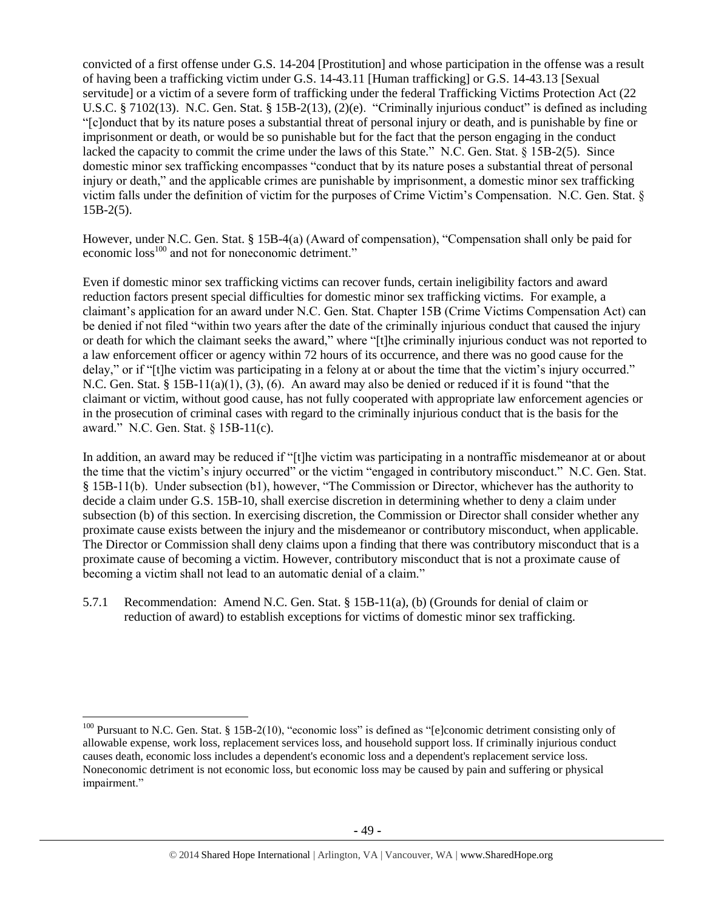convicted of a first offense under G.S. 14-204 [Prostitution] and whose participation in the offense was a result of having been a trafficking victim under G.S. 14-43.11 [Human trafficking] or G.S. 14-43.13 [Sexual servitude] or a victim of a severe form of trafficking under the federal Trafficking Victims Protection Act (22 U.S.C. § 7102(13). N.C. Gen. Stat. § 15B-2(13), (2)(e). "Criminally injurious conduct" is defined as including "[c]onduct that by its nature poses a substantial threat of personal injury or death, and is punishable by fine or imprisonment or death, or would be so punishable but for the fact that the person engaging in the conduct lacked the capacity to commit the crime under the laws of this State." N.C. Gen. Stat. § 15B-2(5). Since domestic minor sex trafficking encompasses "conduct that by its nature poses a substantial threat of personal injury or death," and the applicable crimes are punishable by imprisonment, a domestic minor sex trafficking victim falls under the definition of victim for the purposes of Crime Victim's Compensation. N.C. Gen. Stat. §  $15B-2(5)$ .

However, under N.C. Gen. Stat. § 15B-4(a) (Award of compensation), "Compensation shall only be paid for economic loss<sup>100</sup> and not for noneconomic detriment."

Even if domestic minor sex trafficking victims can recover funds, certain ineligibility factors and award reduction factors present special difficulties for domestic minor sex trafficking victims. For example, a claimant's application for an award under N.C. Gen. Stat. Chapter 15B (Crime Victims Compensation Act) can be denied if not filed "within two years after the date of the criminally injurious conduct that caused the injury or death for which the claimant seeks the award," where "[t]he criminally injurious conduct was not reported to a law enforcement officer or agency within 72 hours of its occurrence, and there was no good cause for the delay," or if "[t]he victim was participating in a felony at or about the time that the victim's injury occurred." N.C. Gen. Stat. § 15B-11(a)(1), (3), (6). An award may also be denied or reduced if it is found "that the claimant or victim, without good cause, has not fully cooperated with appropriate law enforcement agencies or in the prosecution of criminal cases with regard to the criminally injurious conduct that is the basis for the award." N.C. Gen. Stat. § 15B-11(c).

In addition, an award may be reduced if "[t]he victim was participating in a nontraffic misdemeanor at or about the time that the victim's injury occurred" or the victim "engaged in contributory misconduct." N.C. Gen. Stat. § 15B-11(b). Under subsection (b1), however, "The Commission or Director, whichever has the authority to decide a claim under G.S. 15B-10, shall exercise discretion in determining whether to deny a claim under subsection (b) of this section. In exercising discretion, the Commission or Director shall consider whether any proximate cause exists between the injury and the misdemeanor or contributory misconduct, when applicable. The Director or Commission shall deny claims upon a finding that there was contributory misconduct that is a proximate cause of becoming a victim. However, contributory misconduct that is not a proximate cause of becoming a victim shall not lead to an automatic denial of a claim."

5.7.1 Recommendation: Amend N.C. Gen. Stat. § 15B-11(a), (b) (Grounds for denial of claim or reduction of award) to establish exceptions for victims of domestic minor sex trafficking.

 $\overline{a}$ 

 $100$  Pursuant to N.C. Gen. Stat. § 15B-2(10), "economic loss" is defined as "[e]conomic detriment consisting only of allowable expense, work loss, replacement services loss, and household support loss. If criminally injurious conduct causes death, economic loss includes a dependent's economic loss and a dependent's replacement service loss. Noneconomic detriment is not economic loss, but economic loss may be caused by pain and suffering or physical impairment."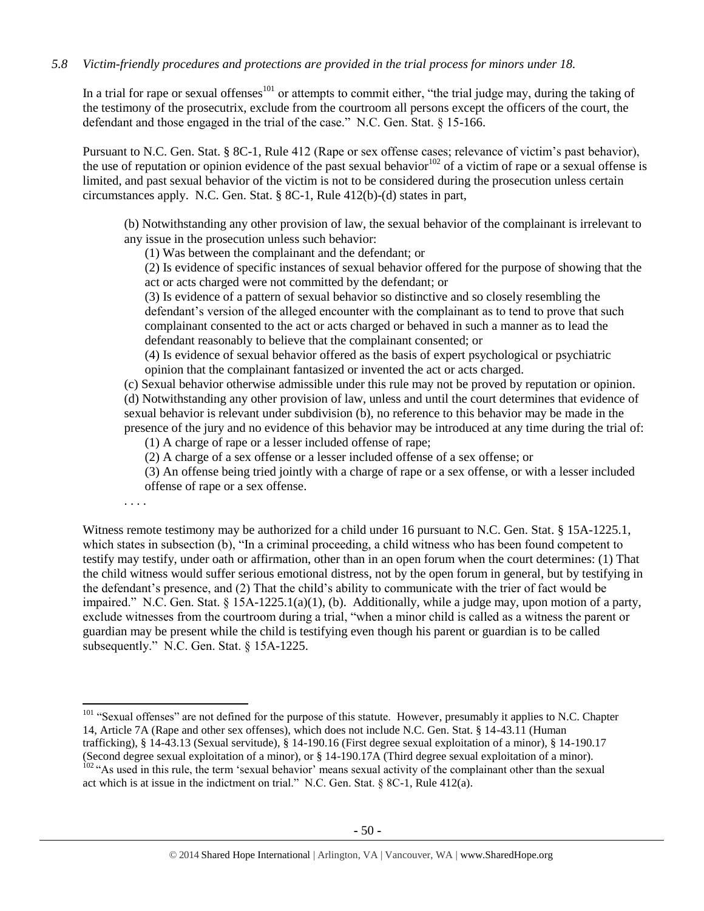# *5.8 Victim-friendly procedures and protections are provided in the trial process for minors under 18.*

In a trial for rape or sexual offenses<sup>101</sup> or attempts to commit either, "the trial judge may, during the taking of the testimony of the prosecutrix, exclude from the courtroom all persons except the officers of the court, the defendant and those engaged in the trial of the case." N.C. Gen. Stat. § 15-166.

Pursuant to N.C. Gen. Stat. § 8C-1, Rule 412 (Rape or sex offense cases; relevance of victim's past behavior), the use of reputation or opinion evidence of the past sexual behavior<sup>102</sup> of a victim of rape or a sexual offense is limited, and past sexual behavior of the victim is not to be considered during the prosecution unless certain circumstances apply. N.C. Gen. Stat. § 8C-1, Rule 412(b)-(d) states in part,

(b) Notwithstanding any other provision of law, the sexual behavior of the complainant is irrelevant to any issue in the prosecution unless such behavior:

(1) Was between the complainant and the defendant; or

(2) Is evidence of specific instances of sexual behavior offered for the purpose of showing that the act or acts charged were not committed by the defendant; or

(3) Is evidence of a pattern of sexual behavior so distinctive and so closely resembling the defendant's version of the alleged encounter with the complainant as to tend to prove that such complainant consented to the act or acts charged or behaved in such a manner as to lead the defendant reasonably to believe that the complainant consented; or

(4) Is evidence of sexual behavior offered as the basis of expert psychological or psychiatric opinion that the complainant fantasized or invented the act or acts charged.

(c) Sexual behavior otherwise admissible under this rule may not be proved by reputation or opinion. (d) Notwithstanding any other provision of law, unless and until the court determines that evidence of sexual behavior is relevant under subdivision (b), no reference to this behavior may be made in the presence of the jury and no evidence of this behavior may be introduced at any time during the trial of:

(1) A charge of rape or a lesser included offense of rape;

(2) A charge of a sex offense or a lesser included offense of a sex offense; or

(3) An offense being tried jointly with a charge of rape or a sex offense, or with a lesser included offense of rape or a sex offense.

. . . .

l

Witness remote testimony may be authorized for a child under 16 pursuant to N.C. Gen. Stat. § 15A-1225.1, which states in subsection (b), "In a criminal proceeding, a child witness who has been found competent to testify may testify, under oath or affirmation, other than in an open forum when the court determines: (1) That the child witness would suffer serious emotional distress, not by the open forum in general, but by testifying in the defendant's presence, and (2) That the child's ability to communicate with the trier of fact would be impaired." N.C. Gen. Stat. § 15A-1225.1(a)(1), (b). Additionally, while a judge may, upon motion of a party, exclude witnesses from the courtroom during a trial, "when a minor child is called as a witness the parent or guardian may be present while the child is testifying even though his parent or guardian is to be called subsequently." N.C. Gen. Stat. § 15A-1225.

<sup>&</sup>lt;sup>101</sup> "Sexual offenses" are not defined for the purpose of this statute. However, presumably it applies to N.C. Chapter 14, Article 7A (Rape and other sex offenses), which does not include N.C. Gen. Stat. § 14-43.11 (Human trafficking), § 14-43.13 (Sexual servitude), § 14-190.16 (First degree sexual exploitation of a minor), § 14-190.17 (Second degree sexual exploitation of a minor), or § 14-190.17A (Third degree sexual exploitation of a minor). <sup>102</sup> "As used in this rule, the term 'sexual behavior' means sexual activity of the complainant other than the sexual

act which is at issue in the indictment on trial." N.C. Gen. Stat. § 8C-1, Rule 412(a).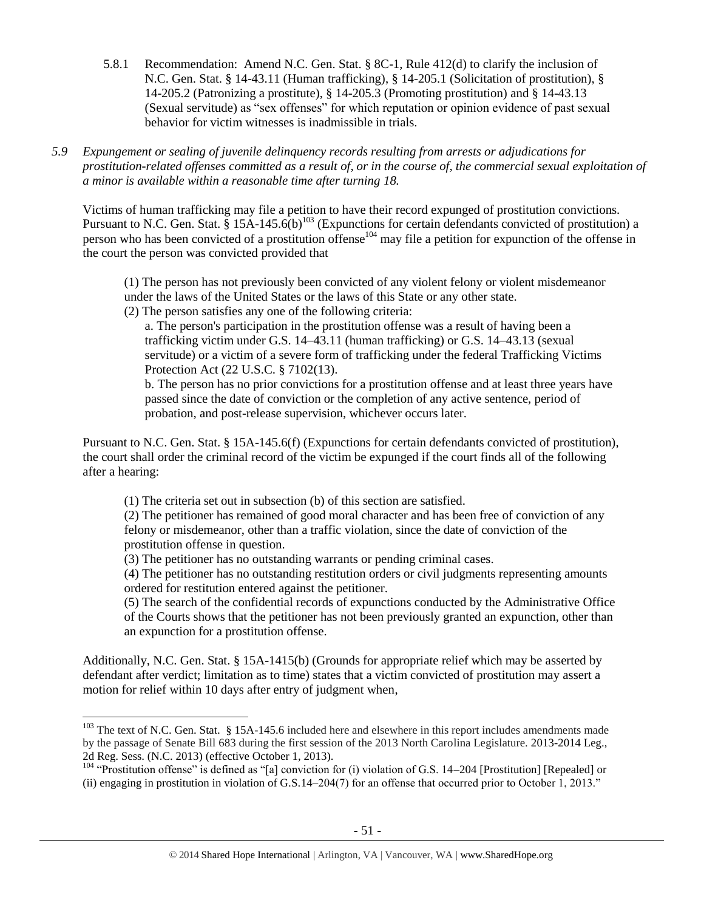5.8.1 Recommendation: Amend N.C. Gen. Stat. § 8C-1, Rule 412(d) to clarify the inclusion of N.C. Gen. Stat. § 14-43.11 (Human trafficking), § 14-205.1 (Solicitation of prostitution), § 14-205.2 (Patronizing a prostitute), § 14-205.3 (Promoting prostitution) and § 14-43.13 (Sexual servitude) as "sex offenses" for which reputation or opinion evidence of past sexual behavior for victim witnesses is inadmissible in trials.

*5.9 Expungement or sealing of juvenile delinquency records resulting from arrests or adjudications for prostitution-related offenses committed as a result of, or in the course of, the commercial sexual exploitation of a minor is available within a reasonable time after turning 18.*

Victims of human trafficking may file a petition to have their record expunged of prostitution convictions. Pursuant to N.C. Gen. Stat. § 15A-145.6(b)<sup>103</sup> (Expunctions for certain defendants convicted of prostitution) a person who has been convicted of a prostitution offense<sup>104</sup> may file a petition for expunction of the offense in the court the person was convicted provided that

(1) The person has not previously been convicted of any violent felony or violent misdemeanor under the laws of the United States or the laws of this State or any other state.

(2) The person satisfies any one of the following criteria:

a. The person's participation in the prostitution offense was a result of having been a trafficking victim under G.S. 14–43.11 (human trafficking) or G.S. 14–43.13 (sexual servitude) or a victim of a severe form of trafficking under the federal Trafficking Victims Protection Act (22 U.S.C. § 7102(13).

b. The person has no prior convictions for a prostitution offense and at least three years have passed since the date of conviction or the completion of any active sentence, period of probation, and post-release supervision, whichever occurs later.

Pursuant to N.C. Gen. Stat. § 15A-145.6(f) (Expunctions for certain defendants convicted of prostitution), the court shall order the criminal record of the victim be expunged if the court finds all of the following after a hearing:

(1) The criteria set out in subsection (b) of this section are satisfied.

 $\overline{a}$ 

(2) The petitioner has remained of good moral character and has been free of conviction of any felony or misdemeanor, other than a traffic violation, since the date of conviction of the prostitution offense in question.

(3) The petitioner has no outstanding warrants or pending criminal cases.

(4) The petitioner has no outstanding restitution orders or civil judgments representing amounts ordered for restitution entered against the petitioner.

(5) The search of the confidential records of expunctions conducted by the Administrative Office of the Courts shows that the petitioner has not been previously granted an expunction, other than an expunction for a prostitution offense.

Additionally, N.C. Gen. Stat. § 15A-1415(b) (Grounds for appropriate relief which may be asserted by defendant after verdict; limitation as to time) states that a victim convicted of prostitution may assert a motion for relief within 10 days after entry of judgment when,

 $103$  The text of N.C. Gen. Stat. § 15A-145.6 included here and elsewhere in this report includes amendments made by the passage of Senate Bill 683 during the first session of the 2013 North Carolina Legislature. 2013-2014 Leg., 2d Reg. Sess. (N.C. 2013) (effective October 1, 2013).

<sup>&</sup>lt;sup>104</sup> "Prostitution offense" is defined as "[a] conviction for (i) violation of G.S. 14–204 [Prostitution] [Repealed] or (ii) engaging in prostitution in violation of G.S.14–204(7) for an offense that occurred prior to October 1, 2013."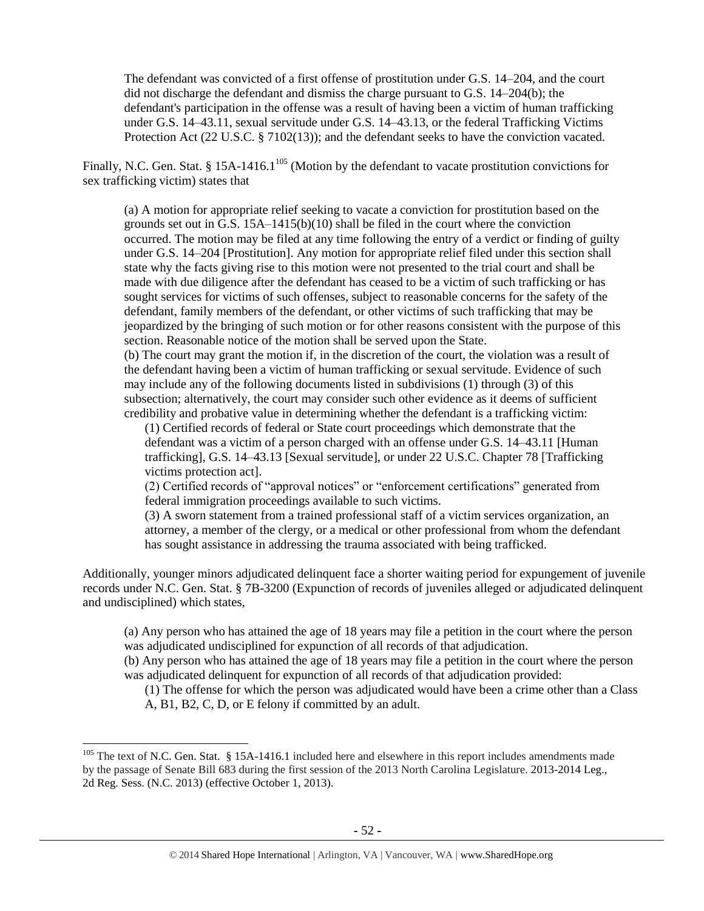The defendant was convicted of a first offense of prostitution under G.S. 14–204, and the court did not discharge the defendant and dismiss the charge pursuant to G.S. 14–204(b); the defendant's participation in the offense was a result of having been a victim of human trafficking under G.S. 14–43.11, sexual servitude under G.S. 14–43.13, or the federal Trafficking Victims Protection Act (22 U.S.C. § 7102(13)); and the defendant seeks to have the conviction vacated.

Finally, N.C. Gen. Stat. § 15A-1416.1<sup>105</sup> (Motion by the defendant to vacate prostitution convictions for sex trafficking victim) states that

(a) A motion for appropriate relief seeking to vacate a conviction for prostitution based on the grounds set out in G.S.  $15A-1415(b)(10)$  shall be filed in the court where the conviction occurred. The motion may be filed at any time following the entry of a verdict or finding of guilty under G.S. 14–204 [Prostitution]. Any motion for appropriate relief filed under this section shall state why the facts giving rise to this motion were not presented to the trial court and shall be made with due diligence after the defendant has ceased to be a victim of such trafficking or has sought services for victims of such offenses, subject to reasonable concerns for the safety of the defendant, family members of the defendant, or other victims of such trafficking that may be jeopardized by the bringing of such motion or for other reasons consistent with the purpose of this section. Reasonable notice of the motion shall be served upon the State.

(b) The court may grant the motion if, in the discretion of the court, the violation was a result of the defendant having been a victim of human trafficking or sexual servitude. Evidence of such may include any of the following documents listed in subdivisions (1) through (3) of this subsection; alternatively, the court may consider such other evidence as it deems of sufficient credibility and probative value in determining whether the defendant is a trafficking victim:

(1) Certified records of federal or State court proceedings which demonstrate that the defendant was a victim of a person charged with an offense under G.S. 14–43.11 [Human trafficking], G.S. 14–43.13 [Sexual servitude], or under 22 U.S.C. Chapter 78 [Trafficking victims protection act].

(2) Certified records of "approval notices" or "enforcement certifications" generated from federal immigration proceedings available to such victims.

(3) A sworn statement from a trained professional staff of a victim services organization, an attorney, a member of the clergy, or a medical or other professional from whom the defendant has sought assistance in addressing the trauma associated with being trafficked.

Additionally, younger minors adjudicated delinquent face a shorter waiting period for expungement of juvenile records under N.C. Gen. Stat. § 7B-3200 (Expunction of records of juveniles alleged or adjudicated delinquent and undisciplined) which states,

(a) Any person who has attained the age of 18 years may file a petition in the court where the person was adjudicated undisciplined for expunction of all records of that adjudication.

(b) Any person who has attained the age of 18 years may file a petition in the court where the person was adjudicated delinquent for expunction of all records of that adjudication provided:

(1) The offense for which the person was adjudicated would have been a crime other than a Class A, B1, B2, C, D, or E felony if committed by an adult.

 $\overline{\phantom{a}}$ 

 $105$  The text of N.C. Gen. Stat. § 15A-1416.1 included here and elsewhere in this report includes amendments made by the passage of Senate Bill 683 during the first session of the 2013 North Carolina Legislature. 2013-2014 Leg., 2d Reg. Sess. (N.C. 2013) (effective October 1, 2013).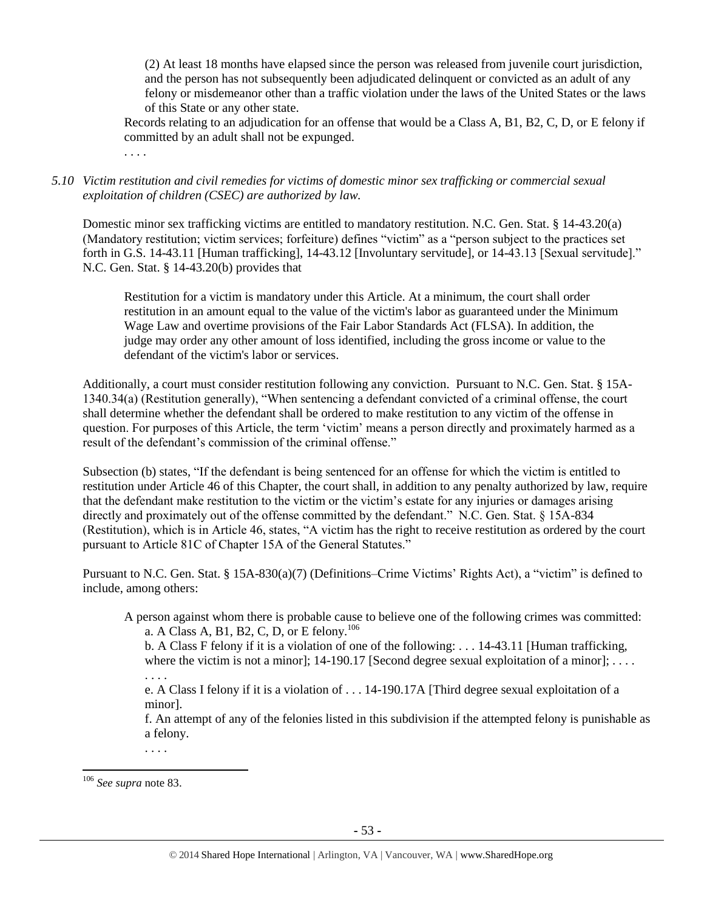(2) At least 18 months have elapsed since the person was released from juvenile court jurisdiction, and the person has not subsequently been adjudicated delinquent or convicted as an adult of any felony or misdemeanor other than a traffic violation under the laws of the United States or the laws of this State or any other state.

Records relating to an adjudication for an offense that would be a Class A, B1, B2, C, D, or E felony if committed by an adult shall not be expunged.

. . . .

*5.10 Victim restitution and civil remedies for victims of domestic minor sex trafficking or commercial sexual exploitation of children (CSEC) are authorized by law.* 

Domestic minor sex trafficking victims are entitled to mandatory restitution. N.C. Gen. Stat. § 14-43.20(a) (Mandatory restitution; victim services; forfeiture) defines "victim" as a "person subject to the practices set forth in G.S. 14-43.11 [Human trafficking], 14-43.12 [Involuntary servitude], or 14-43.13 [Sexual servitude]." N.C. Gen. Stat. § 14-43.20(b) provides that

Restitution for a victim is mandatory under this Article. At a minimum, the court shall order restitution in an amount equal to the value of the victim's labor as guaranteed under the Minimum Wage Law and overtime provisions of the Fair Labor Standards Act (FLSA). In addition, the judge may order any other amount of loss identified, including the gross income or value to the defendant of the victim's labor or services.

Additionally, a court must consider restitution following any conviction. Pursuant to N.C. Gen. Stat. § 15A-1340.34(a) (Restitution generally), "When sentencing a defendant convicted of a criminal offense, the court shall determine whether the defendant shall be ordered to make restitution to any victim of the offense in question. For purposes of this Article, the term 'victim' means a person directly and proximately harmed as a result of the defendant's commission of the criminal offense."

Subsection (b) states, "If the defendant is being sentenced for an offense for which the victim is entitled to restitution under Article 46 of this Chapter, the court shall, in addition to any penalty authorized by law, require that the defendant make restitution to the victim or the victim's estate for any injuries or damages arising directly and proximately out of the offense committed by the defendant." N.C. Gen. Stat. § 15A-834 (Restitution), which is in Article 46, states, "A victim has the right to receive restitution as ordered by the court pursuant to Article 81C of Chapter 15A of the General Statutes."

Pursuant to N.C. Gen. Stat. § 15A-830(a)(7) (Definitions–Crime Victims' Rights Act), a "victim" is defined to include, among others:

A person against whom there is probable cause to believe one of the following crimes was committed: a. A Class A, B1, B2, C, D, or E felony.<sup>106</sup>

b. A Class F felony if it is a violation of one of the following: . . . 14-43.11 [Human trafficking, where the victim is not a minor];  $14-190.17$  [Second degree sexual exploitation of a minor]; ...

. . . . e. A Class I felony if it is a violation of . . . 14-190.17A [Third degree sexual exploitation of a minor].

f. An attempt of any of the felonies listed in this subdivision if the attempted felony is punishable as a felony.

 $\overline{\phantom{a}}$ 

. . . .

<sup>106</sup> *See supra* not[e 83.](#page-34-0)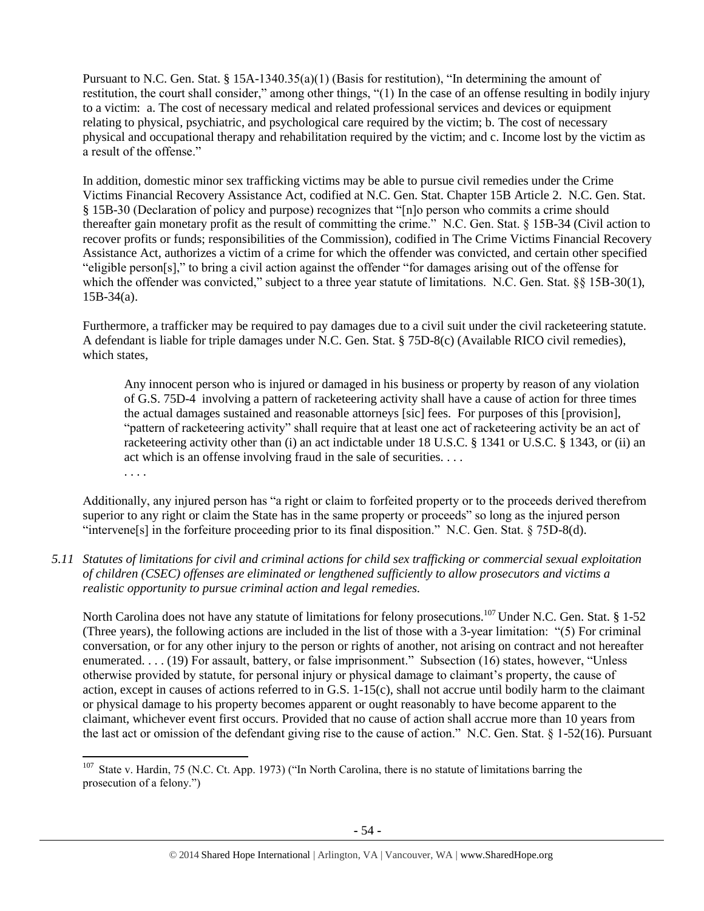Pursuant to N.C. Gen. Stat. § 15A-1340.35(a)(1) (Basis for restitution), "In determining the amount of restitution, the court shall consider," among other things, "(1) In the case of an offense resulting in bodily injury to a victim: a. The cost of necessary medical and related professional services and devices or equipment relating to physical, psychiatric, and psychological care required by the victim; b. The cost of necessary physical and occupational therapy and rehabilitation required by the victim; and c. Income lost by the victim as a result of the offense."

In addition, domestic minor sex trafficking victims may be able to pursue civil remedies under the Crime Victims Financial Recovery Assistance Act, codified at N.C. Gen. Stat. Chapter 15B Article 2. N.C. Gen. Stat. § 15B-30 (Declaration of policy and purpose) recognizes that "[n]o person who commits a crime should thereafter gain monetary profit as the result of committing the crime." N.C. Gen. Stat. § 15B-34 (Civil action to recover profits or funds; responsibilities of the Commission), codified in The Crime Victims Financial Recovery Assistance Act, authorizes a victim of a crime for which the offender was convicted, and certain other specified "eligible person[s]," to bring a civil action against the offender "for damages arising out of the offense for which the offender was convicted," subject to a three year statute of limitations. N.C. Gen. Stat. §§ 15B-30(1), 15B-34(a).

Furthermore, a trafficker may be required to pay damages due to a civil suit under the civil racketeering statute. A defendant is liable for triple damages under N.C. Gen. Stat. § 75D-8(c) (Available RICO civil remedies), which states,

Any innocent person who is injured or damaged in his business or property by reason of any violation of G.S. 75D-4 involving a pattern of racketeering activity shall have a cause of action for three times the actual damages sustained and reasonable attorneys [sic] fees. For purposes of this [provision], "pattern of racketeering activity" shall require that at least one act of racketeering activity be an act of racketeering activity other than (i) an act indictable under 18 U.S.C. § 1341 or U.S.C. § 1343, or (ii) an act which is an offense involving fraud in the sale of securities. . . . . . . .

Additionally, any injured person has "a right or claim to forfeited property or to the proceeds derived therefrom superior to any right or claim the State has in the same property or proceeds" so long as the injured person "intervene[s] in the forfeiture proceeding prior to its final disposition." N.C. Gen. Stat. § 75D-8(d).

*5.11 Statutes of limitations for civil and criminal actions for child sex trafficking or commercial sexual exploitation of children (CSEC) offenses are eliminated or lengthened sufficiently to allow prosecutors and victims a realistic opportunity to pursue criminal action and legal remedies.*

North Carolina does not have any statute of limitations for felony prosecutions.<sup>107</sup> Under N.C. Gen. Stat. § 1-52 (Three years), the following actions are included in the list of those with a 3-year limitation: "(5) For criminal conversation, or for any other injury to the person or rights of another, not arising on contract and not hereafter enumerated. . . . (19) For assault, battery, or false imprisonment." Subsection (16) states, however, "Unless otherwise provided by statute, for personal injury or physical damage to claimant's property, the cause of action, except in causes of actions referred to in G.S. 1-15(c), shall not accrue until bodily harm to the claimant or physical damage to his property becomes apparent or ought reasonably to have become apparent to the claimant, whichever event first occurs. Provided that no cause of action shall accrue more than 10 years from the last act or omission of the defendant giving rise to the cause of action." N.C. Gen. Stat. § 1-52(16). Pursuant

l

<sup>&</sup>lt;sup>107</sup> State v. Hardin, 75 (N.C. Ct. App. 1973) ("In North Carolina, there is no statute of limitations barring the prosecution of a felony.")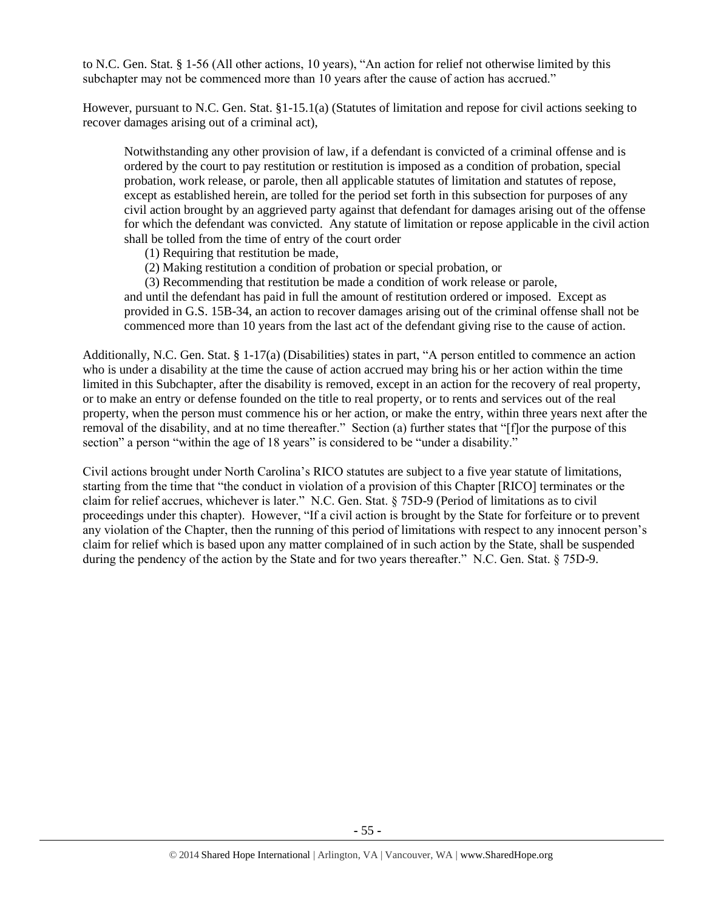to N.C. Gen. Stat. § 1-56 (All other actions, 10 years), "An action for relief not otherwise limited by this subchapter may not be commenced more than 10 years after the cause of action has accrued."

However, pursuant to N.C. Gen. Stat. §1-15.1(a) (Statutes of limitation and repose for civil actions seeking to recover damages arising out of a criminal act),

Notwithstanding any other provision of law, if a defendant is convicted of a criminal offense and is ordered by the court to pay restitution or restitution is imposed as a condition of probation, special probation, work release, or parole, then all applicable statutes of limitation and statutes of repose, except as established herein, are tolled for the period set forth in this subsection for purposes of any civil action brought by an aggrieved party against that defendant for damages arising out of the offense for which the defendant was convicted. Any statute of limitation or repose applicable in the civil action shall be tolled from the time of entry of the court order

(1) Requiring that restitution be made,

(2) Making restitution a condition of probation or special probation, or

(3) Recommending that restitution be made a condition of work release or parole, and until the defendant has paid in full the amount of restitution ordered or imposed. Except as provided in G.S. 15B-34, an action to recover damages arising out of the criminal offense shall not be commenced more than 10 years from the last act of the defendant giving rise to the cause of action.

Additionally, N.C. Gen. Stat. § 1-17(a) (Disabilities) states in part, "A person entitled to commence an action who is under a disability at the time the cause of action accrued may bring his or her action within the time limited in this Subchapter, after the disability is removed, except in an action for the recovery of real property, or to make an entry or defense founded on the title to real property, or to rents and services out of the real property, when the person must commence his or her action, or make the entry, within three years next after the removal of the disability, and at no time thereafter." Section (a) further states that "[f]or the purpose of this section" a person "within the age of 18 years" is considered to be "under a disability."

Civil actions brought under North Carolina's RICO statutes are subject to a five year statute of limitations, starting from the time that "the conduct in violation of a provision of this Chapter [RICO] terminates or the claim for relief accrues, whichever is later." N.C. Gen. Stat. § 75D-9 (Period of limitations as to civil proceedings under this chapter). However, "If a civil action is brought by the State for forfeiture or to prevent any violation of the Chapter, then the running of this period of limitations with respect to any innocent person's claim for relief which is based upon any matter complained of in such action by the State, shall be suspended during the pendency of the action by the State and for two years thereafter." N.C. Gen. Stat. § 75D-9.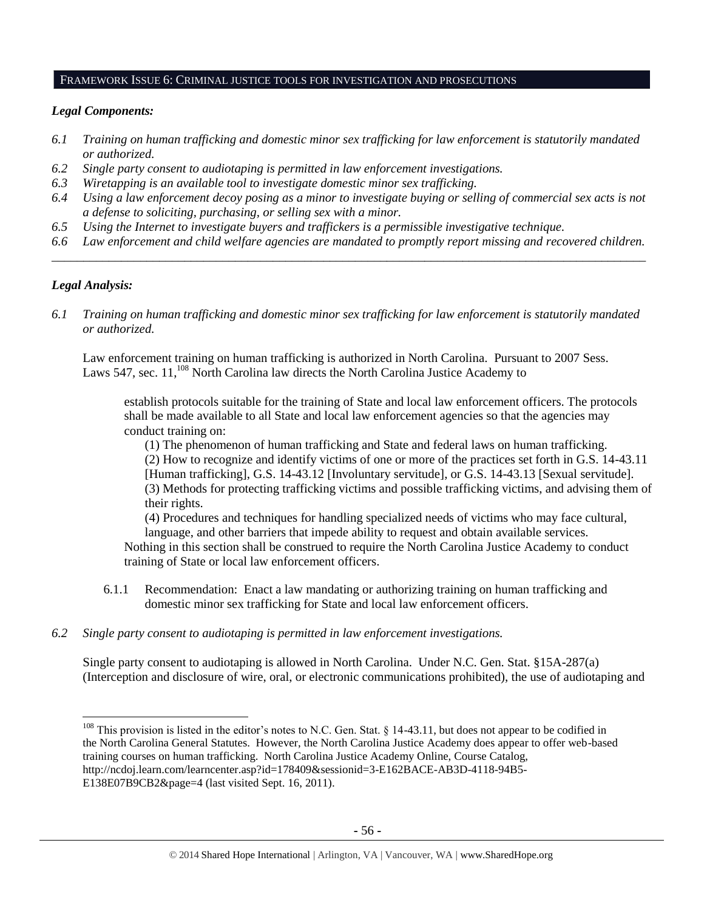#### FRAMEWORK ISSUE 6: CRIMINAL JUSTICE TOOLS FOR INVESTIGATION AND PROSECUTIONS

## *Legal Components:*

- *6.1 Training on human trafficking and domestic minor sex trafficking for law enforcement is statutorily mandated or authorized.*
- *6.2 Single party consent to audiotaping is permitted in law enforcement investigations.*
- *6.3 Wiretapping is an available tool to investigate domestic minor sex trafficking.*
- *6.4 Using a law enforcement decoy posing as a minor to investigate buying or selling of commercial sex acts is not a defense to soliciting, purchasing, or selling sex with a minor.*
- *6.5 Using the Internet to investigate buyers and traffickers is a permissible investigative technique.*
- *6.6 Law enforcement and child welfare agencies are mandated to promptly report missing and recovered children. \_\_\_\_\_\_\_\_\_\_\_\_\_\_\_\_\_\_\_\_\_\_\_\_\_\_\_\_\_\_\_\_\_\_\_\_\_\_\_\_\_\_\_\_\_\_\_\_\_\_\_\_\_\_\_\_\_\_\_\_\_\_\_\_\_\_\_\_\_\_\_\_\_\_\_\_\_\_\_\_\_\_\_\_\_\_\_\_\_\_\_\_\_\_*

## *Legal Analysis:*

 $\overline{a}$ 

*6.1 Training on human trafficking and domestic minor sex trafficking for law enforcement is statutorily mandated or authorized.*

Law enforcement training on human trafficking is authorized in North Carolina. Pursuant to 2007 Sess. Laws 547, sec.  $11$ ,<sup>108</sup> North Carolina law directs the North Carolina Justice Academy to

establish protocols suitable for the training of State and local law enforcement officers. The protocols shall be made available to all State and local law enforcement agencies so that the agencies may conduct training on:

(1) The phenomenon of human trafficking and State and federal laws on human trafficking. (2) How to recognize and identify victims of one or more of the practices set forth in G.S. 14-43.11 [Human trafficking], G.S. 14-43.12 [Involuntary servitude], or G.S. 14-43.13 [Sexual servitude]. (3) Methods for protecting trafficking victims and possible trafficking victims, and advising them of their rights.

(4) Procedures and techniques for handling specialized needs of victims who may face cultural, language, and other barriers that impede ability to request and obtain available services.

Nothing in this section shall be construed to require the North Carolina Justice Academy to conduct training of State or local law enforcement officers.

- 6.1.1 Recommendation: Enact a law mandating or authorizing training on human trafficking and domestic minor sex trafficking for State and local law enforcement officers.
- *6.2 Single party consent to audiotaping is permitted in law enforcement investigations.*

Single party consent to audiotaping is allowed in North Carolina. Under N.C. Gen. Stat. §15A-287(a) (Interception and disclosure of wire, oral, or electronic communications prohibited), the use of audiotaping and

 $108$  This provision is listed in the editor's notes to N.C. Gen. Stat. § 14-43.11, but does not appear to be codified in the North Carolina General Statutes. However, the North Carolina Justice Academy does appear to offer web-based training courses on human trafficking. North Carolina Justice Academy Online, Course Catalog, http://ncdoj.learn.com/learncenter.asp?id=178409&sessionid=3-E162BACE-AB3D-4118-94B5- E138E07B9CB2&page=4 (last visited Sept. 16, 2011).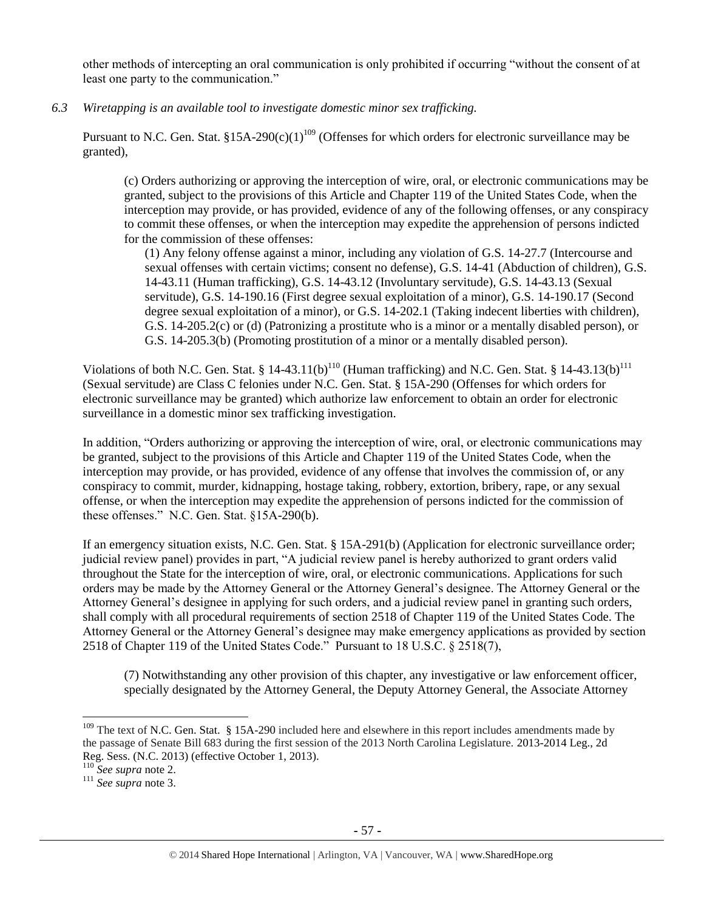other methods of intercepting an oral communication is only prohibited if occurring "without the consent of at least one party to the communication."

*6.3 Wiretapping is an available tool to investigate domestic minor sex trafficking.* 

Pursuant to N.C. Gen. Stat. §15A-290(c)(1)<sup>109</sup> (Offenses for which orders for electronic surveillance may be granted),

(c) Orders authorizing or approving the interception of wire, oral, or electronic communications may be granted, subject to the provisions of this Article and Chapter 119 of the United States Code, when the interception may provide, or has provided, evidence of any of the following offenses, or any conspiracy to commit these offenses, or when the interception may expedite the apprehension of persons indicted for the commission of these offenses:

(1) Any felony offense against a minor, including any violation of G.S. 14-27.7 (Intercourse and sexual offenses with certain victims; consent no defense), G.S. 14-41 (Abduction of children), G.S. 14-43.11 (Human trafficking), G.S. 14-43.12 (Involuntary servitude), G.S. 14-43.13 (Sexual servitude), G.S. 14-190.16 (First degree sexual exploitation of a minor), G.S. 14-190.17 (Second degree sexual exploitation of a minor), or G.S. 14-202.1 (Taking indecent liberties with children), G.S. 14-205.2(c) or (d) (Patronizing a prostitute who is a minor or a mentally disabled person), or G.S. 14-205.3(b) (Promoting prostitution of a minor or a mentally disabled person).

Violations of both N.C. Gen. Stat. § 14-43.11(b)<sup>110</sup> (Human trafficking) and N.C. Gen. Stat. § 14-43.13(b)<sup>111</sup> (Sexual servitude) are Class C felonies under N.C. Gen. Stat. § 15A-290 (Offenses for which orders for electronic surveillance may be granted) which authorize law enforcement to obtain an order for electronic surveillance in a domestic minor sex trafficking investigation.

In addition, "Orders authorizing or approving the interception of wire, oral, or electronic communications may be granted, subject to the provisions of this Article and Chapter 119 of the United States Code, when the interception may provide, or has provided, evidence of any offense that involves the commission of, or any conspiracy to commit, murder, kidnapping, hostage taking, robbery, extortion, bribery, rape, or any sexual offense, or when the interception may expedite the apprehension of persons indicted for the commission of these offenses." N.C. Gen. Stat. §15A-290(b).

If an emergency situation exists, N.C. Gen. Stat. § 15A-291(b) (Application for electronic surveillance order; judicial review panel) provides in part, "A judicial review panel is hereby authorized to grant orders valid throughout the State for the interception of wire, oral, or electronic communications. Applications for such orders may be made by the Attorney General or the Attorney General's designee. The Attorney General or the Attorney General's designee in applying for such orders, and a judicial review panel in granting such orders, shall comply with all procedural requirements of section 2518 of Chapter 119 of the United States Code. The Attorney General or the Attorney General's designee may make emergency applications as provided by section 2518 of Chapter 119 of the United States Code." Pursuant to 18 U.S.C. § 2518(7),

(7) Notwithstanding any other provision of this chapter, any investigative or law enforcement officer, specially designated by the Attorney General, the Deputy Attorney General, the Associate Attorney

 $\overline{a}$ 

 $109$  The text of N.C. Gen. Stat. § 15A-290 included here and elsewhere in this report includes amendments made by the passage of Senate Bill 683 during the first session of the 2013 North Carolina Legislature. 2013-2014 Leg., 2d Reg. Sess. (N.C. 2013) (effective October 1, 2013).

<sup>110</sup> *See supra* not[e 2.](#page-0-0)

<sup>111</sup> *See supra* not[e 3.](#page-1-0)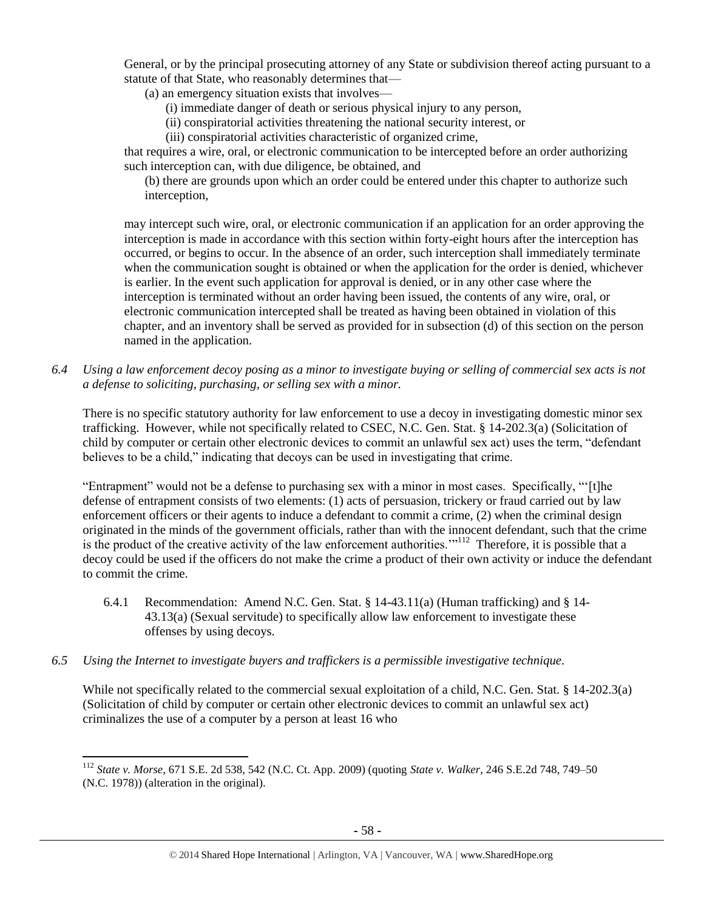General, or by the principal prosecuting attorney of any State or subdivision thereof acting pursuant to a statute of that State, who reasonably determines that—

(a) an emergency situation exists that involves—

- (i) immediate danger of death or serious physical injury to any person,
- (ii) conspiratorial activities threatening the national security interest, or
- (iii) conspiratorial activities characteristic of organized crime,

that requires a wire, oral, or electronic communication to be intercepted before an order authorizing such interception can, with due diligence, be obtained, and

(b) there are grounds upon which an order could be entered under this chapter to authorize such interception,

may intercept such wire, oral, or electronic communication if an application for an order approving the interception is made in accordance with this section within forty-eight hours after the interception has occurred, or begins to occur. In the absence of an order, such interception shall immediately terminate when the communication sought is obtained or when the application for the order is denied, whichever is earlier. In the event such application for approval is denied, or in any other case where the interception is terminated without an order having been issued, the contents of any wire, oral, or electronic communication intercepted shall be treated as having been obtained in violation of this chapter, and an inventory shall be served as provided for in subsection (d) of this section on the person named in the application.

*6.4 Using a law enforcement decoy posing as a minor to investigate buying or selling of commercial sex acts is not a defense to soliciting, purchasing, or selling sex with a minor.*

There is no specific statutory authority for law enforcement to use a decoy in investigating domestic minor sex trafficking. However, while not specifically related to CSEC, N.C. Gen. Stat. § 14-202.3(a) (Solicitation of child by computer or certain other electronic devices to commit an unlawful sex act) uses the term, "defendant believes to be a child," indicating that decoys can be used in investigating that crime.

"Entrapment" would not be a defense to purchasing sex with a minor in most cases. Specifically, "'[t]he defense of entrapment consists of two elements: (1) acts of persuasion, trickery or fraud carried out by law enforcement officers or their agents to induce a defendant to commit a crime, (2) when the criminal design originated in the minds of the government officials, rather than with the innocent defendant, such that the crime is the product of the creative activity of the law enforcement authorities."<sup>112</sup> Therefore, it is possible that a decoy could be used if the officers do not make the crime a product of their own activity or induce the defendant to commit the crime.

- 6.4.1 Recommendation: Amend N.C. Gen. Stat. § 14-43.11(a) (Human trafficking) and § 14- 43.13(a) (Sexual servitude) to specifically allow law enforcement to investigate these offenses by using decoys.
- *6.5 Using the Internet to investigate buyers and traffickers is a permissible investigative technique.*

l

While not specifically related to the commercial sexual exploitation of a child, N.C. Gen. Stat. § 14-202.3(a) (Solicitation of child by computer or certain other electronic devices to commit an unlawful sex act) criminalizes the use of a computer by a person at least 16 who

<sup>112</sup> *State v. Morse*, 671 S.E. 2d 538, 542 (N.C. Ct. App. 2009) (quoting *State v. Walker,* [246 S.E.2d 748, 749–50](http://www.lexis.com/research/buttonTFLink?_m=13e053ecddd45ea015abf329815936b6&_xfercite=%3ccite%20cc%3d%22USA%22%3e%3c%21%5bCDATA%5b194%20N.C.%20App.%20685%5d%5d%3e%3c%2fcite%3e&_butType=3&_butStat=2&_butNum=16&_butInline=1&_butinfo=%3ccite%20cc%3d%22USA%22%3e%3c%21%5bCDATA%5b153%20N.C.%20App.%2091%2c%2099%5d%5d%3e%3c%2fcite%3e&_fmtstr=FULL&docnum=1&_startdoc=1&wchp=dGLbVzS-zSkAb&_md5=9625a573a82f993126842fc01d8b3429)  [\(N.C. 1978\)\)](http://www.lexis.com/research/buttonTFLink?_m=13e053ecddd45ea015abf329815936b6&_xfercite=%3ccite%20cc%3d%22USA%22%3e%3c%21%5bCDATA%5b194%20N.C.%20App.%20685%5d%5d%3e%3c%2fcite%3e&_butType=3&_butStat=2&_butNum=16&_butInline=1&_butinfo=%3ccite%20cc%3d%22USA%22%3e%3c%21%5bCDATA%5b153%20N.C.%20App.%2091%2c%2099%5d%5d%3e%3c%2fcite%3e&_fmtstr=FULL&docnum=1&_startdoc=1&wchp=dGLbVzS-zSkAb&_md5=9625a573a82f993126842fc01d8b3429) (alteration in the original).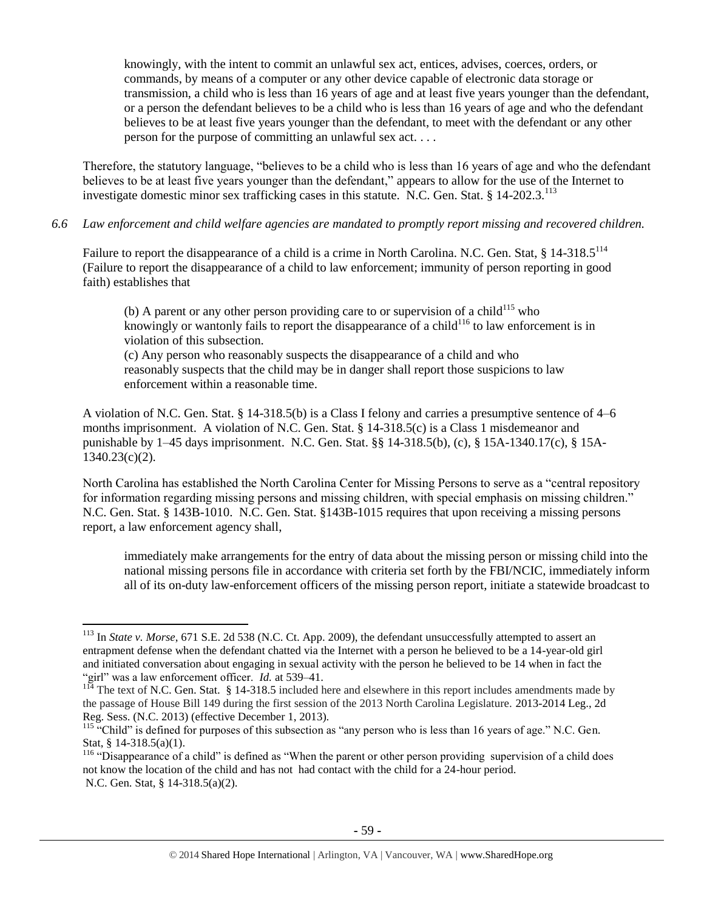knowingly, with the intent to commit an unlawful sex act, entices, advises, coerces, orders, or commands, by means of a computer or any other device capable of electronic data storage or transmission, a child who is less than 16 years of age and at least five years younger than the defendant, or a person the defendant believes to be a child who is less than 16 years of age and who the defendant believes to be at least five years younger than the defendant, to meet with the defendant or any other person for the purpose of committing an unlawful sex act. . . .

Therefore, the statutory language, "believes to be a child who is less than 16 years of age and who the defendant believes to be at least five years younger than the defendant," appears to allow for the use of the Internet to investigate domestic minor sex trafficking cases in this statute. N.C. Gen. Stat. § 14-202.3.<sup>113</sup>

*6.6 Law enforcement and child welfare agencies are mandated to promptly report missing and recovered children.*

Failure to report the disappearance of a child is a crime in North Carolina. N.C. Gen. Stat, § 14-318.5<sup>114</sup> (Failure to report the disappearance of a child to law enforcement; immunity of person reporting in good faith) establishes that

(b) A parent or any other person providing care to or supervision of a child<sup>115</sup> who knowingly or wantonly fails to report the disappearance of a child<sup>116</sup> to law enforcement is in violation of this subsection.

(c) Any person who reasonably suspects the disappearance of a child and who reasonably suspects that the child may be in danger shall report those suspicions to law enforcement within a reasonable time.

A violation of N.C. Gen. Stat. § 14-318.5(b) is a Class I felony and carries a presumptive sentence of 4–6 months imprisonment. A violation of N.C. Gen. Stat. § 14-318.5(c) is a Class 1 misdemeanor and punishable by 1–45 days imprisonment. N.C. Gen. Stat. §§ 14-318.5(b), (c), § 15A-1340.17(c), § 15A-1340.23(c)(2).

North Carolina has established the North Carolina Center for Missing Persons to serve as a "central repository for information regarding missing persons and missing children, with special emphasis on missing children." N.C. Gen. Stat. § 143B-1010. N.C. Gen. Stat. §143B-1015 requires that upon receiving a missing persons report, a law enforcement agency shall,

immediately make arrangements for the entry of data about the missing person or missing child into the national missing persons file in accordance with criteria set forth by the FBI/NCIC, immediately inform all of its on-duty law-enforcement officers of the missing person report, initiate a statewide broadcast to

l

<sup>113</sup> In *State v. Morse*, 671 S.E. 2d 538 (N.C. Ct. App. 2009), the defendant unsuccessfully attempted to assert an entrapment defense when the defendant chatted via the Internet with a person he believed to be a 14-year-old girl and initiated conversation about engaging in sexual activity with the person he believed to be 14 when in fact the "girl" was a law enforcement officer. *Id.* at 539–41.

 $114$  The text of N.C. Gen. Stat. § 14-318.5 included here and elsewhere in this report includes amendments made by the passage of House Bill 149 during the first session of the 2013 North Carolina Legislature. 2013-2014 Leg., 2d Reg. Sess. (N.C. 2013) (effective December 1, 2013).

<sup>115 &</sup>quot;Child" is defined for purposes of this subsection as "any person who is less than 16 years of age." N.C. Gen. Stat, § 14-318.5(a)(1).

<sup>&</sup>lt;sup>116</sup> "Disappearance of a child" is defined as "When the parent or other person providing supervision of a child does not know the location of the child and has not had contact with the child for a 24-hour period. N.C. Gen. Stat, § 14-318.5(a)(2).